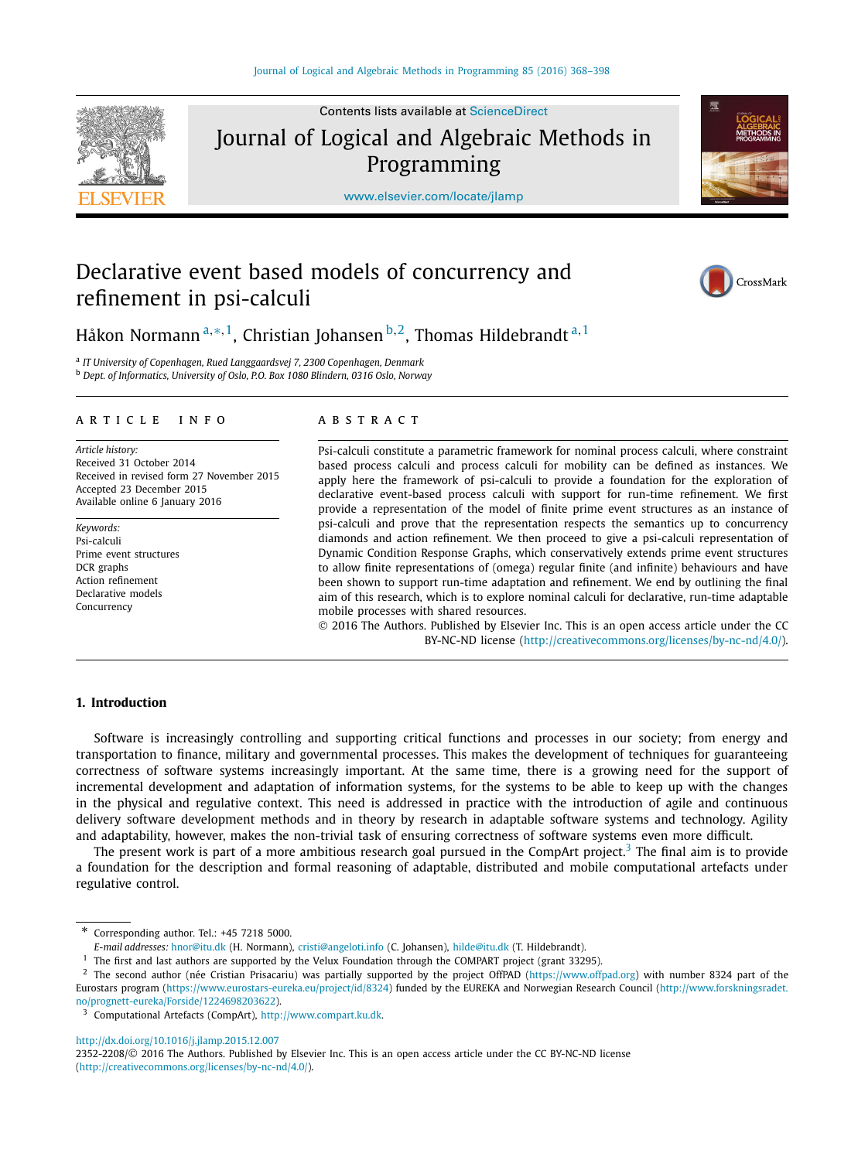

Contents lists available at [ScienceDirect](http://www.ScienceDirect.com/) Journal of Logical and Algebraic Methods in Programming

[www.elsevier.com/locate/jlamp](http://www.elsevier.com/locate/jlamp)



# Declarative event based models of concurrency and refinement in psi-calculi



Håkon Normann <sup>a</sup>*,*∗*,*1, Christian Johansen <sup>b</sup>*,*2, Thomas Hildebrandt <sup>a</sup>*,*<sup>1</sup>

<sup>a</sup> *IT University of Copenhagen, Rued Langgaardsvej 7, 2300 Copenhagen, Denmark* <sup>b</sup> *Dept. of Informatics, University of Oslo, P.O. Box 1080 Blindern, 0316 Oslo, Norway*

#### A R T I C L E I N F O A B S T R A C T

*Article history:* Received 31 October 2014 Received in revised form 27 November 2015 Accepted 23 December 2015 Available online 6 January 2016

*Keywords:* Psi-calculi Prime event structures DCR graphs Action refinement Declarative models Concurrency

Psi-calculi constitute a parametric framework for nominal process calculi, where constraint based process calculi and process calculi for mobility can be defined as instances. We apply here the framework of psi-calculi to provide a foundation for the exploration of declarative event-based process calculi with support for run-time refinement. We first provide a representation of the model of finite prime event structures as an instance of psi-calculi and prove that the representation respects the semantics up to concurrency diamonds and action refinement. We then proceed to give a psi-calculi representation of Dynamic Condition Response Graphs, which conservatively extends prime event structures to allow finite representations of (omega) regular finite (and infinite) behaviours and have been shown to support run-time adaptation and refinement. We end by outlining the final aim of this research, which is to explore nominal calculi for declarative, run-time adaptable mobile processes with shared resources.

© 2016 The Authors. Published by Elsevier Inc. This is an open access article under the CC BY-NC-ND license [\(http://creativecommons.org/licenses/by-nc-nd/4.0/](http://creativecommons.org/licenses/by-nc-nd/4.0/)).

#### **1. Introduction**

Software is increasingly controlling and supporting critical functions and processes in our society; from energy and transportation to finance, military and governmental processes. This makes the development of techniques for guaranteeing correctness of software systems increasingly important. At the same time, there is a growing need for the support of incremental development and adaptation of information systems, for the systems to be able to keep up with the changes in the physical and regulative context. This need is addressed in practice with the introduction of agile and continuous delivery software development methods and in theory by research in adaptable software systems and technology. Agility and adaptability, however, makes the non-trivial task of ensuring correctness of software systems even more difficult.

The present work is part of a more ambitious research goal pursued in the CompArt project.<sup>3</sup> The final aim is to provide a foundation for the description and formal reasoning of adaptable, distributed and mobile computational artefacts under regulative control.

<http://dx.doi.org/10.1016/j.jlamp.2015.12.007>

2352-2208/© 2016 The Authors. Published by Elsevier Inc. This is an open access article under the CC BY-NC-ND license [\(http://creativecommons.org/licenses/by-nc-nd/4.0/](http://creativecommons.org/licenses/by-nc-nd/4.0/)).

<sup>\*</sup> Corresponding author. Tel.: +45 <sup>7218</sup> 5000.

*E-mail addresses:* [hnor@itu.dk](mailto:hnor@itu.dk) (H. Normann), [cristi@angeloti.info](mailto:cristi@angeloti.info) (C. Johansen), [hilde@itu.dk](mailto:hilde@itu.dk) (T. Hildebrandt).

 $1$  The first and last authors are supported by the Velux Foundation through the COMPART project (grant 33295).

<sup>&</sup>lt;sup>2</sup> The second author (née Cristian Prisacariu) was partially supported by the project OffPAD [\(https://www.offpad.org](https://www.offpad.org)) with number 8324 part of the Eurostars program [\(https://www.eurostars-eureka.eu/project/id/8324\)](https://www.eurostars-eureka.eu/project/id/8324) funded by the EUREKA and Norwegian Research Council [\(http://www.forskningsradet.](http://www.forskningsradet.{}no/prognett-eureka/Forside/1224698203622) [no/prognett-eureka/Forside/1224698203622\)](http://www.forskningsradet.{}no/prognett-eureka/Forside/1224698203622).

<sup>3</sup> Computational Artefacts (CompArt), <http://www.compart.ku.dk>.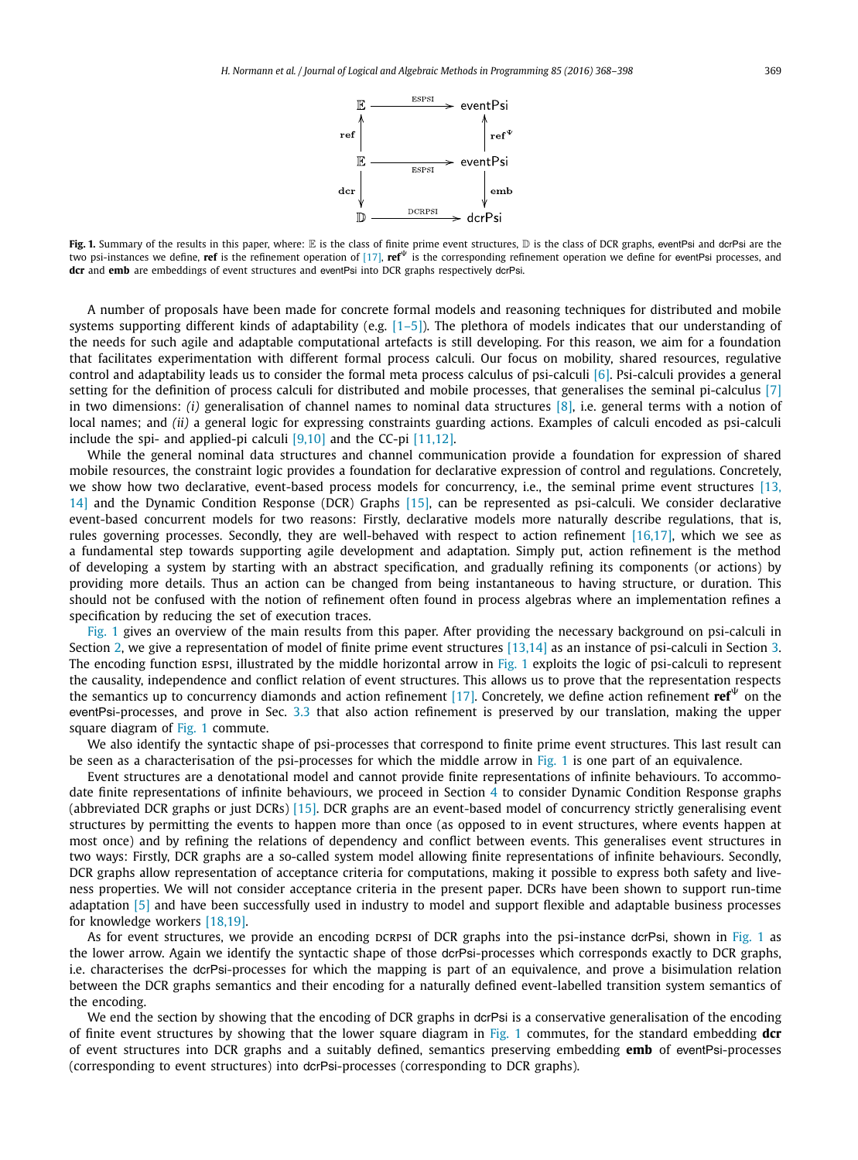

<span id="page-1-0"></span>Fig. 1. Summary of the results in this paper, where: E is the class of finite prime event structures, D is the class of DCR graphs, eventPsi and dcrPsi are the two psi-instances we define, **ref** is the refinement operation of [\[17\],](#page-29-0) **ref***-* is the corresponding refinement operation we define for eventPsi processes, and **dcr** and **emb** are embeddings of event structures and eventPsi into DCR graphs respectively dcrPsi.

A number of proposals have been made for concrete formal models and reasoning techniques for distributed and mobile systems supporting different kinds of adaptability (e.g.  $[1-5]$ ). The plethora of models indicates that our understanding of the needs for such agile and adaptable computational artefacts is still developing. For this reason, we aim for a foundation that facilitates experimentation with different formal process calculi. Our focus on mobility, shared resources, regulative control and adaptability leads us to consider the formal meta process calculus of psi-calculi [\[6\].](#page-29-0) Psi-calculi provides a general setting for the definition of process calculi for distributed and mobile processes, that generalises the seminal pi-calculus [\[7\]](#page-29-0) in two dimensions: *(i)* generalisation of channel names to nominal data structures [\[8\],](#page-29-0) i.e. general terms with a notion of local names; and *(ii)* a general logic for expressing constraints guarding actions. Examples of calculi encoded as psi-calculi include the spi- and applied-pi calculi  $[9,10]$  and the CC-pi  $[11,12]$ .

While the general nominal data structures and channel communication provide a foundation for expression of shared mobile resources, the constraint logic provides a foundation for declarative expression of control and regulations. Concretely, we show how two declarative, event-based process models for concurrency, i.e., the seminal prime event structures [\[13,](#page-29-0) [14\]](#page-29-0) and the Dynamic Condition Response (DCR) Graphs [\[15\],](#page-29-0) can be represented as psi-calculi. We consider declarative event-based concurrent models for two reasons: Firstly, declarative models more naturally describe regulations, that is, rules governing processes. Secondly, they are well-behaved with respect to action refinement [\[16,17\],](#page-29-0) which we see as a fundamental step towards supporting agile development and adaptation. Simply put, action refinement is the method of developing a system by starting with an abstract specification, and gradually refining its components (or actions) by providing more details. Thus an action can be changed from being instantaneous to having structure, or duration. This should not be confused with the notion of refinement often found in process algebras where an implementation refines a specification by reducing the set of execution traces.

Fig. 1 gives an overview of the main results from this paper. After providing the necessary background on psi-calculi in Section [2,](#page-2-0) we give a representation of model of finite prime event structures [\[13,14\]](#page-29-0) as an instance of psi-calculi in Section [3.](#page-8-0) The encoding function espsi, illustrated by the middle horizontal arrow in Fig. 1 exploits the logic of psi-calculi to represent the causality, independence and conflict relation of event structures. This allows us to prove that the representation respects the semantics up to concurrency diamonds and action refinement [\[17\].](#page-29-0) Concretely, we define action refinement **ref***-* on the eventPsi-processes, and prove in Sec. [3.3](#page-14-0) that also action refinement is preserved by our translation, making the upper square diagram of Fig. 1 commute.

We also identify the syntactic shape of psi-processes that correspond to finite prime event structures. This last result can be seen as a characterisation of the psi-processes for which the middle arrow in Fig. 1 is one part of an equivalence.

Event structures are a denotational model and cannot provide finite representations of infinite behaviours. To accommodate finite representations of infinite behaviours, we proceed in Section [4](#page-16-0) to consider Dynamic Condition Response graphs (abbreviated DCR graphs or just DCRs) [\[15\].](#page-29-0) DCR graphs are an event-based model of concurrency strictly generalising event structures by permitting the events to happen more than once (as opposed to in event structures, where events happen at most once) and by refining the relations of dependency and conflict between events. This generalises event structures in two ways: Firstly, DCR graphs are a so-called system model allowing finite representations of infinite behaviours. Secondly, DCR graphs allow representation of acceptance criteria for computations, making it possible to express both safety and liveness properties. We will not consider acceptance criteria in the present paper. DCRs have been shown to support run-time adaptation [\[5\]](#page-29-0) and have been successfully used in industry to model and support flexible and adaptable business processes for knowledge workers [\[18,19\].](#page-29-0)

As for event structures, we provide an encoding DCRPSI of DCR graphs into the psi-instance dcrPsi, shown in Fig. 1 as the lower arrow. Again we identify the syntactic shape of those dcrPsi-processes which corresponds exactly to DCR graphs, i.e. characterises the dcrPsi-processes for which the mapping is part of an equivalence, and prove a bisimulation relation between the DCR graphs semantics and their encoding for a naturally defined event-labelled transition system semantics of the encoding.

We end the section by showing that the encoding of DCR graphs in dcrPsi is a conservative generalisation of the encoding of finite event structures by showing that the lower square diagram in Fig. 1 commutes, for the standard embedding **dcr** of event structures into DCR graphs and a suitably defined, semantics preserving embedding **emb** of eventPsi-processes (corresponding to event structures) into dcrPsi-processes (corresponding to DCR graphs).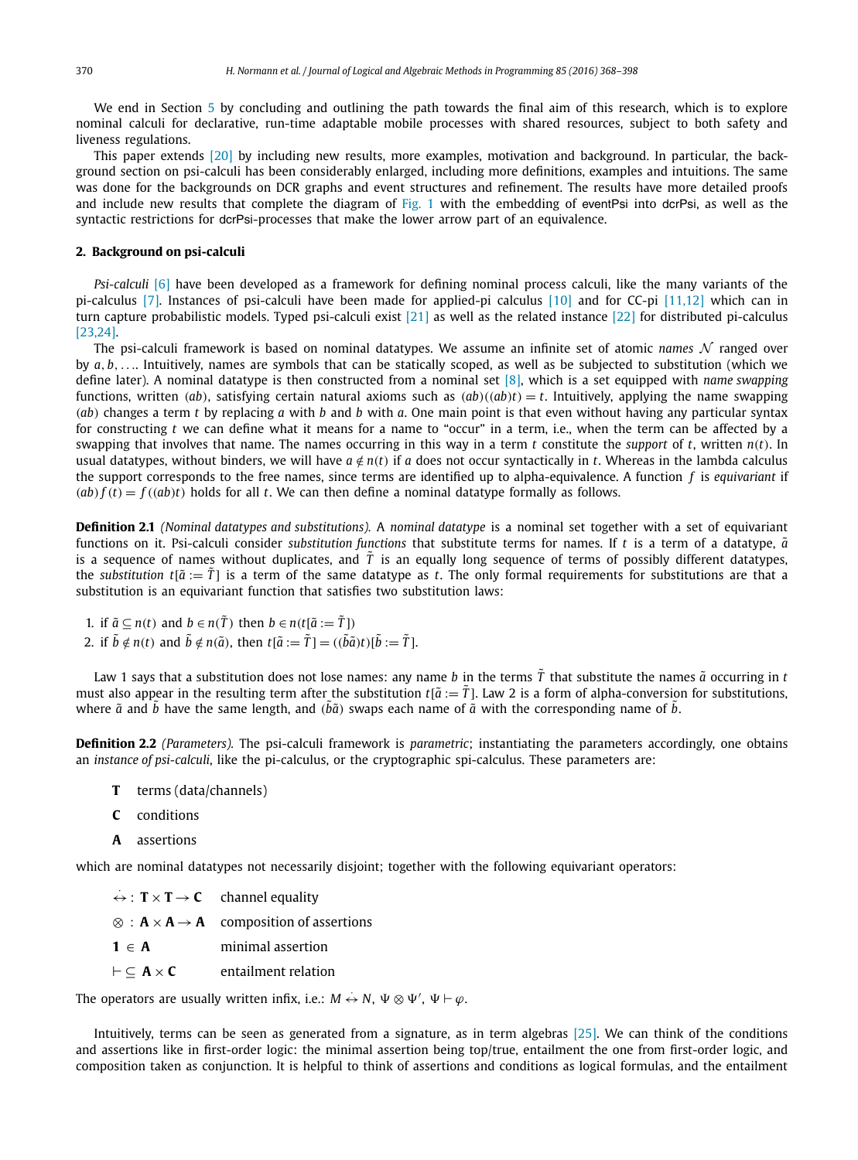<span id="page-2-0"></span>We end in Section [5](#page-28-0) by concluding and outlining the path towards the final aim of this research, which is to explore nominal calculi for declarative, run-time adaptable mobile processes with shared resources, subject to both safety and liveness regulations.

This paper extends [\[20\]](#page-30-0) by including new results, more examples, motivation and background. In particular, the background section on psi-calculi has been considerably enlarged, including more definitions, examples and intuitions. The same was done for the backgrounds on DCR graphs and event structures and refinement. The results have more detailed proofs and include new results that complete the diagram of [Fig. 1](#page-1-0) with the embedding of eventPsi into dcrPsi, as well as the syntactic restrictions for dcrPsi-processes that make the lower arrow part of an equivalence.

### **2. Background on psi-calculi**

*Psi-calculi* [\[6\]](#page-29-0) have been developed as a framework for defining nominal process calculi, like the many variants of the pi-calculus [\[7\].](#page-29-0) Instances of psi-calculi have been made for applied-pi calculus [\[10\]](#page-29-0) and for CC-pi [\[11,12\]](#page-29-0) which can in turn capture probabilistic models. Typed psi-calculi exist  $[21]$  as well as the related instance  $[22]$  for distributed pi-calculus [\[23,24\].](#page-30-0)

The psi-calculi framework is based on nominal datatypes. We assume an infinite set of atomic *names* N ranged over by *a, b,...*. Intuitively, names are symbols that can be statically scoped, as well as be subjected to substitution (which we define later). A nominal datatype is then constructed from a nominal set [\[8\],](#page-29-0) which is a set equipped with *name swapping* functions, written (*ab*), satisfying certain natural axioms such as  $(ab)((ab)t) = t$ . Intuitively, applying the name swapping *(ab)* changes a term *t* by replacing *a* with *b* and *b* with *a*. One main point is that even without having any particular syntax for constructing *t* we can define what it means for a name to "occur" in a term, i.e., when the term can be affected by a swapping that involves that name. The names occurring in this way in a term *t* constitute the *support* of *t*, written *n(t)*. In usual datatypes, without binders, we will have  $a \notin n(t)$  if *a* does not occur syntactically in *t*. Whereas in the lambda calculus the support corresponds to the free names, since terms are identified up to alpha-equivalence. A function *f* is *equivariant* if  $(a**b**) f(t) = f((*ab*)t)$  holds for all *t*. We can then define a nominal datatype formally as follows.

**Definition 2.1** *(Nominal datatypes and substitutions).* A *nominal datatype* is a nominal set together with a set of equivariant functions on it. Psi-calculi consider *substitution functions* that substitute terms for names. If *t* is a term of a datatype, *a*˜ is a sequence of names without duplicates, and  $\tilde{T}$  is an equally long sequence of terms of possibly different datatypes, the *substitution*  $t[\tilde{a} := \tilde{T}]$  is a term of the same datatype as *t*. The only formal requirements for substitutions are that a substitution is an equivariant function that satisfies two substitution laws:

1. if  $\tilde{a} \subseteq n(t)$  and  $b \in n(\tilde{T})$  then  $b \in n(t[\tilde{a} := \tilde{T}])$ 

2. if  $\tilde{b} \notin n(t)$  and  $\tilde{b} \notin n(\tilde{a})$ , then  $t[\tilde{a} := \tilde{T}] = ((\tilde{b}\tilde{a})t)[\tilde{b} := \tilde{T}]$ .

Law 1 says that a substitution does not lose names: any name *b* in the terms  $\tilde{T}$  that substitute the names  $\tilde{a}$  occurring in *t* must also appear in the resulting term after the substitution  $t[\tilde{a}:=\tilde{T}]$ . Law 2 is a form of alpha-conversion for substitutions, where  $\tilde{a}$  and  $\tilde{b}$  have the same length, and  $(\tilde{b}\tilde{a})$  swaps each name of  $\tilde{a}$  with the corresponding name of  $\tilde{b}$ .

**Definition 2.2** *(Parameters).* The psi-calculi framework is *parametric*; instantiating the parameters accordingly, one obtains an *instance of psi-calculi*, like the pi-calculus, or the cryptographic spi-calculus. These parameters are:

- **T** terms (data/channels)
- **C** conditions
- **A** assertions

which are nominal datatypes not necessarily disjoint; together with the following equivariant operators:

 $\overrightarrow{\mathbf{r}}$  :  $\mathbf{T} \times \mathbf{T} \rightarrow \mathbf{C}$  channel equality

⊗ : **A** × **A** → **A** composition of assertions

- $1 \in A$  minimal assertion
- ⊆ **A** × **C** entailment relation

The operators are usually written infix, i.e.:  $M \leftrightarrow N$ ,  $\Psi \otimes \Psi'$ ,  $\Psi \vdash \varphi$ .

Intuitively, terms can be seen as generated from a signature, as in term algebras [\[25\].](#page-30-0) We can think of the conditions and assertions like in first-order logic: the minimal assertion being top/true, entailment the one from first-order logic, and composition taken as conjunction. It is helpful to think of assertions and conditions as logical formulas, and the entailment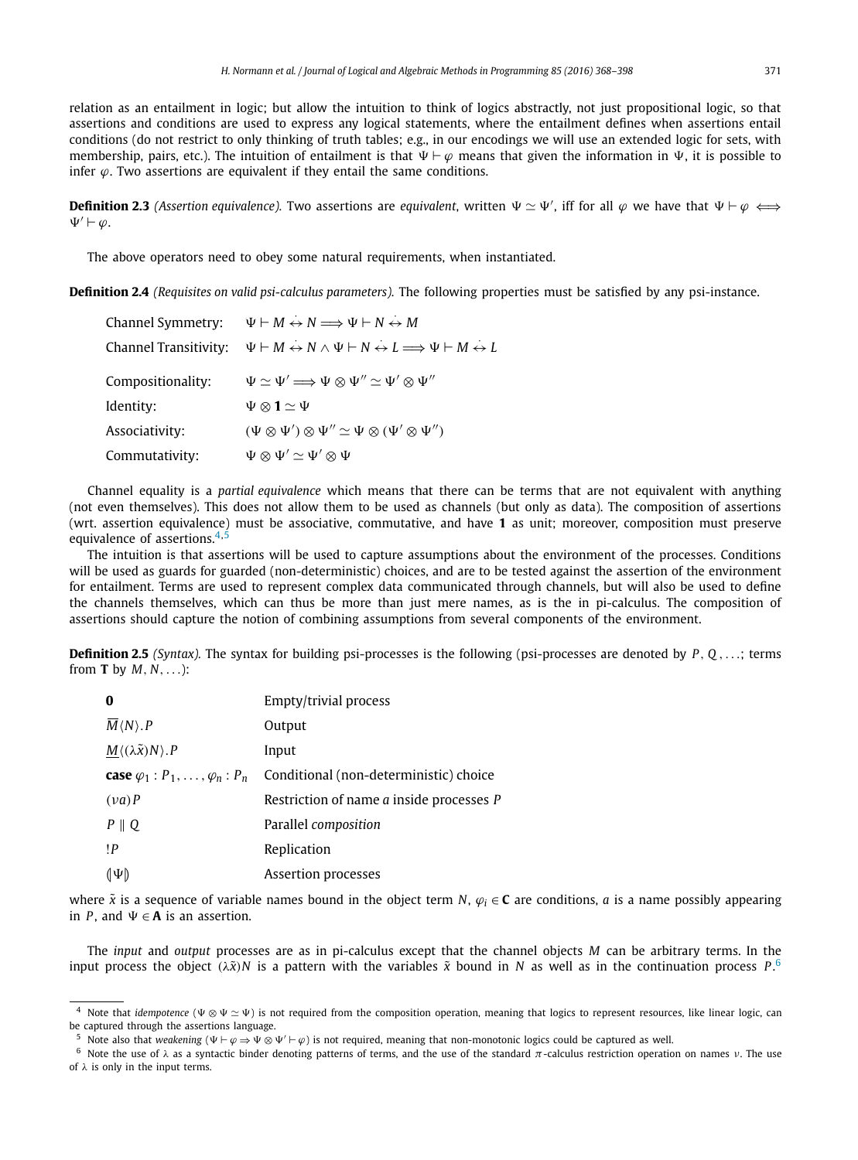<span id="page-3-0"></span>relation as an entailment in logic; but allow the intuition to think of logics abstractly, not just propositional logic, so that assertions and conditions are used to express any logical statements, where the entailment defines when assertions entail conditions (do not restrict to only thinking of truth tables; e.g., in our encodings we will use an extended logic for sets, with membership, pairs, etc.). The intuition of entailment is that  $\Psi\vdash\varphi$  means that given the information in  $\Psi,$  it is possible to infer *ϕ*. Two assertions are equivalent if they entail the same conditions.

**Definition 2.3** (Assertion equivalence). Two assertions are equivalent, written  $\Psi \simeq \Psi'$ , iff for all  $\varphi$  we have that  $\Psi \vdash \varphi \iff$  $\Psi' \vdash \varphi.$ 

The above operators need to obey some natural requirements, when instantiated.

**Definition 2.4** *(Requisites on valid psi-calculus parameters).* The following properties must be satisfied by any psi-instance.

| Channel Symmetry:     | $\Psi \vdash M \leftrightarrow N \Longrightarrow \Psi \vdash N \leftrightarrow M$                                        |
|-----------------------|--------------------------------------------------------------------------------------------------------------------------|
| Channel Transitivity: | $\Psi \vdash M \leftrightarrow N \wedge \Psi \vdash N \leftrightarrow L \Longrightarrow \Psi \vdash M \leftrightarrow L$ |
| Compositionality:     | $\Psi \simeq \Psi' \Longrightarrow \Psi \otimes \Psi'' \simeq \Psi' \otimes \Psi''$                                      |
| Identity:             | $\Psi \otimes \mathbf{1} \simeq \Psi$                                                                                    |
| Associativity:        | $(\Psi \otimes \Psi') \otimes \Psi'' \simeq \Psi \otimes (\Psi' \otimes \Psi'')$                                         |
| Commutativity:        | $\Psi\otimes\Psi'\simeq\Psi'\otimes\Psi$                                                                                 |

Channel equality is a *partial equivalence* which means that there can be terms that are not equivalent with anything (not even themselves). This does not allow them to be used as channels (but only as data). The composition of assertions (wrt. assertion equivalence) must be associative, commutative, and have **1** as unit; moreover, composition must preserve equivalence of assertions. $4,5$ 

The intuition is that assertions will be used to capture assumptions about the environment of the processes. Conditions will be used as guards for guarded (non-deterministic) choices, and are to be tested against the assertion of the environment for entailment. Terms are used to represent complex data communicated through channels, but will also be used to define the channels themselves, which can thus be more than just mere names, as is the in pi-calculus. The composition of assertions should capture the notion of combining assumptions from several components of the environment.

**Definition 2.5** *(Syntax).* The syntax for building psi-processes is the following (psi-processes are denoted by *P, Q ,...*; terms from **T** by *M, N,...*):

| 0                                               | Empty/trivial process                                  |
|-------------------------------------------------|--------------------------------------------------------|
| $\overline{M}\langle N\rangle$ . P              | Output                                                 |
| $M\langle (\lambda \tilde{x})N \rangle.P$       | Input                                                  |
| case $\varphi_1 : P_1, \ldots, \varphi_n : P_n$ | Conditional (non-deterministic) choice                 |
| $(\nu a)P$                                      | Restriction of name <i>a</i> inside processes <i>P</i> |
| $P \parallel Q$                                 | Parallel composition                                   |
| ! P                                             | Replication                                            |
| $(\Psi)$                                        | Assertion processes                                    |

where  $\tilde{x}$  is a sequence of variable names bound in the object term *N*,  $\varphi_i \in \mathbf{C}$  are conditions, *a* is a name possibly appearing in *P*, and  $\Psi \in A$  is an assertion.

The *input* and *output* processes are as in pi-calculus except that the channel objects *M* can be arbitrary terms. In the input process the object *(λx*˜*)N* is a pattern with the variables *x*˜ bound in *N* as well as in the continuation process *P* . 6

<sup>&</sup>lt;sup>4</sup> Note that *idempotence* ( $\Psi \otimes \Psi \simeq \Psi$ ) is not required from the composition operation, meaning that logics to represent resources, like linear logic, can be captured through the assertions language.

<sup>&</sup>lt;sup>5</sup> Note also that *weakening* ( $\Psi \vdash \varphi \Rightarrow \Psi \otimes \Psi' \vdash \varphi$ ) is not required, meaning that non-monotonic logics could be captured as well.

<sup>6</sup> Note the use of *λ* as a syntactic binder denoting patterns of terms, and the use of the standard *π*-calculus restriction operation on names *ν*. The use of *λ* is only in the input terms.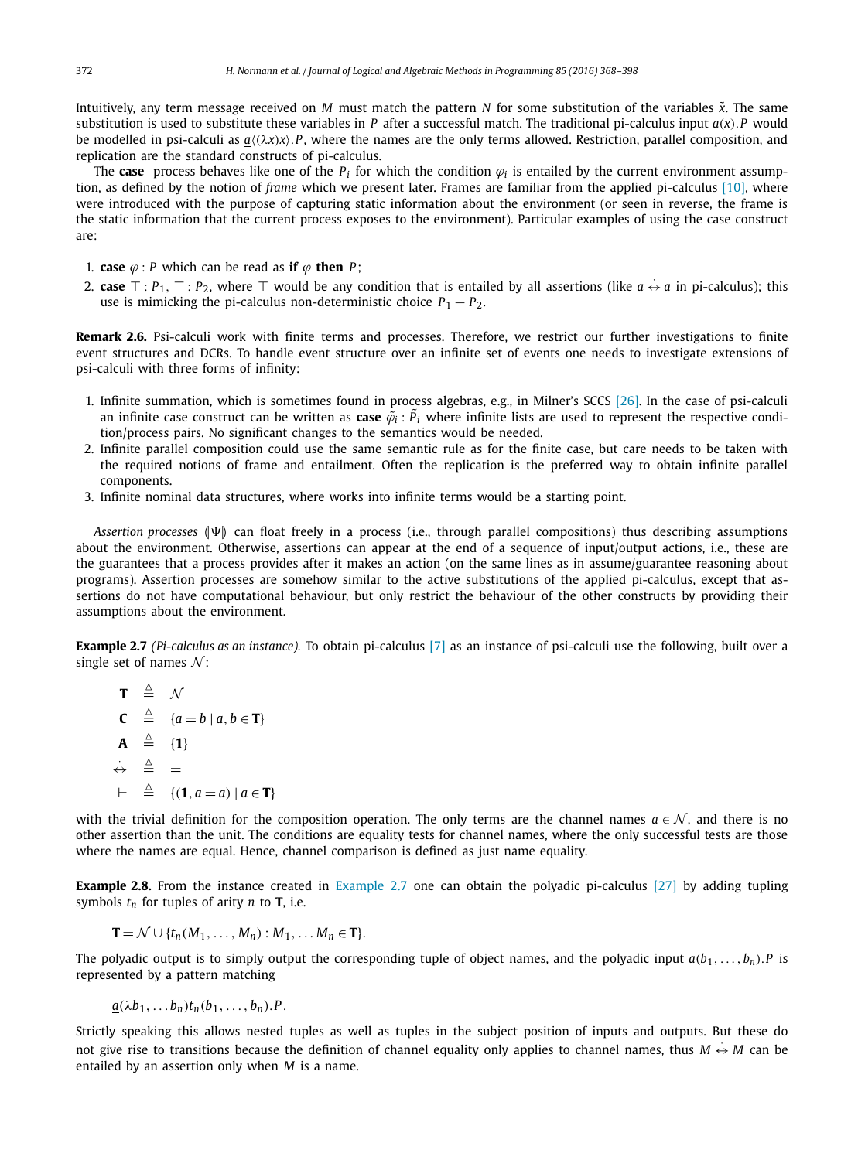Intuitively, any term message received on *M* must match the pattern *N* for some substitution of the variables  $\tilde{x}$ . The same substitution is used to substitute these variables in *P* after a successful match. The traditional pi-calculus input *a(x).P* would be modelled in psi-calculi as  $a(\lambda x)x$ . *P*, where the names are the only terms allowed. Restriction, parallel composition, and replication are the standard constructs of pi-calculus.

The **case** process behaves like one of the  $P_i$  for which the condition  $\varphi_i$  is entailed by the current environment assumption, as defined by the notion of *frame* which we present later. Frames are familiar from the applied pi-calculus [\[10\],](#page-29-0) where were introduced with the purpose of capturing static information about the environment (or seen in reverse, the frame is the static information that the current process exposes to the environment). Particular examples of using the case construct are:

- 1. **case**  $\varphi$  : *P* which can be read as **if**  $\varphi$  **then** *P*:
- 2. **case**  $\top$  :  $P_1$ ,  $\top$  :  $P_2$ , where  $\top$  would be any condition that is entailed by all assertions (like  $a \leftrightarrow a$  in pi-calculus); this use is mimicking the pi-calculus non-deterministic choice  $P_1 + P_2$ .

**Remark 2.6.** Psi-calculi work with finite terms and processes. Therefore, we restrict our further investigations to finite event structures and DCRs. To handle event structure over an infinite set of events one needs to investigate extensions of psi-calculi with three forms of infinity:

- 1. Infinite summation, which is sometimes found in process algebras, e.g., in Milner's SCCS [\[26\].](#page-30-0) In the case of psi-calculi an infinite case construct can be written as **case** *ϕ*˜*<sup>i</sup>* : *<sup>P</sup>*˜ *<sup>i</sup>* where infinite lists are used to represent the respective condition/process pairs. No significant changes to the semantics would be needed.
- 2. Infinite parallel composition could use the same semantic rule as for the finite case, but care needs to be taken with the required notions of frame and entailment. Often the replication is the preferred way to obtain infinite parallel components.
- 3. Infinite nominal data structures, where works into infinite terms would be a starting point.

*Assertion processes* ▲*-*▼ can float freely in a process (i.e., through parallel compositions) thus describing assumptions about the environment. Otherwise, assertions can appear at the end of a sequence of input/output actions, i.e., these are the guarantees that a process provides after it makes an action (on the same lines as in assume/guarantee reasoning about programs). Assertion processes are somehow similar to the active substitutions of the applied pi-calculus, except that assertions do not have computational behaviour, but only restrict the behaviour of the other constructs by providing their assumptions about the environment.

**Example 2.7** *(Pi-calculus as an instance).* To obtain pi-calculus [\[7\]](#page-29-0) as an instance of psi-calculi use the following, built over a single set of names  $\mathcal{N}$ :

$$
T \stackrel{\triangle}{=} \mathcal{N}
$$
  
\n
$$
C \stackrel{\triangle}{=} \{a = b \mid a, b \in T\}
$$
  
\n
$$
A \stackrel{\triangle}{=} \{1\}
$$
  
\n
$$
\stackrel{\triangle}{\leftrightarrow} \stackrel{\triangle}{=} =
$$
  
\n
$$
\vdash \stackrel{\triangle}{=} \{(1, a = a) \mid a \in T\}
$$

with the trivial definition for the composition operation. The only terms are the channel names  $a \in \mathcal{N}$ , and there is no other assertion than the unit. The conditions are equality tests for channel names, where the only successful tests are those where the names are equal. Hence, channel comparison is defined as just name equality.

**Example 2.8.** From the instance created in Example 2.7 one can obtain the polyadic pi-calculus [\[27\]](#page-30-0) by adding tupling symbols  $t_n$  for tuples of arity *n* to **T**, i.e.

$$
\mathbf{T}=\mathcal{N}\cup\{t_n(M_1,\ldots,M_n):M_1,\ldots,M_n\in\mathbf{T}\}.
$$

The polyadic output is to simply output the corresponding tuple of object names, and the polyadic input  $a(b_1, \ldots, b_n)$ . P is represented by a pattern matching

$$
\underline{a}(\lambda b_1,\ldots b_n)t_n(b_1,\ldots,b_n).P.
$$

Strictly speaking this allows nested tuples as well as tuples in the subject position of inputs and outputs. But these do not give rise to transitions because the definition of channel equality only applies to channel names, thus  $M \leftrightarrow M$  can be entailed by an assertion only when *M* is a name.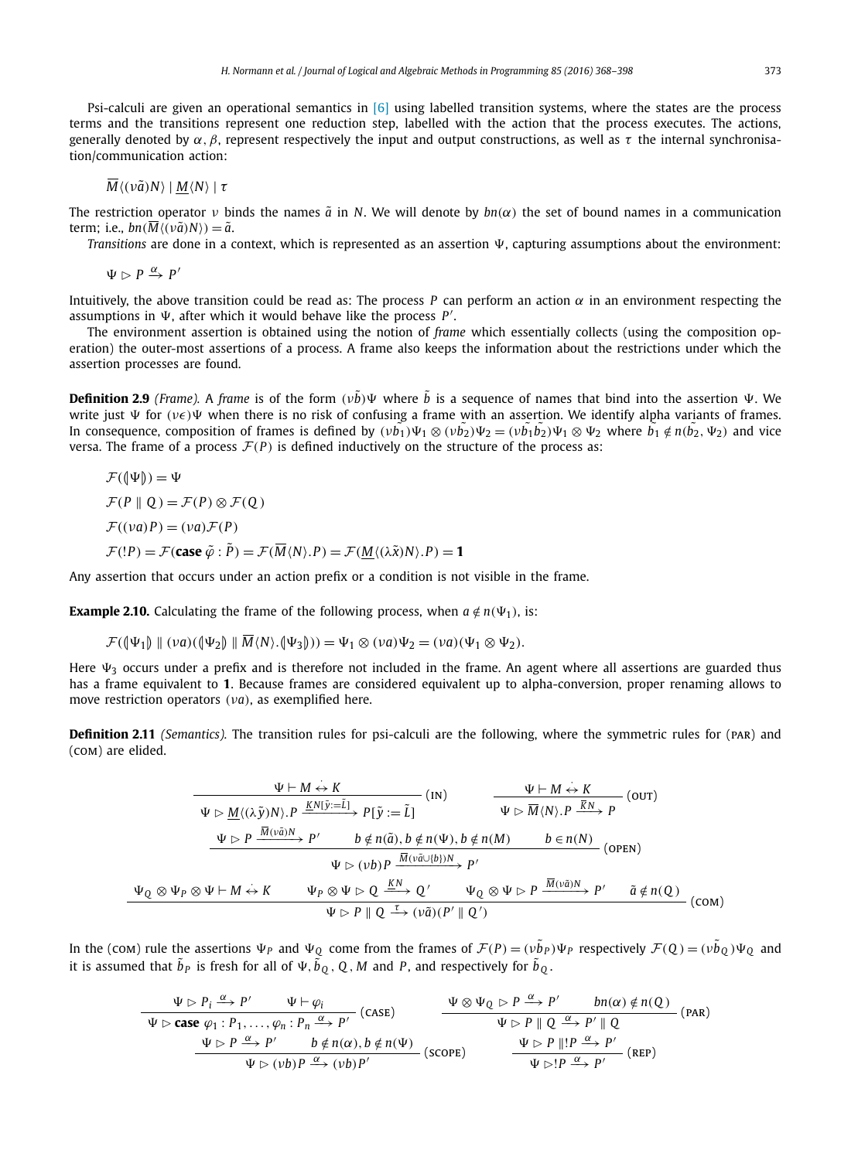Psi-calculi are given an operational semantics in  $[6]$  using labelled transition systems, where the states are the process terms and the transitions represent one reduction step, labelled with the action that the process executes. The actions, generally denoted by *α,β*, represent respectively the input and output constructions, as well as *τ* the internal synchronisation/communication action:

$$
\overline{M}\langle(\nu\tilde{a})N\rangle \mid \underline{M}\langle N\rangle \mid \tau
$$

The restriction operator *ν* binds the names  $\tilde{a}$  in *N*. We will denote by  $bn(\alpha)$  the set of bound names in a communication  $\tanh$ *;* i.e.,  $bn(\overline{M}\langle(\nu\tilde{a})N\rangle) = \tilde{a}$ .

Transitions are done in a context, which is represented as an assertion  $\Psi$ , capturing assumptions about the environment:

 $\Psi \triangleright P \xrightarrow{\alpha} P'$ 

Intuitively, the above transition could be read as: The process *P* can perform an action *α* in an environment respecting the assumptions in  $\Psi$ , after which it would behave like the process  $P'$ .

The environment assertion is obtained using the notion of *frame* which essentially collects (using the composition operation) the outer-most assertions of a process. A frame also keeps the information about the restrictions under which the assertion processes are found.

**Definition 2.9** *(Frame).* A *frame* is of the form  $(\nu\tilde{b})\Psi$  where  $\tilde{b}$  is a sequence of names that bind into the assertion  $\Psi$ . We write just Ψ for (ν $\epsilon$ )Ψ when there is no risk of confusing a frame with an assertion. We identify alpha variants of frames. In consequence, composition of frames is defined by  $(\nu b_1)\Psi_1\otimes(\nu b_2)\Psi_2=(\nu b_1b_2)\Psi_1\otimes\Psi_2$  where  $b_1\in n(b_2,\Psi_2)$  and vice versa. The frame of a process  $\mathcal{F}(P)$  is defined inductively on the structure of the process as:

$$
\mathcal{F}(\{\Psi\}) = \Psi
$$
  
\n
$$
\mathcal{F}(P \parallel Q) = \mathcal{F}(P) \otimes \mathcal{F}(Q)
$$
  
\n
$$
\mathcal{F}((\nu a)P) = (\nu a)\mathcal{F}(P)
$$
  
\n
$$
\mathcal{F}(!P) = \mathcal{F}(\text{case } \tilde{\varphi} : \tilde{P}) = \mathcal{F}(\overline{M}\langle N \rangle.P) = \mathcal{F}(\underline{M}\langle (\lambda \tilde{x})N \rangle.P) = 1
$$

Any assertion that occurs under an action prefix or a condition is not visible in the frame.

**Example 2.10.** Calculating the frame of the following process, when  $a \notin n(\Psi_1)$ , is:

$$
\mathcal{F}(\langle \Psi_1 \rangle \parallel (\nu a)(\langle \Psi_2 \rangle \parallel \overline{M} \langle N \rangle.\langle \Psi_3 \rangle)) = \Psi_1 \otimes (\nu a) \Psi_2 = (\nu a)(\Psi_1 \otimes \Psi_2).
$$

Here  $\Psi_3$  occurs under a prefix and is therefore not included in the frame. An agent where all assertions are guarded thus has a frame equivalent to **1**. Because frames are considered equivalent up to alpha-conversion, proper renaming allows to move restriction operators *(νa)*, as exemplified here.

**Definition 2.11** *(Semantics).* The transition rules for psi-calculi are the following, where the symmetric rules for (par) and (com) are elided.

$$
\frac{\Psi \vdash M \leftrightarrow K}{\Psi \rhd M((\lambda \tilde{y})N). P \xrightarrow{\underline{KN}[\tilde{y}:=\tilde{L}]} P[\tilde{y}:=\tilde{L}]} \qquad (IN) \qquad \frac{\Psi \vdash M \leftrightarrow K}{\Psi \rhd \overline{M}\langle N\rangle. P \xrightarrow{\overline{KN}} P} \quad (OUT)
$$
\n
$$
\frac{\Psi \rhd M(\lambda \tilde{y})N). P \xrightarrow{\overline{M}\langle \nu \tilde{a} \rangle N} P' \qquad b \notin n(\tilde{a}), b \notin n(\Psi), b \notin n(M) \qquad b \in n(N)}{\Psi \rhd (\nu b) P \xrightarrow{\overline{M}\langle \nu \tilde{a} \cup \{b\} \rangle N} P' \qquad (OPER)}
$$
\n
$$
\frac{\Psi \varphi \Psi \vdash M \leftrightarrow K \qquad \Psi \rho \otimes \Psi \rhd Q \xrightarrow{\underline{KN}} Q' \qquad \Psi \varphi \otimes \Psi \rhd P \xrightarrow{\overline{M}\langle \nu \tilde{a} \rangle N} P' \qquad \tilde{a} \notin n(Q)}{\Psi \rhd P \parallel Q \xrightarrow{\tau} (\nu \tilde{a})(P' \parallel Q')}
$$
\n(COM)

In the (com) rule the assertions  $\Psi_P$  and  $\Psi_Q$  come from the frames of  $\mathcal{F}(P)=(\nu\tilde{b}_P)\Psi_P$  respectively  $\mathcal{F}(Q)=(\nu\tilde{b}_Q)\Psi_Q$  and it is assumed that  $\tilde{b}_P$  is fresh for all of  $\Psi, \tilde{b}_Q, Q, M$  and  $P$ , and respectively for  $\tilde{b}_Q$ .

$$
\frac{\Psi \rhd P_i \xrightarrow{\alpha} P' \qquad \Psi \vdash \varphi_i}{\Psi \rhd \text{case } \varphi_1 : P_1, \dots, \varphi_n : P_n \xrightarrow{\alpha} P' \qquad (\text{CASE})} \qquad \frac{\Psi \otimes \Psi_Q \rhd P \xrightarrow{\alpha} P' \qquad bn(\alpha) \notin n(Q)}{\Psi \rhd P \parallel Q \xrightarrow{\alpha} P' \parallel Q} \quad (\text{PAR})
$$
\n
$$
\frac{\Psi \rhd P \xrightarrow{\alpha} P' \qquad b \notin n(\alpha), b \notin n(\Psi)}{\Psi \rhd (v b) P \xrightarrow{\alpha} (v b) P'} \quad (\text{SCOPE}) \qquad \frac{\Psi \rhd P \parallel !P \xrightarrow{\alpha} P'}{\Psi \rhd !P \xrightarrow{\alpha} P'} \quad (\text{Rep})
$$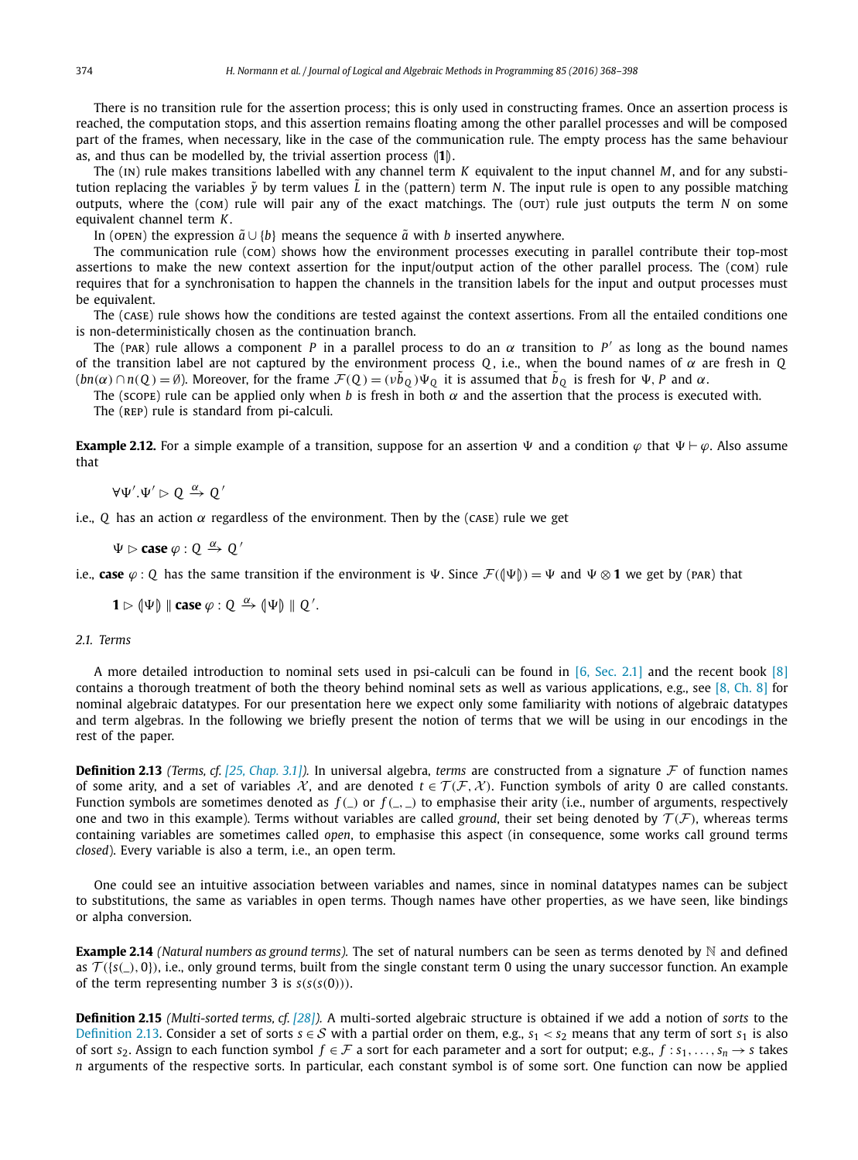<span id="page-6-0"></span>There is no transition rule for the assertion process; this is only used in constructing frames. Once an assertion process is reached, the computation stops, and this assertion remains floating among the other parallel processes and will be composed part of the frames, when necessary, like in the case of the communication rule. The empty process has the same behaviour as, and thus can be modelled by, the trivial assertion process (11).

The (in) rule makes transitions labelled with any channel term *K* equivalent to the input channel *M*, and for any substitution replacing the variables  $\tilde{y}$  by term values  $\tilde{L}$  in the (pattern) term *N*. The input rule is open to any possible matching outputs, where the (com) rule will pair any of the exact matchings. The (out) rule just outputs the term *N* on some equivalent channel term *K*.

In (open) the expression  $\tilde{a} \cup \{b\}$  means the sequence  $\tilde{a}$  with *b* inserted anywhere.

The communication rule (com) shows how the environment processes executing in parallel contribute their top-most assertions to make the new context assertion for the input/output action of the other parallel process. The (com) rule requires that for a synchronisation to happen the channels in the transition labels for the input and output processes must be equivalent.

The (case) rule shows how the conditions are tested against the context assertions. From all the entailed conditions one is non-deterministically chosen as the continuation branch.

The (par) rule allows a component *P* in a parallel process to do an  $\alpha$  transition to *P'* as long as the bound names of the transition label are not captured by the environment process *Q* , i.e., when the bound names of *α* are fresh in *Q*  $(bn(\alpha) \cap n(Q) = \emptyset)$ . Moreover, for the frame  $\mathcal{F}(Q) = (\nu \tilde{b}_Q) \Psi_Q$  it is assumed that  $\tilde{b}_Q$  is fresh for  $\Psi$ , P and  $\alpha$ .

The (scope) rule can be applied only when *b* is fresh in both  $\alpha$  and the assertion that the process is executed with.

The (REP) rule is standard from pi-calculi.

**Example 2.12.** For a simple example of a transition, suppose for an assertion  $\Psi$  and a condition  $\varphi$  that  $\Psi \vdash \varphi$ . Also assume that

 $\forall \Psi'.\Psi' \triangleright Q \xrightarrow{\alpha} Q'$ 

i.e., *Q* has an action  $\alpha$  regardless of the environment. Then by the (case) rule we get

 $\Psi \triangleright \textbf{case} \ \varphi : Q \xrightarrow{\alpha} Q'$ 

i.e., **case**  $\varphi$  : Q has the same transition if the environment is  $\Psi$ . Since  $\mathcal{F}(\Psi) = \Psi$  and  $\Psi \otimes \mathbf{1}$  we get by (PAR) that

 $\mathbf{1} \triangleright (\Psi) \parallel \mathbf{case} \varphi : Q \xrightarrow{\alpha} (\Psi) \parallel Q'.$ 

#### *2.1. Terms*

A more detailed introduction to nominal sets used in psi-calculi can be found in [6, [Sec. 2.1\]](#page-29-0) and the recent book  $[8]$ contains a thorough treatment of both the theory behind nominal sets as well as various applications, e.g., see  $[8, Ch, 8]$  for nominal algebraic datatypes. For our presentation here we expect only some familiarity with notions of algebraic datatypes and term algebras. In the following we briefly present the notion of terms that we will be using in our encodings in the rest of the paper.

**Definition 2.13** *(Terms, cf.* [25, *Chap.* 3.1]). In universal algebra, *terms* are constructed from a signature  $F$  of function names of some arity, and a set of variables  $X$ , and are denoted  $t \in \mathcal{T}(\mathcal{F}, \mathcal{X})$ . Function symbols of arity 0 are called constants. Function symbols are sometimes denoted as  $f(\_)$  or  $f(\_, \_)$  to emphasise their arity (i.e., number of arguments, respectively one and two in this example). Terms without variables are called *ground*, their set being denoted by  $\mathcal{T}(\mathcal{F})$ , whereas terms containing variables are sometimes called *open*, to emphasise this aspect (in consequence, some works call ground terms *closed*). Every variable is also a term, i.e., an open term.

One could see an intuitive association between variables and names, since in nominal datatypes names can be subject to substitutions, the same as variables in open terms. Though names have other properties, as we have seen, like bindings or alpha conversion.

**Example 2.14** *(Natural numbers as ground terms).* The set of natural numbers can be seen as terms denoted by N and defined as  $\mathcal{T}(\{s(\_),0\})$ , i.e., only ground terms, built from the single constant term 0 using the unary successor function. An example of the term representing number 3 is  $s(s(s(0)))$ .

**Definition 2.15** *(Multi-sorted terms, cf. [\[28\]\)](#page-30-0).* A multi-sorted algebraic structure is obtained if we add a notion of *sorts* to the Definition 2.13. Consider a set of sorts  $s \in S$  with a partial order on them, e.g.,  $s_1 < s_2$  means that any term of sort  $s_1$  is also of sort  $s_2$ . Assign to each function symbol  $f \in \mathcal{F}$  a sort for each parameter and a sort for output; e.g.,  $f : s_1, \ldots, s_n \to s$  takes *n* arguments of the respective sorts. In particular, each constant symbol is of some sort. One function can now be applied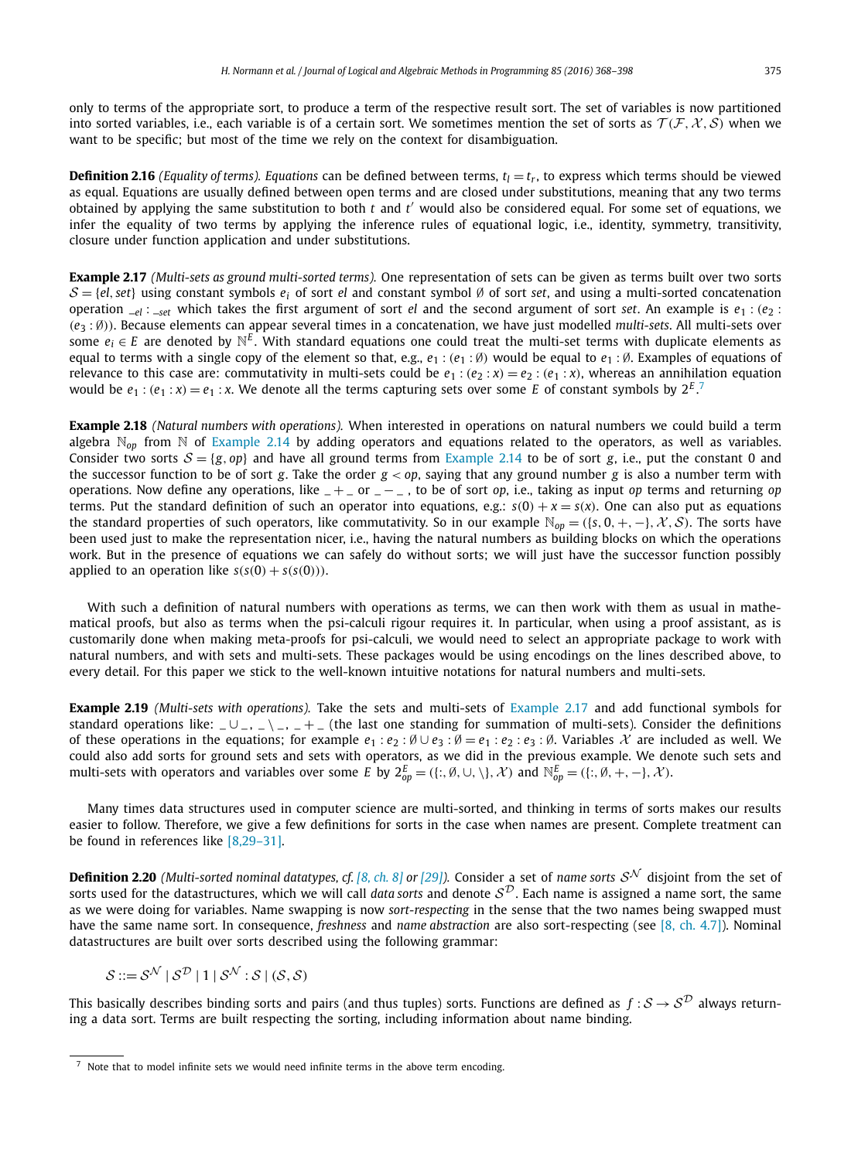<span id="page-7-0"></span>only to terms of the appropriate sort, to produce a term of the respective result sort. The set of variables is now partitioned into sorted variables, i.e., each variable is of a certain sort. We sometimes mention the set of sorts as  $\mathcal{T}(\mathcal{F},\mathcal{X},\mathcal{S})$  when we

**Definition 2.16** *(Equality of terms). Equations* can be defined between terms,  $t_l = t_r$ , to express which terms should be viewed as equal. Equations are usually defined between open terms and are closed under substitutions, meaning that any two terms obtained by applying the same substitution to both  $t$  and  $t'$  would also be considered equal. For some set of equations, we infer the equality of two terms by applying the inference rules of equational logic, i.e., identity, symmetry, transitivity, closure under function application and under substitutions.

want to be specific; but most of the time we rely on the context for disambiguation.

**Example 2.17** *(Multi-sets as ground multi-sorted terms).* One representation of sets can be given as terms built over two sorts S = {*el, set*} using constant symbols *ei* of sort *el* and constant symbol ∅ of sort *set*, and using <sup>a</sup> multi-sorted concatenation operation  $_{el}$ :  $_{set}$  which takes the first argument of sort *el* and the second argument of sort *set*. An example is  $e_1$ :  $(e_2$ : *(e*<sup>3</sup> : ∅*))*. Because elements can appear several times in a concatenation, we have just modelled *multi-sets*. All multi-sets over some  $e_i \in E$  are denoted by  $N^E$ . With standard equations one could treat the multi-set terms with duplicate elements as equal to terms with a single copy of the element so that, e.g.,  $e_1$ :  $(e_1 : \emptyset)$  would be equal to  $e_1 : \emptyset$ . Examples of equations of relevance to this case are: commutativity in multi-sets could be  $e_1$ :  $(e_2 : x) = e_2$ :  $(e_1 : x)$ , whereas an annihilation equation would be  $e_1$ :  $(e_1 : x) = e_1 : x$ . We denote all the terms capturing sets over some *E* of constant symbols by  $2^{E}$ .

**Example 2.18** *(Natural numbers with operations).* When interested in operations on natural numbers we could build a term algebra N*op* from N of [Example 2.14](#page-6-0) by adding operators and equations related to the operators, as well as variables. Consider two sorts  $S = \{g, op\}$  and have all ground terms from [Example 2.14](#page-6-0) to be of sort *g*, i.e., put the constant 0 and the successor function to be of sort *g*. Take the order *g < op*, saying that any ground number *g* is also a number term with operations. Now define any operations, like \_ + \_ or \_ − \_ , to be of sort *op*, i.e., taking as input *op* terms and returning *op* terms. Put the standard definition of such an operator into equations, e.g.:  $s(0) + x = s(x)$ . One can also put as equations the standard properties of such operators, like commutativity. So in our example  $\mathbb{N}_{on} = (\{s, 0, +, -\}, \mathcal{X}, \mathcal{S})$ . The sorts have been used just to make the representation nicer, i.e., having the natural numbers as building blocks on which the operations work. But in the presence of equations we can safely do without sorts; we will just have the successor function possibly applied to an operation like  $s(s(0) + s(s(0)))$ .

With such a definition of natural numbers with operations as terms, we can then work with them as usual in mathematical proofs, but also as terms when the psi-calculi rigour requires it. In particular, when using a proof assistant, as is customarily done when making meta-proofs for psi-calculi, we would need to select an appropriate package to work with natural numbers, and with sets and multi-sets. These packages would be using encodings on the lines described above, to every detail. For this paper we stick to the well-known intuitive notations for natural numbers and multi-sets.

**Example 2.19** *(Multi-sets with operations).* Take the sets and multi-sets of Example 2.17 and add functional symbols for standard operations like:  $\cup$  ,  $\setminus$  ,  $\setminus$  +  $\setminus$  (the last one standing for summation of multi-sets). Consider the definitions of these operations in the equations; for example  $e_1 : e_2 : \emptyset \cup e_3 : \emptyset = e_1 : e_2 : e_3 : \emptyset$ . Variables X are included as well. We could also add sorts for ground sets and sets with operators, as we did in the previous example. We denote such sets and multi-sets with operators and variables over some E by  $2^E_{op} = (\{:\emptyset,\cup,\setminus\},\mathcal{X})$  and  $\mathbb{N}^E_{op} = (\{:\emptyset,+,-\},\mathcal{X})$ .

Many times data structures used in computer science are multi-sorted, and thinking in terms of sorts makes our results easier to follow. Therefore, we give a few definitions for sorts in the case when names are present. Complete treatment can be found in references like [\[8,29–31\].](#page-29-0)

**Definition 2.20** *(Multi-sorted nominal datatypes, cf.* [8, *[ch. 8\]](#page-29-0)* or [\[29\]\)](#page-30-0). Consider a set of *name* sorts  $S^{\mathcal{N}}$  disjoint from the set of sorts used for the datastructures, which we will call *data sorts* and denote  $S<sup>D</sup>$ . Each name is assigned a name sort, the same as we were doing for variables. Name swapping is now *sort-respecting* in the sense that the two names being swapped must have the same name sort. In consequence, *freshness* and *name abstraction* are also sort-respecting (see [8, [ch. 4.7\]\)](#page-29-0). Nominal datastructures are built over sorts described using the following grammar:

$$
\mathcal{S} ::= \mathcal{S}^{\mathcal{N}} \mid \mathcal{S}^{\mathcal{D}} \mid 1 \mid \mathcal{S}^{\mathcal{N}} : \mathcal{S} \mid (\mathcal{S}, \mathcal{S})
$$

This basically describes binding sorts and pairs (and thus tuples) sorts. Functions are defined as  $f : S \to S^D$  always returning a data sort. Terms are built respecting the sorting, including information about name binding.

<sup>7</sup> Note that to model infinite sets we would need infinite terms in the above term encoding.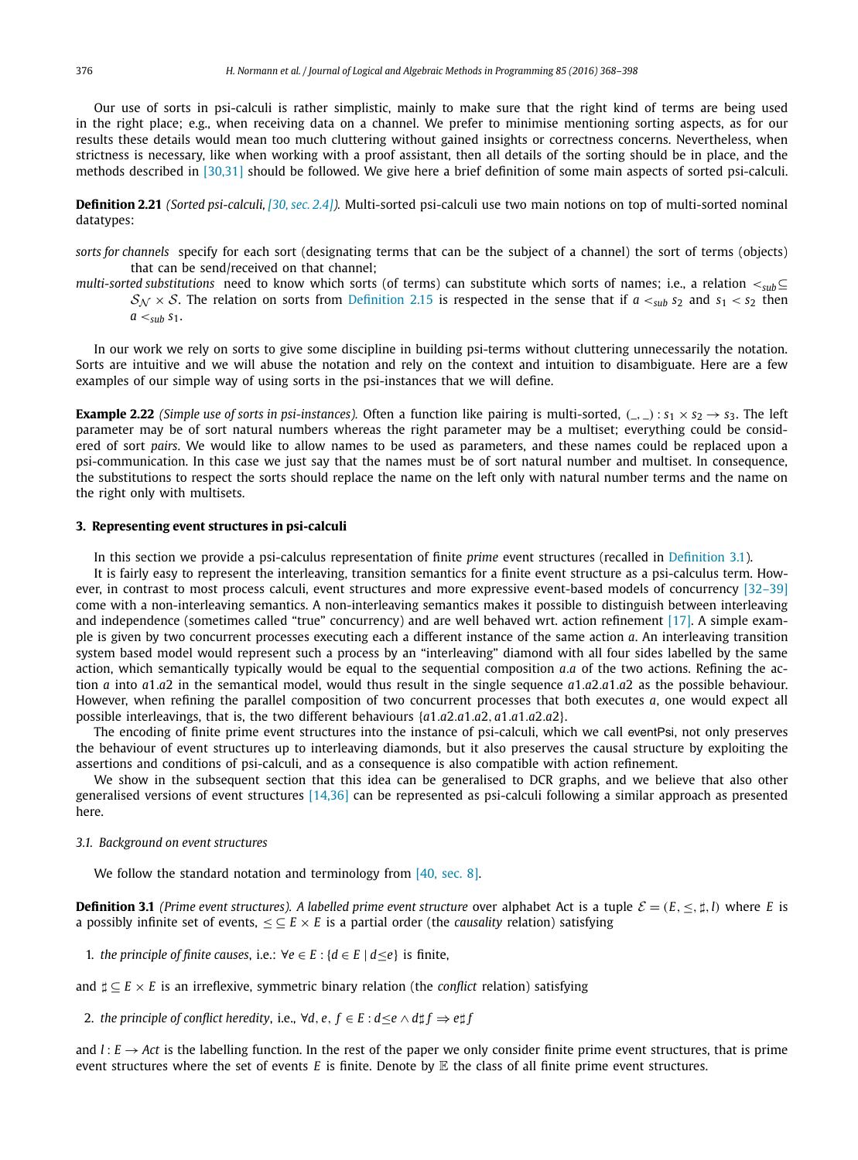<span id="page-8-0"></span>Our use of sorts in psi-calculi is rather simplistic, mainly to make sure that the right kind of terms are being used in the right place; e.g., when receiving data on a channel. We prefer to minimise mentioning sorting aspects, as for our results these details would mean too much cluttering without gained insights or correctness concerns. Nevertheless, when strictness is necessary, like when working with a proof assistant, then all details of the sorting should be in place, and the methods described in [\[30,31\]](#page-30-0) should be followed. We give here a brief definition of some main aspects of sorted psi-calculi.

**Definition 2.21** *(Sorted psi-calculi, [30, [sec. 2.4\]\)](#page-30-0).* Multi-sorted psi-calculi use two main notions on top of multi-sorted nominal datatypes:

- *sorts for channels* specify for each sort (designating terms that can be the subject of a channel) the sort of terms (objects) that can be send/received on that channel;
- *multi-sorted substitutions* need to know which sorts (of terms) can substitute which sorts of names; i.e., a relation *<sub*⊆
	- $S_N \times S$ . The relation on sorts from [Definition 2.15](#page-6-0) is respected in the sense that if  $a \lt_{sub} s_2$  and  $s_1 \lt s_2$  then  $a <$ <sub>sub</sub>  $s_1$ .

In our work we rely on sorts to give some discipline in building psi-terms without cluttering unnecessarily the notation. Sorts are intuitive and we will abuse the notation and rely on the context and intuition to disambiguate. Here are a few examples of our simple way of using sorts in the psi-instances that we will define.

**Example 2.22** (Simple use of sorts in psi-instances). Often a function like pairing is multi-sorted,  $(2, 2) : s_1 \times s_2 \to s_3$ . The left parameter may be of sort natural numbers whereas the right parameter may be a multiset; everything could be considered of sort *pairs*. We would like to allow names to be used as parameters, and these names could be replaced upon a psi-communication. In this case we just say that the names must be of sort natural number and multiset. In consequence, the substitutions to respect the sorts should replace the name on the left only with natural number terms and the name on the right only with multisets.

#### **3. Representing event structures in psi-calculi**

In this section we provide a psi-calculus representation of finite *prime* event structures (recalled in Definition 3.1).

It is fairly easy to represent the interleaving, transition semantics for a finite event structure as a psi-calculus term. However, in contrast to most process calculi, event structures and more expressive event-based models of concurrency [\[32–39\]](#page-30-0) come with a non-interleaving semantics. A non-interleaving semantics makes it possible to distinguish between interleaving and independence (sometimes called "true" concurrency) and are well behaved wrt. action refinement [\[17\].](#page-29-0) A simple example is given by two concurrent processes executing each a different instance of the same action *a*. An interleaving transition system based model would represent such a process by an "interleaving" diamond with all four sides labelled by the same action, which semantically typically would be equal to the sequential composition *a.a* of the two actions. Refining the action *a* into *a*1*.a*2 in the semantical model, would thus result in the single sequence *a*1*.a*2*.a*1*.a*2 as the possible behaviour. However, when refining the parallel composition of two concurrent processes that both executes *a*, one would expect all possible interleavings, that is, the two different behaviours {*a*1*.a*2*.a*1*.a*2*,a*1*.a*1*.a*2*.a*2}.

The encoding of finite prime event structures into the instance of psi-calculi, which we call eventPsi, not only preserves the behaviour of event structures up to interleaving diamonds, but it also preserves the causal structure by exploiting the assertions and conditions of psi-calculi, and as a consequence is also compatible with action refinement.

We show in the subsequent section that this idea can be generalised to DCR graphs, and we believe that also other generalised versions of event structures [\[14,36\]](#page-29-0) can be represented as psi-calculi following a similar approach as presented here.

#### *3.1. Background on event structures*

We follow the standard notation and terminology from [40, [sec. 8\].](#page-30-0)

**Definition 3.1** (Prime event structures). A labelled prime event structure over alphabet Act is a tuple  $\mathcal{E} = (E, \leq, \sharp, l)$  where E is a possibly infinite set of events,  $\leq \subseteq E \times E$  is a partial order (the *causality* relation) satisfying

1. *the principle of finite causes, i.e.:*  $∀e ∈ E : {d ∈ E | d ≤ e}$  is finite,

and  $\sharp \subseteq E \times E$  is an irreflexive, symmetric binary relation (the *conflict* relation) satisfying

2. *the principle of conflict heredity, i.e.,*  $\forall d, e, f \in E : d \leq e \wedge d \forall f \Rightarrow e \forall f$ 

and  $l: E \to Act$  is the labelling function. In the rest of the paper we only consider finite prime event structures, that is prime event structures where the set of events  $E$  is finite. Denote by  $E$  the class of all finite prime event structures.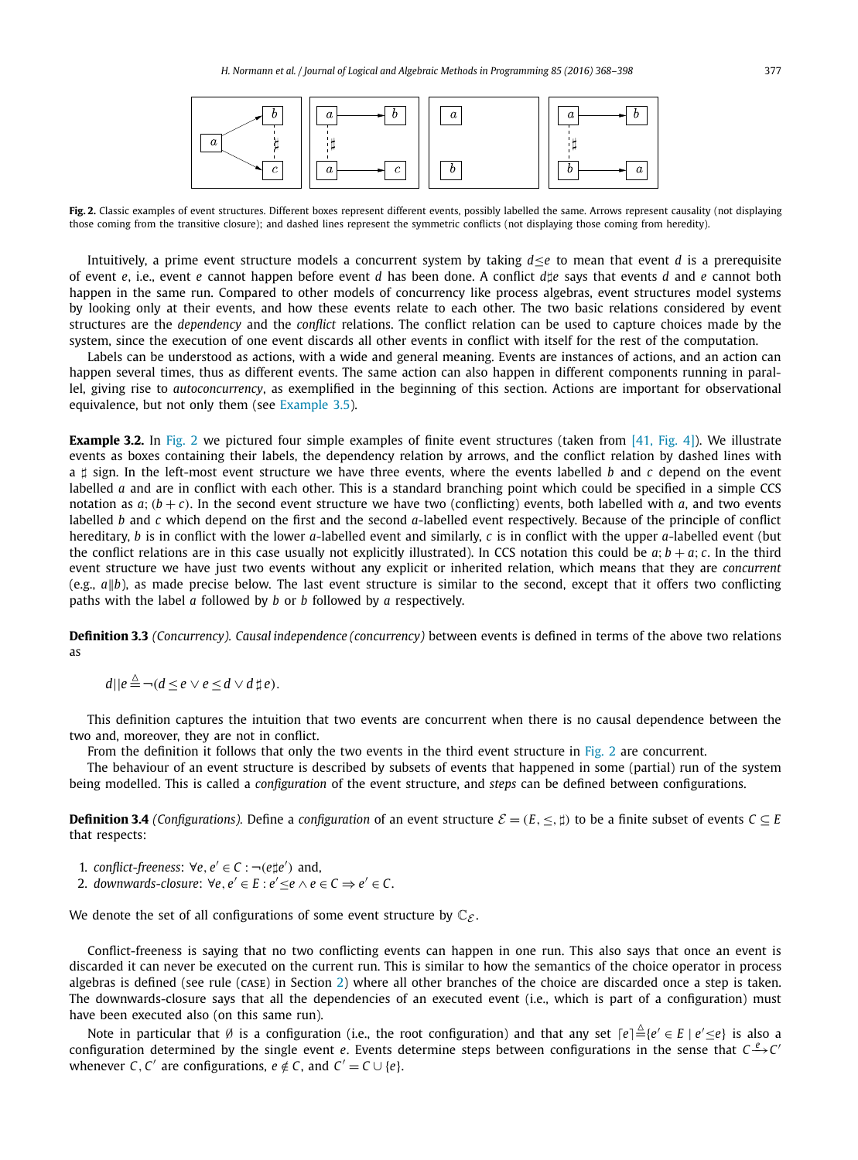<span id="page-9-0"></span>

**Fig. 2.** Classic examples of event structures. Different boxes represent different events, possibly labelled the same. Arrows represent causality (not displaying those coming from the transitive closure); and dashed lines represent the symmetric conflicts (not displaying those coming from heredity).

Intuitively, a prime event structure models a concurrent system by taking *d*≤*e* to mean that event *d* is a prerequisite of event *e*, i.e., event *e* cannot happen before event *d* has been done. A conflict *de* says that events *d* and *e* cannot both happen in the same run. Compared to other models of concurrency like process algebras, event structures model systems by looking only at their events, and how these events relate to each other. The two basic relations considered by event structures are the *dependency* and the *conflict* relations. The conflict relation can be used to capture choices made by the system, since the execution of one event discards all other events in conflict with itself for the rest of the computation.

Labels can be understood as actions, with a wide and general meaning. Events are instances of actions, and an action can happen several times, thus as different events. The same action can also happen in different components running in parallel, giving rise to *autoconcurrency*, as exemplified in the beginning of this section. Actions are important for observational equivalence, but not only them (see [Example 3.5\)](#page-10-0).

**Example 3.2.** In Fig. 2 we pictured four simple examples of finite event structures (taken from [41, [Fig. 4\]\)](#page-30-0). We illustrate events as boxes containing their labels, the dependency relation by arrows, and the conflict relation by dashed lines with a  $\sharp$  sign. In the left-most event structure we have three events, where the events labelled *b* and *c* depend on the event labelled *a* and are in conflict with each other. This is a standard branching point which could be specified in a simple CCS notation as  $a$ ;  $(b + c)$ . In the second event structure we have two (conflicting) events, both labelled with *a*, and two events labelled *b* and *c* which depend on the first and the second *a*-labelled event respectively. Because of the principle of conflict hereditary, *b* is in conflict with the lower *a*-labelled event and similarly, *c* is in conflict with the upper *a*-labelled event (but the conflict relations are in this case usually not explicitly illustrated). In CCS notation this could be  $a; b + a; c$ . In the third event structure we have just two events without any explicit or inherited relation, which means that they are *concurrent* (e.g., *ab*), as made precise below. The last event structure is similar to the second, except that it offers two conflicting paths with the label *a* followed by *b* or *b* followed by *a* respectively.

**Definition 3.3** *(Concurrency). Causal independence (concurrency)* between events is defined in terms of the above two relations as

$$
d||e \stackrel{\triangle}{=} \neg(d \leq e \vee e \leq d \vee d \,\sharp\, e).
$$

This definition captures the intuition that two events are concurrent when there is no causal dependence between the two and, moreover, they are not in conflict.

From the definition it follows that only the two events in the third event structure in Fig. 2 are concurrent.

The behaviour of an event structure is described by subsets of events that happened in some (partial) run of the system being modelled. This is called a *configuration* of the event structure, and *steps* can be defined between configurations.

**Definition 3.4** (Configurations). Define a *configuration* of an event structure  $\mathcal{E} = (E, \leq, \sharp)$  to be a finite subset of events  $C \subseteq E$ that respects:

- 1. *conflict-freeness*: ∀*e*, *e'* ∈ *C* : ¬(*e* $\sharp$ *e'*) and,
- 2. *downwards-closure*:  $\forall e, e' \in E : e' \leq e \land e \in C \Rightarrow e' \in C$ .

We denote the set of all configurations of some event structure by  $\mathbb{C}_{\mathcal{E}}$ .

Conflict-freeness is saying that no two conflicting events can happen in one run. This also says that once an event is discarded it can never be executed on the current run. This is similar to how the semantics of the choice operator in process algebras is defined (see rule (case) in Section [2\)](#page-2-0) where all other branches of the choice are discarded once a step is taken. The downwards-closure says that all the dependencies of an executed event (i.e., which is part of a configuration) must have been executed also (on this same run).

Note in particular that Ø is a configuration (i.e., the root configuration) and that any set  $\lceil e \rceil \triangleq \{e' \in E \mid e' \leq e\}$  is also a configuration determined by the single event *e*. Events determine steps between configurations in the sense that  $C \rightarrow C$ whenever *C*, *C*<sup> $\prime$ </sup> are configurations, *e*  $\notin$  *C*, and *C*<sup> $\prime$ </sup> = *C* ∪ {*e*}.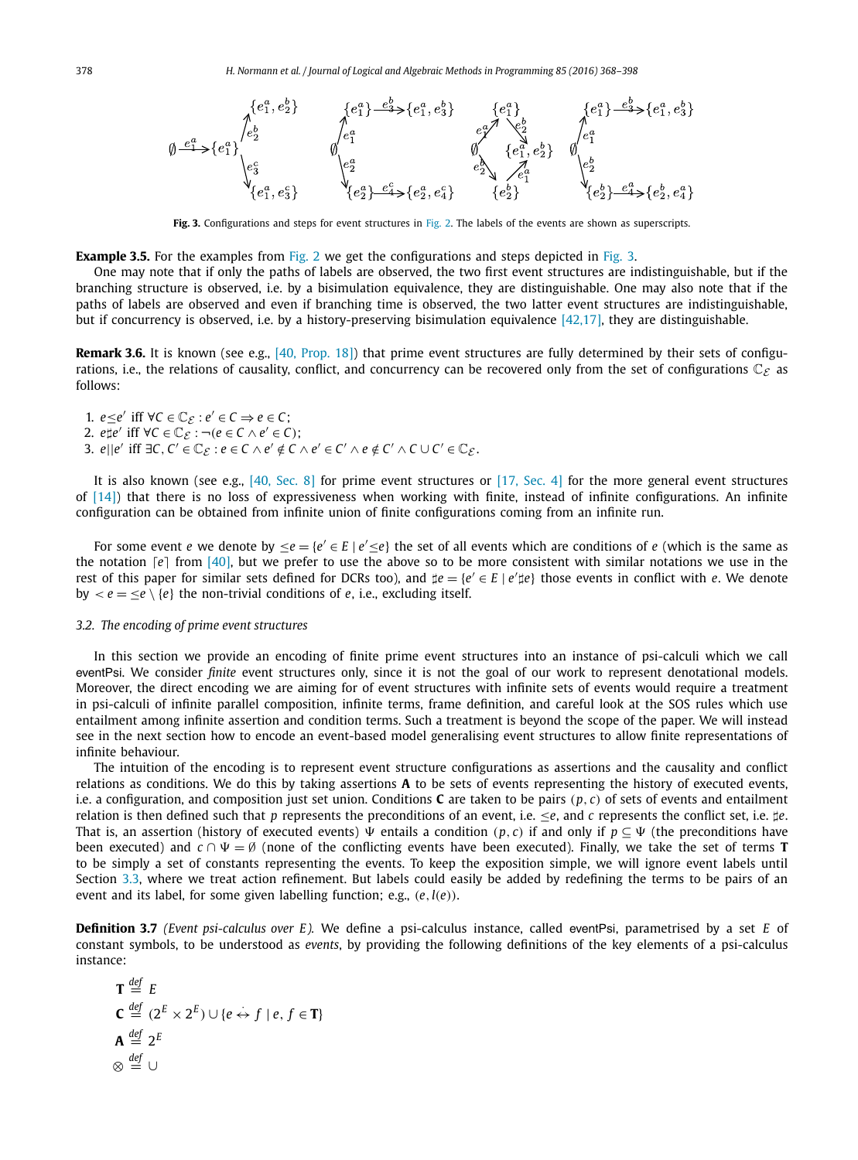<span id="page-10-0"></span>

**Fig. 3.** Configurations and steps for event structures in [Fig. 2.](#page-9-0) The labels of the events are shown as superscripts.

**Example 3.5.** For the examples from [Fig. 2](#page-9-0) we get the configurations and steps depicted in Fig. 3.

One may note that if only the paths of labels are observed, the two first event structures are indistinguishable, but if the branching structure is observed, i.e. by a bisimulation equivalence, they are distinguishable. One may also note that if the paths of labels are observed and even if branching time is observed, the two latter event structures are indistinguishable, but if concurrency is observed, i.e. by a history-preserving bisimulation equivalence [\[42,17\],](#page-30-0) they are distinguishable.

**Remark 3.6.** It is known (see e.g., [40, [Prop. 18\]\)](#page-30-0) that prime event structures are fully determined by their sets of configurations, i.e., the relations of causality, conflict, and concurrency can be recovered only from the set of configurations  $\mathbb{C}_{\mathcal{E}}$  as follows:

1.  $e \leq e'$  iff  $\forall C \in \mathbb{C}_{\mathcal{E}} : e' \in C \Rightarrow e \in C$ ; 2.  $e \sharp e'$  iff  $\forall C \in \mathbb{C} \varepsilon : \neg (e \in C \wedge e' \in C);$ 3.  $e||e' \text{ iff } \exists C, C' \in \mathbb{C}_{\mathcal{E}} : e \in C \land e' \notin C \land e' \in C' \land e \notin C' \land C \cup C' \in \mathbb{C}_{\mathcal{E}}.$ 

It is also known (see e.g.,  $[40, \text{Sec. 8}]$  for prime event structures or  $[17, \text{Sec. 4}]$  for the more general event structures of [\[14\]\)](#page-29-0) that there is no loss of expressiveness when working with finite, instead of infinite configurations. An infinite configuration can be obtained from infinite union of finite configurations coming from an infinite run.

For some event *e* we denote by  $\leq e = \{e' \in E \mid e' \leq e\}$  the set of all events which are conditions of *e* (which is the same as the notation  $[e]$  from  $[40]$ , but we prefer to use the above so to be more consistent with similar notations we use in the rest of this paper for similar sets defined for DCRs too), and  $\sharp e = \{e' \in E \mid e' \sharp e\}$  those events in conflict with *e*. We denote by  $\langle e \rangle \langle e \rangle$  are non-trivial conditions of *e*, i.e., excluding itself.

#### *3.2. The encoding of prime event structures*

In this section we provide an encoding of finite prime event structures into an instance of psi-calculi which we call eventPsi. We consider *finite* event structures only, since it is not the goal of our work to represent denotational models. Moreover, the direct encoding we are aiming for of event structures with infinite sets of events would require a treatment in psi-calculi of infinite parallel composition, infinite terms, frame definition, and careful look at the SOS rules which use entailment among infinite assertion and condition terms. Such a treatment is beyond the scope of the paper. We will instead see in the next section how to encode an event-based model generalising event structures to allow finite representations of infinite behaviour.

The intuition of the encoding is to represent event structure configurations as assertions and the causality and conflict relations as conditions. We do this by taking assertions **A** to be sets of events representing the history of executed events, i.e. a configuration, and composition just set union. Conditions  $C$  are taken to be pairs  $(p, c)$  of sets of events and entailment relation is then defined such that  $p$  represents the preconditions of an event, i.e.  $\leq e$ , and  $c$  represents the conflict set, i.e.  $\sharp e$ . That is, an assertion (history of executed events)  $\Psi$  entails a condition  $(p, c)$  if and only if  $p \subseteq \Psi$  (the preconditions have been executed) and  $c \cap \Psi = \emptyset$  (none of the conflicting events have been executed). Finally, we take the set of terms **T** to be simply a set of constants representing the events. To keep the exposition simple, we will ignore event labels until Section [3.3,](#page-14-0) where we treat action refinement. But labels could easily be added by redefining the terms to be pairs of an event and its label, for some given labelling function; e.g., *(e,l(e))*.

**Definition 3.7** *(Event psi-calculus over E ).* We define a psi-calculus instance, called eventPsi, parametrised by a set *E* of constant symbols, to be understood as *events*, by providing the following definitions of the key elements of a psi-calculus instance:

$$
\mathbf{T} \stackrel{\text{def}}{=} E
$$
\n
$$
\mathbf{C} \stackrel{\text{def}}{=} (2^{E} \times 2^{E}) \cup \{e \leftrightarrow f \mid e, f \in \mathbf{T}\}
$$
\n
$$
\mathbf{A} \stackrel{\text{def}}{=} 2^{E}
$$
\n
$$
\otimes \stackrel{\text{def}}{=} \cup
$$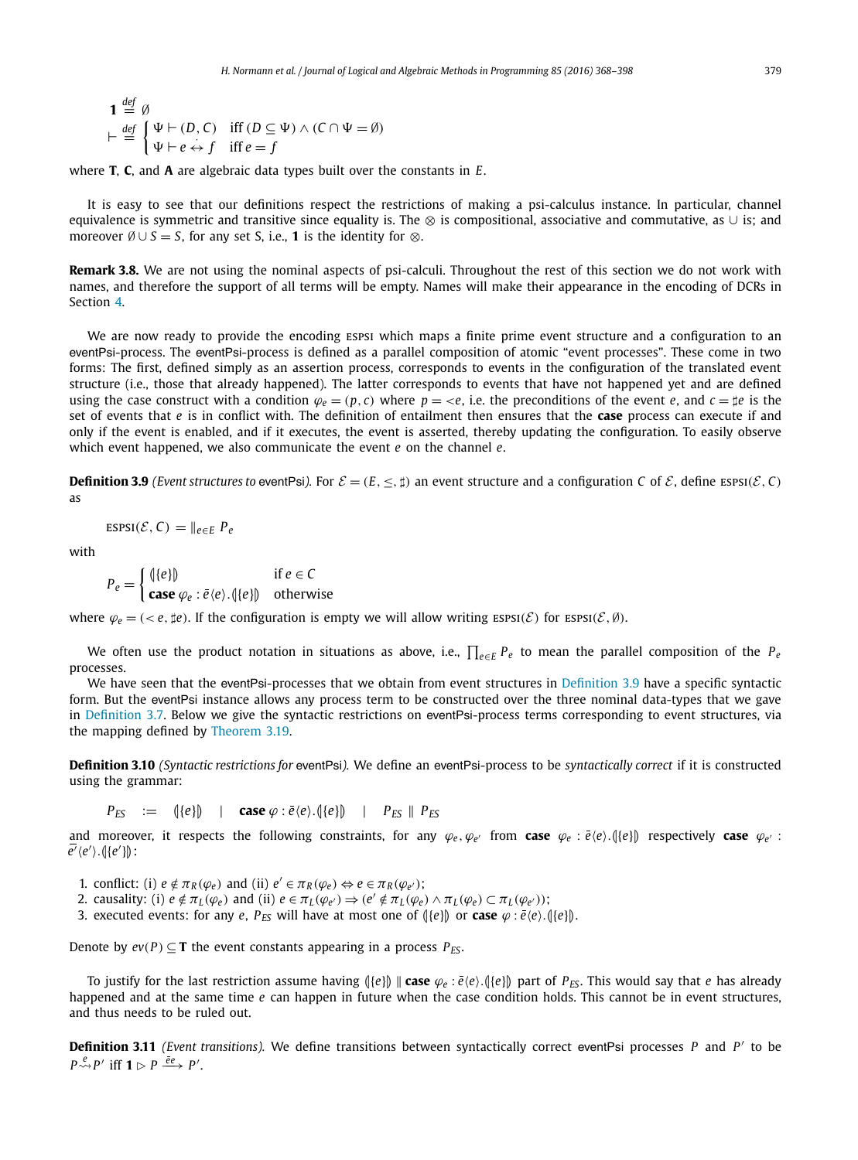<span id="page-11-0"></span>
$$
1 \stackrel{\text{def}}{=} \emptyset
$$
  
\n
$$
\vdash \stackrel{\text{def}}{=} \begin{cases} \Psi \vdash (D, C) & \text{iff } (D \subseteq \Psi) \land (C \cap \Psi = \emptyset) \\ \Psi \vdash e \leftrightarrow f & \text{iff } e = f \end{cases}
$$

where **T**, **C**, and **A** are algebraic data types built over the constants in *E*.

It is easy to see that our definitions respect the restrictions of making a psi-calculus instance. In particular, channel equivalence is symmetric and transitive since equality is. The ⊗ is compositional, associative and commutative, as  $\cup$  is; and moreover  $\emptyset \cup S = S$ , for any set S, i.e., **1** is the identity for  $\otimes$ .

**Remark 3.8.** We are not using the nominal aspects of psi-calculi. Throughout the rest of this section we do not work with names, and therefore the support of all terms will be empty. Names will make their appearance in the encoding of DCRs in Section [4.](#page-16-0)

We are now ready to provide the encoding espsi which maps a finite prime event structure and a configuration to an eventPsi-process. The eventPsi-process is defined as a parallel composition of atomic "event processes". These come in two forms: The first, defined simply as an assertion process, corresponds to events in the configuration of the translated event structure (i.e., those that already happened). The latter corresponds to events that have not happened yet and are defined using the case construct with a condition  $\varphi_e = (p, c)$  where  $p = \langle e,$  i.e. the preconditions of the event *e*, and  $c = \sharp e$  is the set of events that *e* is in conflict with. The definition of entailment then ensures that the **case** process can execute if and only if the event is enabled, and if it executes, the event is asserted, thereby updating the configuration. To easily observe which event happened, we also communicate the event *e* on the channel *e*.

**Definition 3.9** (Event structures to event Psi). For  $\mathcal{E} = (E, \leq, \sharp)$  an event structure and a configuration C of E, define  $ESIS(\mathcal{E}, C)$ as

$$
ESPSI(\mathcal{E}, C) = ||_{e \in E} P_e
$$

with

$$
P_e = \begin{cases} \langle \{e\} \rangle & \text{if } e \in C \\ \text{case } \varphi_e : \bar{e} \langle e \rangle . \langle \{e\} \rangle & \text{otherwise} \end{cases}
$$

where  $\varphi_e = \langle \langle e, \phi \rangle$ . If the configuration is empty we will allow writing  $ESPSI(\mathcal{E})$  for  $ESPSI(\mathcal{E}, \emptyset)$ .

We often use the product notation in situations as above, i.e., *<sup>e</sup>*∈*<sup>E</sup> Pe* to mean the parallel composition of the *Pe* processes.

We have seen that the eventPsi-processes that we obtain from event structures in Definition 3.9 have a specific syntactic form. But the eventPsi instance allows any process term to be constructed over the three nominal data-types that we gave in [Definition 3.7.](#page-10-0) Below we give the syntactic restrictions on eventPsi-process terms corresponding to event structures, via the mapping defined by [Theorem 3.19.](#page-13-0)

**Definition 3.10** *(Syntactic restrictions for* eventPsi*).* We define an eventPsi-process to be *syntactically correct* if it is constructed using the grammar:

 $P_{ES}$  :=  $(|{e}|)$  | **case**  $\varphi$  :  $\overline{e} \langle e \rangle$ .  $(|{e}|)$  |  $P_{ES}$  ||  $P_{FS}$ 

and moreover, it respects the following constraints, for any  $\varphi_e, \varphi_e$  from **case**  $\varphi_e : \vec{e}\langle e \rangle$ . ( $\{e\}$ ) respectively **case**  $\varphi_e$ : *e*<sup>'</sup>  $\langle e' \rangle$ .  $(\{e'\})$ :

1. conflict: (i)  $e \notin \pi_R(\varphi_e)$  and (ii)  $e' \in \pi_R(\varphi_e) \Leftrightarrow e \in \pi_R(\varphi_{e'})$ ;

2. causality: (i)  $e \notin \pi_L(\varphi_e)$  and (ii)  $e \in \pi_L(\varphi_{e'}) \Rightarrow (e' \notin \pi_L(\varphi_e) \land \pi_L(\varphi_e) \subset \pi_L(\varphi_{e'}))$ ;

3. executed events: for any *e*,  $P_{ES}$  will have at most one of  $\{e\}\$  or **case**  $\varphi : \overline{e}\langle e \rangle \cdot (\{e\})$ .

Denote by  $ev(P) \subseteq T$  the event constants appearing in a process  $P_{ES}$ .

To justify for the last restriction assume having  $(\{e\}) \parallel \mathbf{case} \varphi_e : \bar{e}\langle e \rangle$ .  $(\{e\}) \parallel \mathbf{part}$  of  $P_{ES}$ . This would say that *e* has already happened and at the same time *e* can happen in future when the case condition holds. This cannot be in event structures, and thus needs to be ruled out.

**Definition 3.11** *(Event transitions).* We define transitions between syntactically correct eventPsi processes *P* and *P* to be  $P \stackrel{e}{\leadsto} P'$  iff  $\mathbf{1} \triangleright P \stackrel{\bar{e}e}{\longrightarrow} P'$ .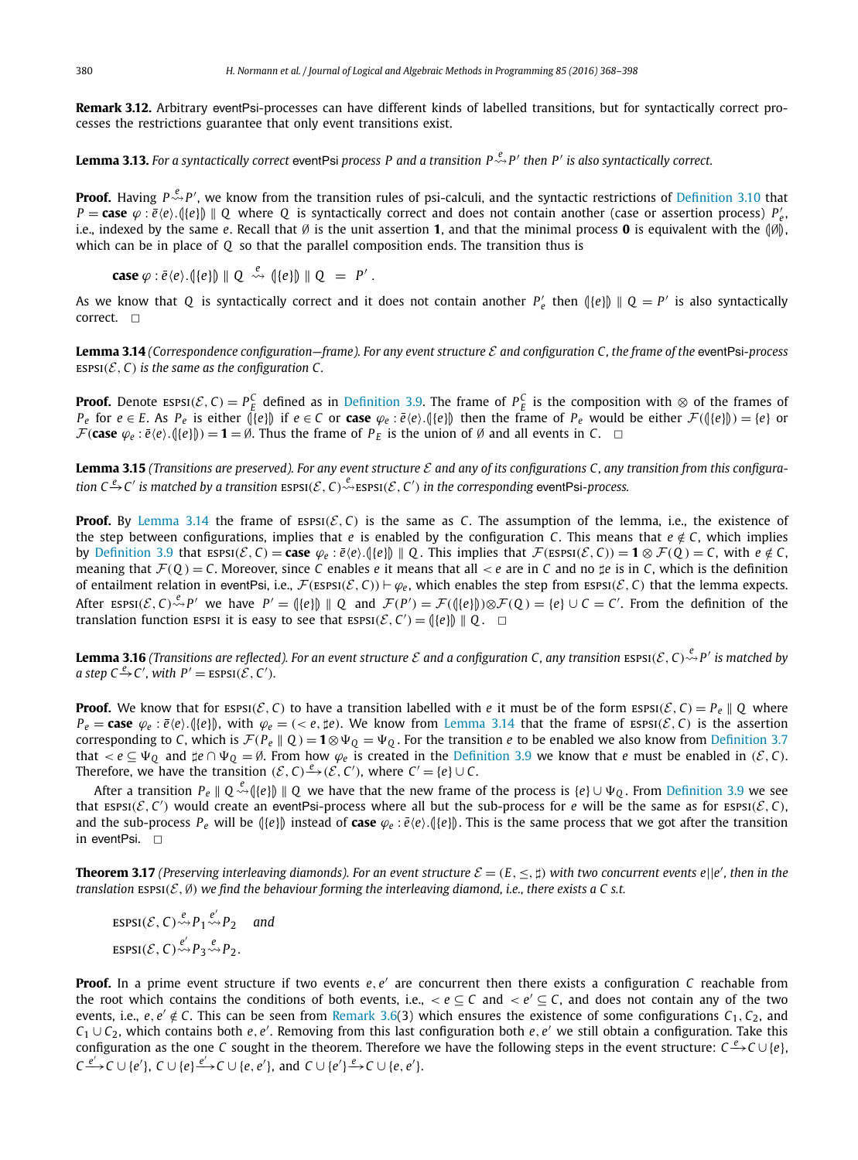<span id="page-12-0"></span>**Remark 3.12.** Arbitrary eventPsi-processes can have different kinds of labelled transitions, but for syntactically correct processes the restrictions guarantee that only event transitions exist.

**Lemma 3.13.** For a syntactically correct eventPsi process P and a transition  $P\overset{e}{\leadsto}P'$  then  $P'$  is also syntactically correct.

**Proof.** Having  $P \stackrel{e}{\leadsto} P'$ , we know from the transition rules of psi-calculi, and the syntactic restrictions of [Definition 3.10](#page-11-0) that  $P = \text{case} \ \varphi : \bar{e}\langle e \rangle \langle e | e \rangle \langle e | e \rangle$  || Q where Q is syntactically correct and does not contain another (case or assertion process)  $P'_e$ i.e., indexed by the same *e*. Recall that Ø is the unit assertion **1**, and that the minimal process **0** is equivalent with the  $(\emptyset \emptyset)$ . which can be in place of *Q* so that the parallel composition ends. The transition thus is

**case**  $\varphi : \bar{e}\langle e \rangle . (\lbrace e \rbrace \rbrace \parallel Q \stackrel{e}{\leadsto} (\lbrace e \rbrace \rbrace \parallel Q = P'$ .

As we know that *Q* is syntactically correct and it does not contain another  $P'_e$  then  $(\{e\}) \parallel Q = P'$  is also syntactically correct.  $\Box$ 

**Lemma 3.14** (Correspondence configuration–frame). For any event structure  $E$  and configuration C, the frame of the eventPsi-process  $\text{ESPSI}(\mathcal{E}, \mathcal{C})$  *is the same as the configuration*  $\mathcal{C}$ *.* 

**Proof.** Denote  $ESPSI(\mathcal{E}, C) = P_E^C$  defined as in [Definition 3.9.](#page-11-0) The frame of  $P_E^C$  is the composition with ⊗ of the frames of  $P_e$  for  $e \in E$ . As  $P_e$  is either  $(\{e\})$  if  $e \in C$  or case  $\varphi_e : e \in (e)$ .  $(\{e\})$  then the frame of  $P_e$  would be either  $\mathcal{F}(\{\{e\}\}) = \{e\}$  or *F*(**case**  $\varphi_e : \overline{e} \langle e \rangle$ .  $(\{e\})$ ) = **1** = Ø. Thus the frame of  $P_E$  is the union of Ø and all events in *C*. □

Lemma 3.15 (Transitions are preserved). For any event structure  $\mathcal E$  and any of its configurations C, any transition from this configuration  $C \xrightarrow{e} C'$  is matched by a transition  $ESPSI(\mathcal{E}, C) \xrightarrow{e} ESPSI(\mathcal{E}, C')$  in the corresponding eventPsi-process.

**Proof.** By Lemma 3.14 the frame of  $ESPSI(\mathcal{E}, \mathcal{C})$  is the same as *C*. The assumption of the lemma, i.e., the existence of the step between configurations, implies that *e* is enabled by the configuration *C*. This means that  $e \notin C$ , which implies by [Definition 3.9](#page-11-0) that  $ESPS(\mathcal{E}, C) = \text{case } \varphi_e : \overline{e}\langle e \rangle$ . ( $\{e\}\}\| Q$ . This implies that  $\mathcal{F}(ESPS(\mathcal{E}, C)) = 1 \otimes \mathcal{F}(Q) = C$ , with  $e \notin C$ , meaning that  $\mathcal{F}(Q) = C$ . Moreover, since *C* enables *e* it means that all  $\lt e$  are in *C* and no  $\sharp e$  is in *C*, which is the definition of entailment relation in eventPsi, i.e.,  $\mathcal{F}(\text{ESPSI}(\mathcal{E}, C)) \vdash \varphi_e$ , which enables the step from  $\text{ESPSI}(\mathcal{E}, C)$  that the lemma expects. After  $ESPSI(\mathcal{E}, C) \stackrel{e}{\leadsto} P'$  we have  $P' = (\{e\}) \parallel Q$  and  $\mathcal{F}(P') = \mathcal{F}(\{\{e\}\}) \otimes \mathcal{F}(Q) = \{e\} \cup C = C'$ . From the definition of the translation function espsi it is easy to see that  $ESPSI(\mathcal{E}, C') = (\{e\}) \parallel Q$ .  $\Box$ 

**Lemma 3.16** (Transitions are reflected). For an event structure  ${\cal E}$  and a configuration C, any transition ESPSI( ${\cal E}$ , C) $\stackrel{e}{\leadsto}$ P' is matched by *a step*  $C \xrightarrow{e} C'$ *, with*  $P' = \text{ESPSI}(\mathcal{E}, C').$ 

**Proof.** We know that for  $ESPSI(E, C)$  to have a transition labelled with *e* it must be of the form  $ESPSI(E, C) = P_e \parallel Q$  where  $P_e = \text{case } \varphi_e : \bar{e}\langle e \rangle$ . ( $\{e\}\rangle$ ), with  $\varphi_e = \langle e, \sharp e \rangle$ . We know from Lemma 3.14 that the frame of ESPSI( $\mathcal{E}, \mathcal{C}$ ) is the assertion corresponding to *C*, which is  $\mathcal{F}(P_e \parallel Q) = 1 \otimes \Psi_Q = \Psi_Q$ . For the transition *e* to be enabled we also know from [Definition 3.7](#page-10-0) that  $\langle e \rangle \subseteq \Psi_Q$  and  $\sharp e \cap \Psi_Q = \emptyset$ . From how  $\varphi_e$  is created in the [Definition 3.9](#page-11-0) we know that  $e$  must be enabled in  $(\mathcal{E}, \mathsf{C})$ . Therefore, we have the transition  $(\mathcal{E}, C) \xrightarrow{e} (\mathcal{E}, C')$ , where  $C' = \{e\} \cup C$ .

After a transition  $P_e \parallel Q \stackrel{e}{\leadsto} (\{e\}) \parallel Q$  we have that the new frame of the process is  $\{e\} \cup \Psi_Q$ . From [Definition 3.9](#page-11-0) we see that  $ESPSI(\mathcal{E}, \mathcal{C}')$  would create an eventPsi-process where all but the sub-process for *e* will be the same as for  $ESPSI(\mathcal{E}, \mathcal{C})$ , and the sub-process  $P_e$  will be  $(\{e\})$  instead of **case**  $\varphi_e : \overline{e}\langle e \rangle$ .  $(\{e\})$ . This is the same process that we got after the transition in eventPsi.  $\Box$ 

**Theorem 3.17** (Preserving interleaving diamonds). For an event structure  $\mathcal{E} = (E, \leq, \sharp)$  with two concurrent events  $e||e'$ , then in the translation ESPSI( $\mathcal{E}, \emptyset$ ) we find the behaviour forming the interleaving diamond, i.e., there exists a C s.t.

 $\text{ESPSI}(\mathcal{E}, \mathcal{C}) \stackrel{e}{\leadsto} P_1 \stackrel{e'}{\leadsto} P_2$  and ESPSI(*E*, *C*) $\stackrel{e'}{\leadsto} P_3 \stackrel{e}{\leadsto} P_2$ .

**Proof.** In a prime event structure if two events  $e, e'$  are concurrent then there exists a configuration C reachable from the root which contains the conditions of both events, i.e.,  $\langle e \rangle \subset C$  and  $\langle e' \rangle \subset C$ , and does not contain any of the two events, i.e.,  $e, e' \notin C$ . This can be seen from [Remark 3.6\(](#page-10-0)3) which ensures the existence of some configurations  $C_1, C_2$ , and  $C_1$  ∪  $C_2$ , which contains both *e*, *e'*. Removing from this last configuration both *e*, *e'* we still obtain a configuration. Take this configuration as the one *C* sought in the theorem. Therefore we have the following steps in the event structure:  $C \rightarrow C \cup \{e\}$ *C*  $\stackrel{e'}{\longrightarrow}$ *C* ∪ {*e'*}, *C* ∪ {*e*} $\stackrel{e'}{\longrightarrow}$ *C* ∪ {*e*,*e'*}, and *C* ∪ {*e'*} $\stackrel{e}{\longrightarrow}$ *C* ∪ {*e*,*e'*}.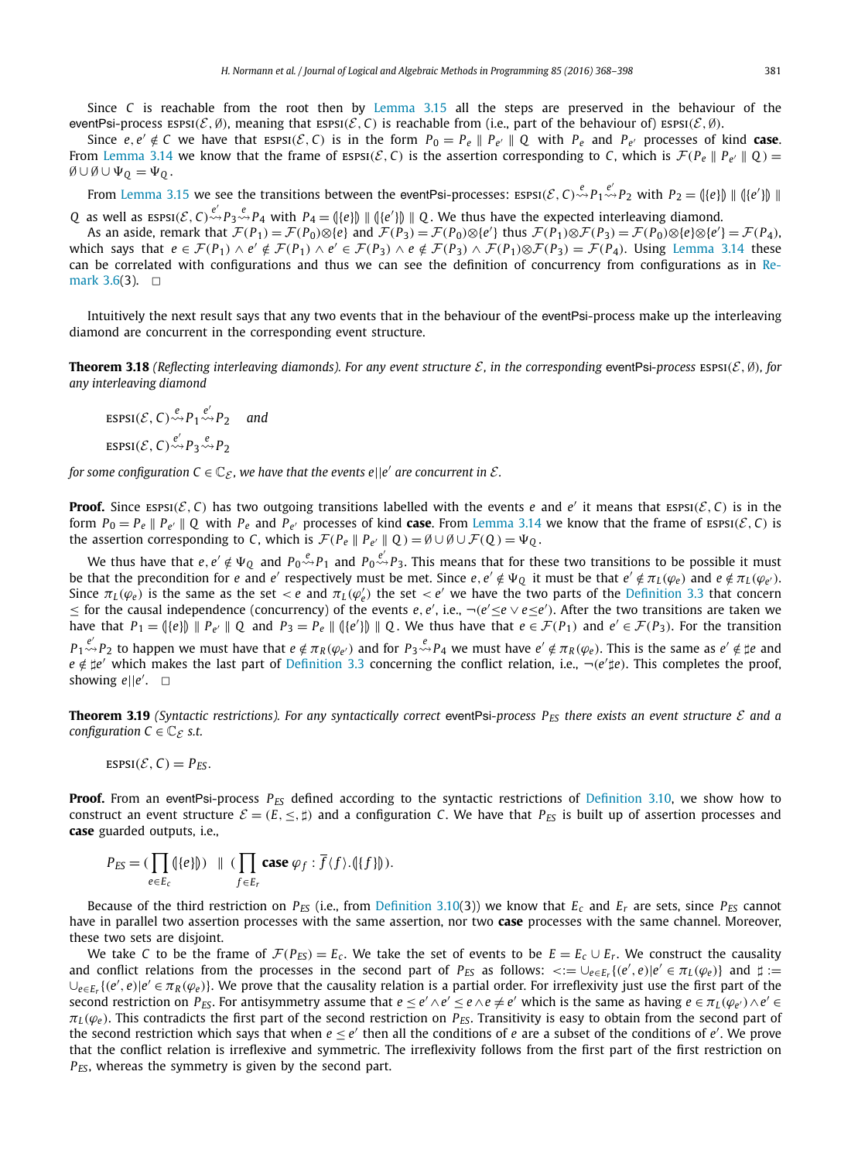<span id="page-13-0"></span>Since *C* is reachable from the root then by [Lemma 3.15](#page-12-0) all the steps are preserved in the behaviour of the eventPsi-process  $ESPSI(\mathcal{E}, \emptyset)$ , meaning that  $ESPSI(\mathcal{E}, \mathcal{C})$  is reachable from (i.e., part of the behaviour of)  $ESPSI(\mathcal{E}, \emptyset)$ .

Since  $e, e' \notin C$  we have that  $ESPSI(\mathcal{E}, C)$  is in the form  $P_0 = P_e \parallel P_{e'} \parallel Q$  with  $P_e$  and  $P_{e'}$  processes of kind **case.** From [Lemma 3.14](#page-12-0) we know that the frame of  $ESPSI(\mathcal{E}, \mathcal{C})$  is the assertion corresponding to *C*, which is  $\mathcal{F}(P_e \parallel P_{e'} \parallel Q)$  =  $\emptyset$ ∪ $\emptyset$ ∪ $\Psi$ <sub>Q</sub> =  $\Psi$ <sub>Q</sub>.

From [Lemma 3.15](#page-12-0) we see the transitions between the eventPsi-processes:  $ESPSI(\mathcal{E}, C) \stackrel{e}{\leadsto} P_1 \stackrel{e'}{\leadsto} P_2$  with  $P_2 = (\{e\}) \parallel (\{e'\}) \parallel$ 

*Q* as well as  $ESPSI(\mathcal{E}, C) \stackrel{e'}{\rightsquigarrow} P_4$  with  $P_4 = (\{e\}) \parallel (\{e'\}) \parallel Q$ . We thus have the expected interleaving diamond.

As an aside, remark that  $\mathcal{F}(P_1) = \mathcal{F}(P_0) \otimes \{e\}$  and  $\mathcal{F}(P_3) = \mathcal{F}(P_0) \otimes \{e'\}$  thus  $\mathcal{F}(P_1) \otimes \mathcal{F}(P_3) = \mathcal{F}(P_0) \otimes \{e\} \otimes \{e'\} = \mathcal{F}(P_4)$ , which says that  $e \in \mathcal{F}(P_1) \wedge e' \notin \mathcal{F}(P_1) \wedge e' \in \mathcal{F}(P_3) \wedge e \notin \mathcal{F}(P_3) \wedge \mathcal{F}(P_1) \otimes \mathcal{F}(P_3) = \mathcal{F}(P_4)$ . Using [Lemma 3.14](#page-12-0) these can be correlated with configurations and thus we can see the definition of concurrency from configurations as in [Re](#page-10-0)mark  $3.6(3)$ .  $\Box$ 

Intuitively the next result says that any two events that in the behaviour of the eventPsi-process make up the interleaving diamond are concurrent in the corresponding event structure.

**Theorem 3.18** (Reflecting interleaving diamonds). For any event structure  $\mathcal{E}$ , in the corresponding eventPsi-process ESPSI( $\mathcal{E}$ ,  $\emptyset$ ), for *any interleaving diamond*

 $\text{ESPSI}(\mathcal{E}, \mathcal{C}) \stackrel{e}{\leadsto} P_1 \stackrel{e'}{\leadsto} P_2$  and  $\text{ESPSI}(\mathcal{E}, \mathcal{C}) \stackrel{e'}{\leadsto} P_3 \stackrel{e}{\leadsto} P_2$ 

*for* some configuration  $C \in \mathbb{C}_{\mathcal{E}}$ , we have that the events  $e||e'$  are concurrent in  $\mathcal{E}$ .

**Proof.** Since  $ESPSI(\mathcal{E}, \mathcal{C})$  has two outgoing transitions labelled with the events *e* and *e'* it means that  $ESPSI(\mathcal{E}, \mathcal{C})$  is in the form  $P_0 = P_e \parallel P_{e'} \parallel Q$  with  $P_e$  and  $P_{e'}$  processes of kind **case**. From [Lemma 3.14](#page-12-0) we know that the frame of  $\text{ESPSI}(\mathcal{E}, \mathcal{C})$  is the assertion corresponding to *C*, which is  $\mathcal{F}(P_e \parallel P_{e'} \parallel Q) = \emptyset \cup \emptyset \cup \mathcal{F}(Q) = \Psi_Q$ .

We thus have that  $e, e' \notin \Psi_Q$  and  $P_0 \stackrel{e}{\leadsto} P_1$  and  $P_0 \stackrel{e'}{\leadsto} P_3$ . This means that for these two transitions to be possible it must be that the precondition for e and e' respectively must be met. Since  $e,e'\notin \Psi_Q$  it must be that  $e'\notin \pi_L(\varphi_e)$  and  $e\notin \pi_L(\varphi_{e'}).$ Since  $\pi_L(\varphi_e)$  is the same as the set  $\lt e$  and  $\pi_L(\varphi'_e)$  the set  $\lt e'$  we have the two parts of the [Definition 3.3](#page-9-0) that concern  $\leq$  for the causal independence (concurrency) of the events *e*, *e'*, i.e.,  $\neg(e' \leq e \vee e \leq e')$ . After the two transitions are taken we have that  $P_1 = (\{e\}) \parallel P_{e'} \parallel Q$  and  $P_3 = P_e \parallel (\{e'\}) \parallel Q$ . We thus have that  $e \in \mathcal{F}(P_1)$  and  $e' \in \mathcal{F}(P_3)$ . For the transition  $P_1\stackrel{e'}{\leadsto}P_2$  to happen we must have that  $e\notin \pi_R(\varphi_{e'})$  and for  $P_3\stackrel{e}{\leadsto}P_4$  we must have  $e'\notin \pi_R(\varphi_e).$  This is the same as  $e'\notin\sharp e$  and *e* ∉ ‡*e'* which makes the last part of [Definition 3.3](#page-9-0) concerning the conflict relation, i.e., ¬(*e'* ‡*e*). This completes the proof, showing  $e||e'$ .  $\Box$ 

**Theorem 3.19** (Syntactic restrictions). For any syntactically correct eventPsi-process  $P_{ES}$  there exists an event structure  $\mathcal E$  and a *configuration*  $C \in \mathbb{C}_{\mathcal{E}}$  *s.t.* 

 $\text{ESPSI}(\mathcal{E}, \mathcal{C}) = P_{FS}.$ 

**Proof.** From an eventPsi-process  $P_{ES}$  defined according to the syntactic restrictions of [Definition 3.10,](#page-11-0) we show how to construct an event structure  $\mathcal{E} = (E, \leq, \sharp)$  and a configuration *C*. We have that  $P_{ES}$  is built up of assertion processes and **case** guarded outputs, i.e.,

$$
P_{ES} = (\prod_{e \in E_c} (\{e\}) ) \parallel (\prod_{f \in E_r} \text{case } \varphi_f : \overline{f} \langle f \rangle . (\{f\}) ).
$$

Because of the third restriction on  $P_{ES}$  (i.e., from [Definition 3.10\(](#page-11-0)3)) we know that  $E_c$  and  $E_r$  are sets, since  $P_{ES}$  cannot have in parallel two assertion processes with the same assertion, nor two **case** processes with the same channel. Moreover, these two sets are disjoint.

We take *C* to be the frame of  $\mathcal{F}(P_{ES}) = E_c$ . We take the set of events to be  $E = E_c \cup E_r$ . We construct the causality and conflict relations from the processes in the second part of  $P_{ES}$  as follows:  $\langle \cdot := \cup_{e \in E_r} \{ (e', e) | e' \in \pi_L(\varphi_e) \}$  and  $\sharp :=$  $\cup_{e\in E_r}\{(e',e)|e'\in\pi_R(\varphi_e)\}.$  We prove that the causality relation is a partial order. For irreflexivity just use the first part of the second restriction on *P<sub>ES</sub>*. For antisymmetry assume that  $e \le e' \land e' \le e \land e \ne e'$  which is the same as having  $e \in \pi_L(\varphi_{e'}) \land e' \in \pi_L(\varphi_{e'})$  $\pi_l(\varphi_e)$ . This contradicts the first part of the second restriction on  $P_{FS}$ . Transitivity is easy to obtain from the second part of the second restriction which says that when  $e \le e'$  then all the conditions of *e* are a subset of the conditions of  $e'$ . We prove that the conflict relation is irreflexive and symmetric. The irreflexivity follows from the first part of the first restriction on *PES*, whereas the symmetry is given by the second part.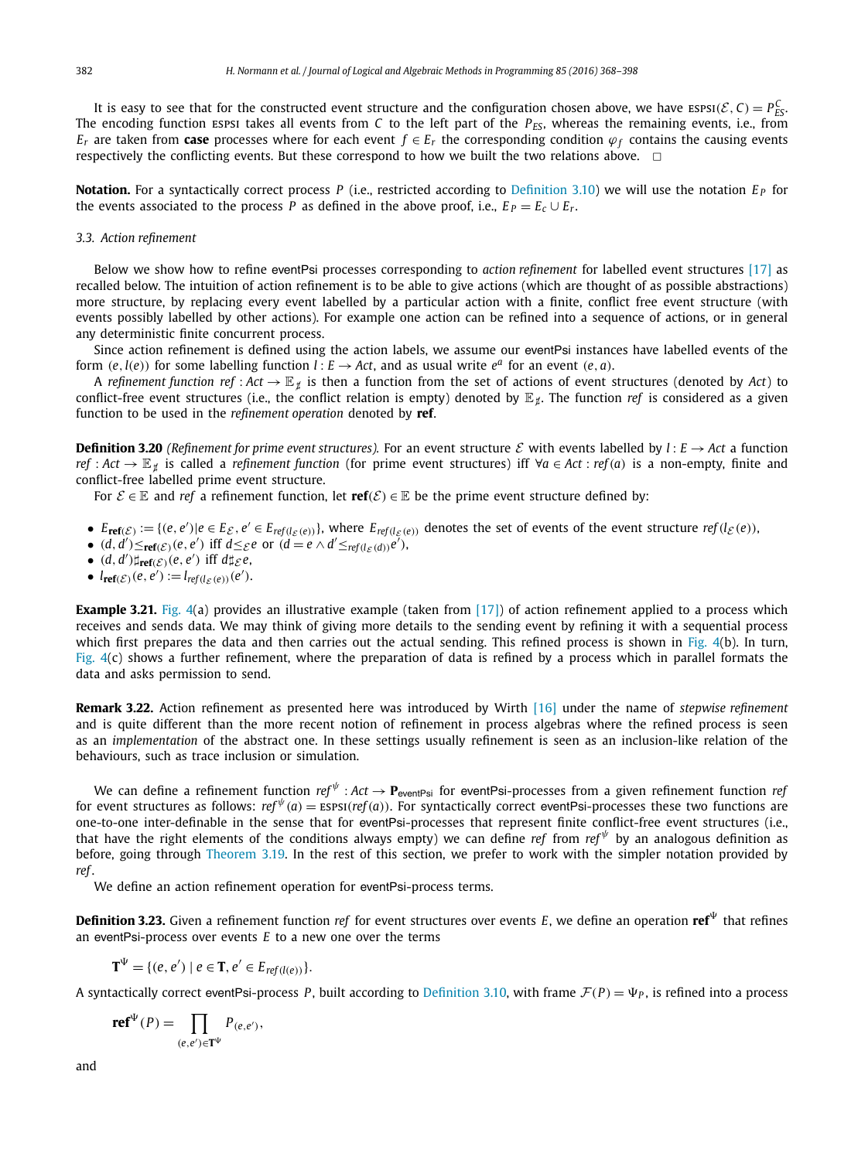<span id="page-14-0"></span>It is easy to see that for the constructed event structure and the configuration chosen above, we have  $ESIS(\mathcal{E}, C) = P_{ES}^C$ The encoding function espsi takes all events from *C* to the left part of the *P<sub>ES</sub>*, whereas the remaining events, i.e., from *E<sub>r</sub>* are taken from **case** processes where for each event  $f \in E_r$  the corresponding condition  $\varphi_f$  contains the causing events respectively the conflicting events. But these correspond to how we built the two relations above.  $\Box$ 

**Notation.** For a syntactically correct process *P* (i.e., restricted according to [Definition 3.10\)](#page-11-0) we will use the notation  $E<sub>P</sub>$  for the events associated to the process *P* as defined in the above proof, i.e.,  $E_P = E_C \cup E_r$ .

#### *3.3. Action refinement*

Below we show how to refine eventPsi processes corresponding to *action refinement* for labelled event structures [\[17\]](#page-29-0) as recalled below. The intuition of action refinement is to be able to give actions (which are thought of as possible abstractions) more structure, by replacing every event labelled by a particular action with a finite, conflict free event structure (with events possibly labelled by other actions). For example one action can be refined into a sequence of actions, or in general any deterministic finite concurrent process.

Since action refinement is defined using the action labels, we assume our eventPsi instances have labelled events of the form  $(e, l(e))$  for some labelling function  $l: E \rightarrow Act$ , and as usual write  $e^a$  for an event  $(e, a)$ .

A *refinement function ref* :  $Act \rightarrow \mathbb{E}_{\mathcal{H}}$  is then a function from the set of actions of event structures (denoted by Act) to conflict-free event structures (i.e., the conflict relation is empty) denoted by  $\mathbb{E}_{\mathcal{H}}$ . The function *ref* is considered as a given function to be used in the *refinement operation* denoted by **ref**.

**Definition 3.20** (Refinement for prime event structures). For an event structure E with events labelled by  $l: E \rightarrow Act$  a function *ref* : *Act* → E is called <sup>a</sup> *refinement function* (for prime event structures) iff ∀*<sup>a</sup>* ∈ *Act* : *ref(a)* is <sup>a</sup> non-empty, finite and conflict-free labelled prime event structure.

For  $\mathcal{E} \in \mathbb{E}$  and *ref* a refinement function, let **ref** $(\mathcal{E}) \in \mathbb{E}$  be the prime event structure defined by:

- $E_{\text{ref}(\mathcal{E})} := \{(e, e') | e \in E_{\mathcal{E}}, e' \in E_{\text{ref}(\mathcal{E}(e))}\}\$ , where  $E_{\text{ref}(\mathcal{E}(e))}$  denotes the set of events of the event structure  $\text{ref}(\mathcal{E}(e))$ ,
- $(d, d') \leq_{\text{ref}(\mathcal{E})}(e, e')$  iff  $d \leq_{\mathcal{E}} e$  or  $(d = e \wedge d' \leq_{\text{ref}(l_{\mathcal{E}}(d))} e'),$
- $(d, d')\sharp_{\text{ref}(\mathcal{E})}(e, e')$  iff  $d\sharp_{\mathcal{E}}e$ ,
- $l_{ref(\mathcal{E})}(e, e') := l_{ref(l_{\mathcal{E}}(e))}(e').$

**Example 3.21.** [Fig. 4\(](#page-15-0)a) provides an illustrative example (taken from [\[17\]\)](#page-29-0) of action refinement applied to a process which receives and sends data. We may think of giving more details to the sending event by refining it with a sequential process which first prepares the data and then carries out the actual sending. This refined process is shown in [Fig. 4\(](#page-15-0)b). In turn, Fig.  $4(c)$  shows a further refinement, where the preparation of data is refined by a process which in parallel formats the data and asks permission to send.

**Remark 3.22.** Action refinement as presented here was introduced by Wirth [\[16\]](#page-29-0) under the name of *stepwise refinement* and is quite different than the more recent notion of refinement in process algebras where the refined process is seen as an *implementation* of the abstract one. In these settings usually refinement is seen as an inclusion-like relation of the behaviours, such as trace inclusion or simulation.

We can define a refinement function  $ref^{\psi}: Act \to \mathbf{P}_{eventPsi}$  for eventPsi-processes from a given refinement function *ref* for event structures as follows:  $ref^{\psi}(a) = \text{ESPSI}(ref(a))$ . For syntactically correct eventPsi-processes these two functions are one-to-one inter-definable in the sense that for eventPsi-processes that represent finite conflict-free event structures (i.e., that have the right elements of the conditions always empty) we can define *ref* from  $ref^{\psi}$  by an analogous definition as before, going through [Theorem 3.19.](#page-13-0) In the rest of this section, we prefer to work with the simpler notation provided by *ref*.

We define an action refinement operation for eventPsi-process terms.

**Definition 3.23.** Given a refinement function *ref* for event structures over events *E*, we define an operation **ref***-* that refines an eventPsi-process over events *E* to a new one over the terms

$$
\mathbf{T}^{\Psi} = \{ (e, e') \mid e \in \mathbf{T}, e' \in E_{\text{ref}(l(e))} \}.
$$

A syntactically correct eventPsi-process P, built according to [Definition 3.10,](#page-11-0) with frame  $\mathcal{F}(P) = \Psi_P$ , is refined into a process

$$
\text{ref}^{\Psi}(P) = \prod_{(e,e') \in \mathbf{T}^{\Psi}} P_{(e,e')},
$$

and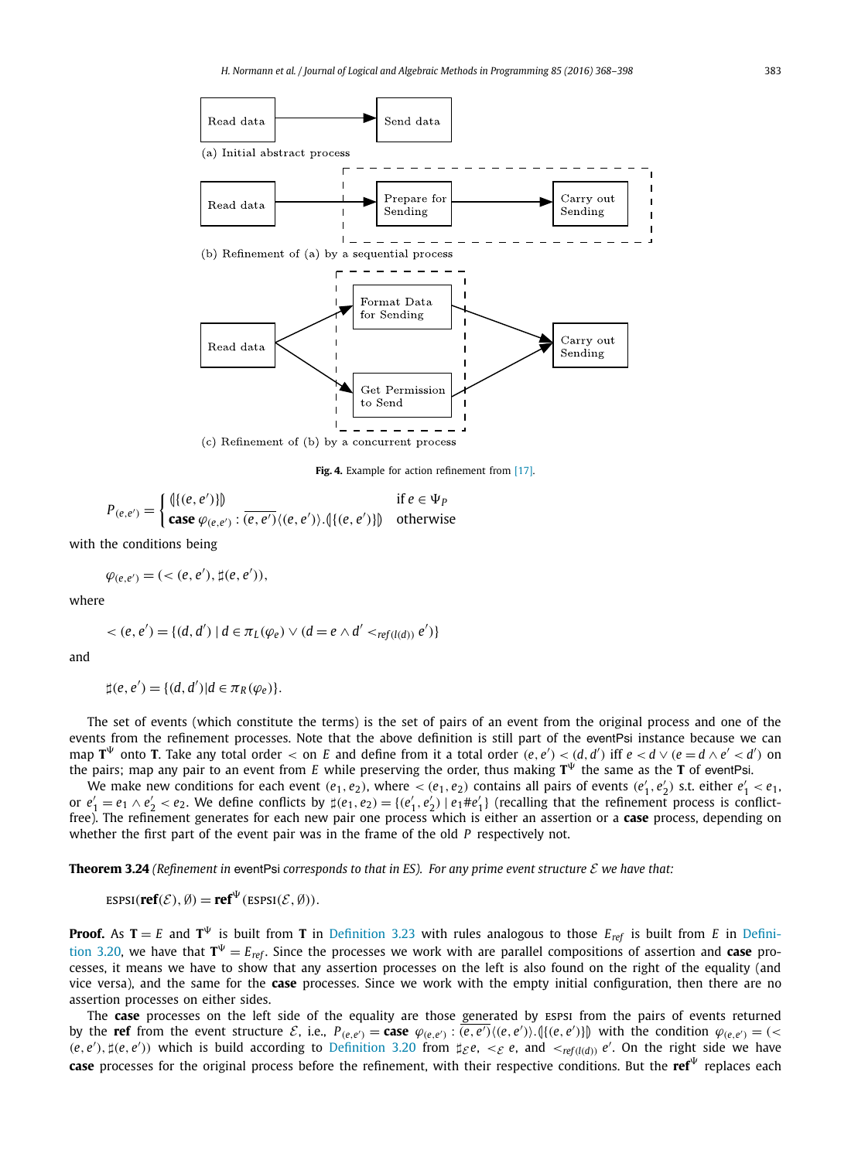<span id="page-15-0"></span>

Fig. 4. Example for action refinement from [\[17\].](#page-29-0)

$$
P_{(e,e')} = \begin{cases} \langle \{ \{ (e,e') \} \} \rangle & \text{if } e \in \Psi_P \\ \text{case } \varphi_{(e,e')} : \overline{(e,e')} \langle (e,e') \rangle . \langle \{ (e,e') \} \rangle & \text{otherwise} \end{cases}
$$

with the conditions being

$$
\varphi_{(e,e')} = (<(e,e'),\sharp(e,e')),
$$

where

$$
\langle e, e' \rangle = \{ (d, d') \mid d \in \pi_L(\varphi_e) \lor (d = e \land d' \prec_{\text{ref}(l(d))} e') \}
$$

and

$$
\sharp(e,e')=\{(d,d')|d\in\pi_R(\varphi_e)\}.
$$

The set of events (which constitute the terms) is the set of pairs of an event from the original process and one of the events from the refinement processes. Note that the above definition is still part of the eventPsi instance because we can map  $T^{\Psi}$  onto **T**. Take any total order  $<$  on E and define from it a total order  $(e,e') < (d,d')$  iff  $e < d \vee (e = d \wedge e' < d')$  on the pairs; map any pair to an event from E while preserving the order, thus making  $T^{\Psi}$  the same as the **T** of eventPsi.

We make new conditions for each event  $(e_1, e_2)$ , where  $\lt(e_1, e_2)$  contains all pairs of events  $(e'_1, e'_2)$  s.t. either  $e'_1 \lt e_1$ , or  $e'_1 = e_1 \wedge e'_2 < e_2$ . We define conflicts by  $\sharp(e_1, e_2) = \{(e'_1, e'_2) \mid e_1 \# e'_1\}$  (recalling that the refinement process is conflictfree). The refinement generates for each new pair one process which is either an assertion or a **case** process, depending on whether the first part of the event pair was in the frame of the old *P* respectively not.

**Theorem 3.24** (Refinement in eventPsi corresponds to that in ES). For any prime event structure  $\mathcal E$  we have that:

$$
\text{ESPSI}(\text{ref}(\mathcal{E}), \emptyset) = \text{ref}^{\Psi}(\text{ESPSI}(\mathcal{E}, \emptyset)).
$$

**Proof.** As  $T = E$  and  $T^{\Psi}$  is built from **T** in [Definition 3.23](#page-14-0) with rules analogous to those  $E_{ref}$  is built from E in [Defini-](#page-14-0) $\tau$  m 3.20, we have that  $T^{\Psi}=E_{ref}$ . Since the processes we work with are parallel compositions of assertion and **case** processes, it means we have to show that any assertion processes on the left is also found on the right of the equality (and vice versa), and the same for the **case** processes. Since we work with the empty initial configuration, then there are no assertion processes on either sides.

The **case** processes on the left side of the equality are those generated by espsi from the pairs of events returned by the **ref** from the event structure  $\mathcal{E}$ , i.e.,  $P_{(e,e')}$  = case  $\varphi_{(e,e')}$ :  $\overline{(e,e')}$   $\langle (e,e') \rangle$ .  $(\{(e,e'))$  with the condition  $\varphi_{(e,e')}$  = (<  $(e, e'), \sharp(e, e')$ ) which is build according to [Definition 3.20](#page-14-0) from  $\sharp_{\mathcal{E}}e$ ,  $\lessdot_{\mathcal{E}}e$ , and  $\lessdot_{\text{ref}(l(d))}e'$ . On the right side we have **case** processes for the original process before the refinement, with their respective conditions. But the **ref***-* replaces each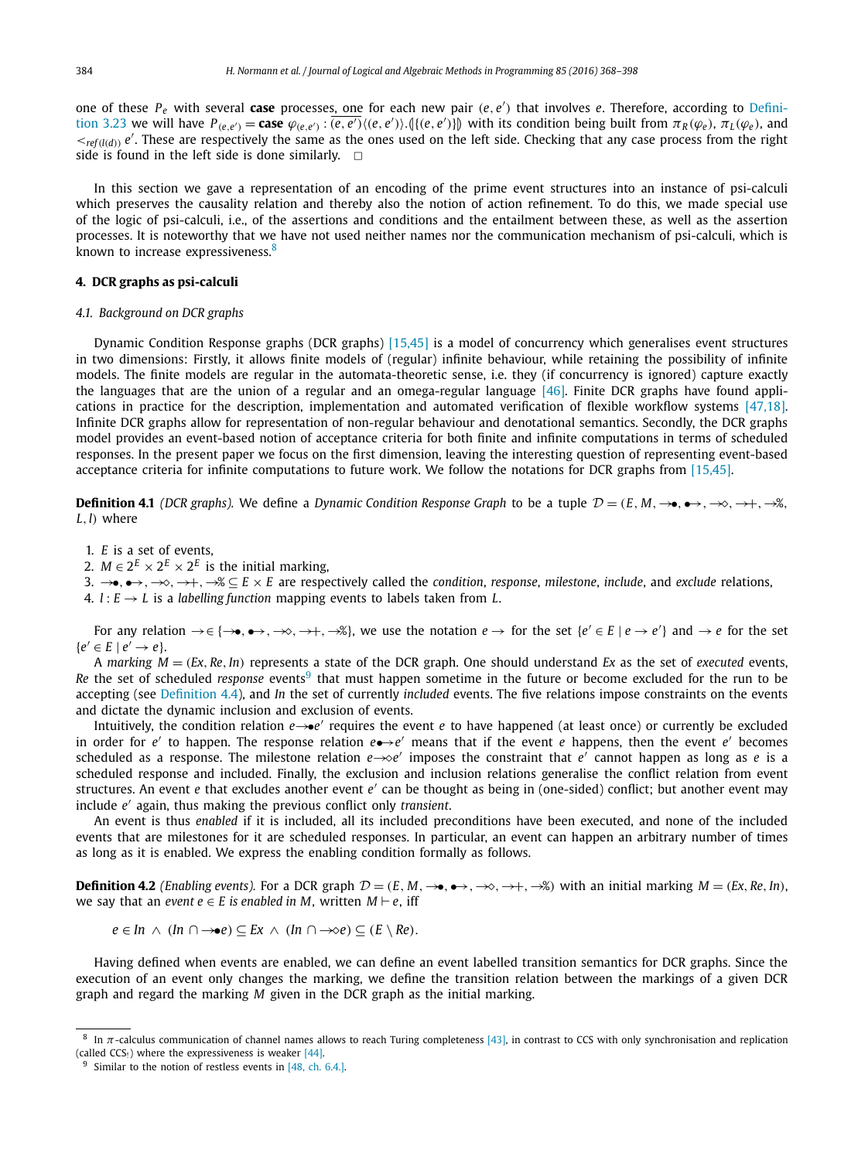<span id="page-16-0"></span>one of these  $P_e$  with several **case** processes, one for each new pair  $(e, e')$  that involves  $e$ . Therefore, according to [Defini](#page-14-0)[tion 3.23](#page-14-0) we will have  $P_{(e,e')}$  = case  $\varphi_{(e,e')}$  :  $\overline{(e,e')}$   $\langle (e,e') \rangle$ . ( $\{(e,e')\}$ ) with its condition being built from  $\pi_R(\varphi_e)$ ,  $\pi_L(\varphi_e)$ , and  $\langle$ <sub>ref</sub> $(l(d))$  e<sup> $\prime$ </sup>. These are respectively the same as the ones used on the left side. Checking that any case process from the right side is found in the left side is done similarly.  $\Box$ 

In this section we gave a representation of an encoding of the prime event structures into an instance of psi-calculi which preserves the causality relation and thereby also the notion of action refinement. To do this, we made special use of the logic of psi-calculi, i.e., of the assertions and conditions and the entailment between these, as well as the assertion processes. It is noteworthy that we have not used neither names nor the communication mechanism of psi-calculi, which is known to increase expressiveness.<sup>8</sup>

#### **4. DCR graphs as psi-calculi**

#### *4.1. Background on DCR graphs*

Dynamic Condition Response graphs (DCR graphs) [\[15,45\]](#page-29-0) is a model of concurrency which generalises event structures in two dimensions: Firstly, it allows finite models of (regular) infinite behaviour, while retaining the possibility of infinite models. The finite models are regular in the automata-theoretic sense, i.e. they (if concurrency is ignored) capture exactly the languages that are the union of a regular and an omega-regular language [\[46\].](#page-30-0) Finite DCR graphs have found applications in practice for the description, implementation and automated verification of flexible workflow systems [\[47,18\].](#page-30-0) Infinite DCR graphs allow for representation of non-regular behaviour and denotational semantics. Secondly, the DCR graphs model provides an event-based notion of acceptance criteria for both finite and infinite computations in terms of scheduled responses. In the present paper we focus on the first dimension, leaving the interesting question of representing event-based acceptance criteria for infinite computations to future work. We follow the notations for DCR graphs from [\[15,45\].](#page-29-0)

**Definition 4.1** (DCR graphs). We define a Dynamic Condition Response Graph to be a tuple  $\mathcal{D} = (E, M, \rightarrow \bullet, \rightarrow \rightarrow, \rightarrow \rightarrow, \rightarrow \ast, \rightarrow \mathbb{R})$ *L,l)* where

- 1. *E* is a set of events,
- 2.  $M \in 2^E \times 2^E \times 2^E$  is the initial marking,
- 3. →•*,* •→*,*→ *,*→+*,*→% ⊆ *E* × *E* are respectively called the *condition*, *response*, *milestone*, *include*, and *exclude* relations,
- 4.  $l: E \rightarrow L$  is a *labelling function* mapping events to labels taken from L.

For any relation  $\rightarrow \in \{\rightarrow \bullet, \bullet \rightarrow, \rightarrow \!\!\!\!\sim, \rightarrow \n!\!\!\!\sim\}$ , we use the notation  $e \rightarrow$  for the set  $\{e' \in E \mid e \rightarrow e'\}$  and  $\rightarrow e$  for the set  ${e' \in E \mid e' \rightarrow e}.$ 

A *marking*  $M = (Ex, Re, In)$  represents a state of the DCR graph. One should understand Ex as the set of *executed* events, *Re* the set of scheduled *response* events<sup>9</sup> that must happen sometime in the future or become excluded for the run to be accepting (see [Definition 4.4\)](#page-17-0), and *In* the set of currently *included* events. The five relations impose constraints on the events and dictate the dynamic inclusion and exclusion of events.

Intuitively, the condition relation *e*→•*e* requires the event *e* to have happened (at least once) or currently be excluded in order for *e*<sup> $\prime$ </sup> to happen. The response relation  $e \rightarrow e'$  means that if the event *e* happens, then the event *e*<sup> $\prime$ </sup> becomes scheduled as a response. The milestone relation  $e \rightarrow ee'$  imposes the constraint that  $e'$  cannot happen as long as  $e$  is a scheduled response and included. Finally, the exclusion and inclusion relations generalise the conflict relation from event structures. An event *e* that excludes another event *e'* can be thought as being in (one-sided) conflict; but another event may include *e* again, thus making the previous conflict only *transient*.

An event is thus *enabled* if it is included, all its included preconditions have been executed, and none of the included events that are milestones for it are scheduled responses. In particular, an event can happen an arbitrary number of times as long as it is enabled. We express the enabling condition formally as follows.

**Definition 4.2** (Enabling events). For a DCR graph  $\mathcal{D} = (E, M, \rightarrow \bullet, \rightarrow \rightarrow, \rightarrow \ast, \rightarrow \ast)$  with an initial marking  $M = (Ex, Re, In)$ , we say that an *event*  $e \in E$  *is enabled in M*, written  $M \vdash e$ , iff

*e* ∈ *In* ∧ *(In* ∩ →•*e*) ⊂ *Ex* ∧ *(In* ∩ → *e*) ⊂ *(E* \ *Re*).

Having defined when events are enabled, we can define an event labelled transition semantics for DCR graphs. Since the execution of an event only changes the marking, we define the transition relation between the markings of a given DCR graph and regard the marking *M* given in the DCR graph as the initial marking.

<sup>8</sup> In *π*-calculus communication of channel names allows to reach Turing completeness [\[43\],](#page-30-0) in contrast to CCS with only synchronisation and replication (called CCS<sub>1</sub>) where the expressiveness is weaker  $[44]$ .

<sup>&</sup>lt;sup>9</sup> Similar to the notion of restless events in  $[48, ch. 6.4.]$ .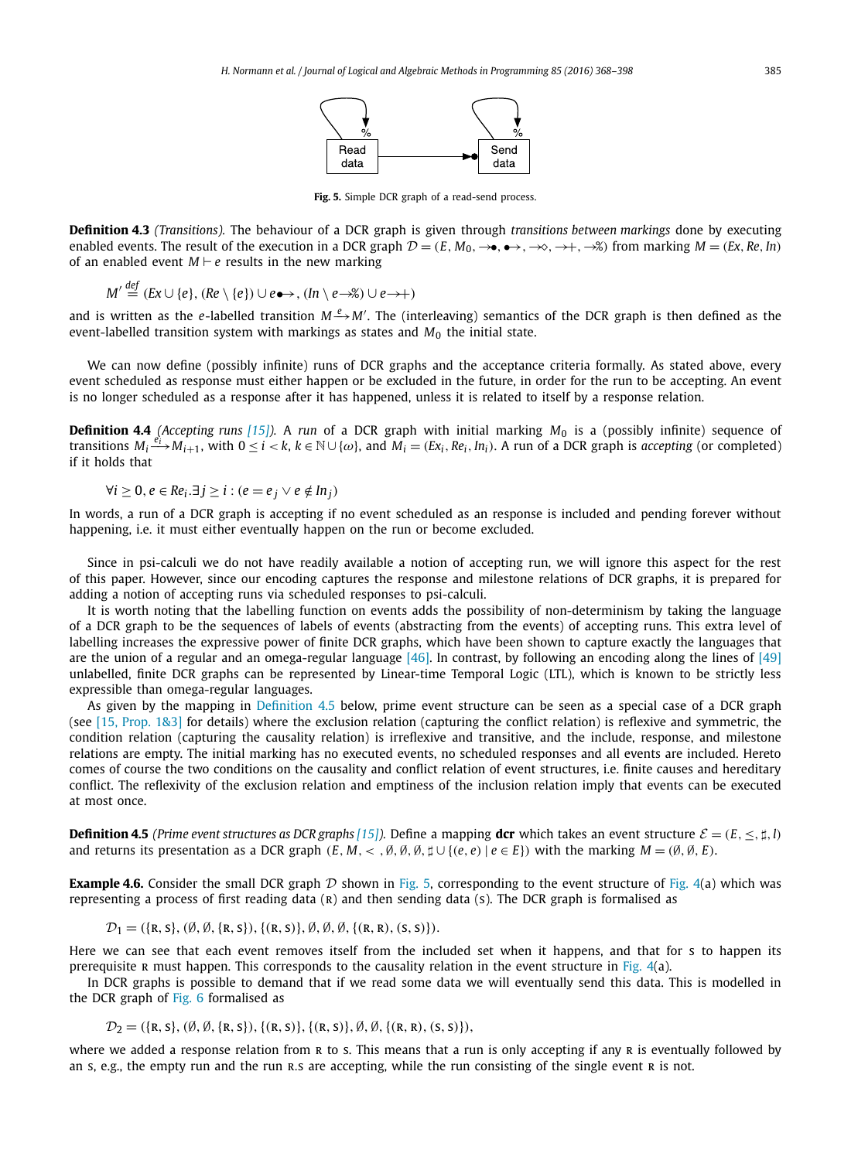

**Fig. 5.** Simple DCR graph of a read-send process.

<span id="page-17-0"></span>**Definition 4.3** *(Transitions).* The behaviour of a DCR graph is given through *transitions between markings* done by executing enabled events. The result of the execution in a DCR graph  $\mathcal{D} = (E, M_0, \rightarrow \bullet, \rightarrow \bullet, \rightarrow \rightarrow, \rightarrow \ast)$  from marking  $M = (Ex, Re, In)$ of an enabled event  $M \vdash e$  results in the new marking

 $M' \stackrel{\text{def}}{=} (Ex \cup \{e\}, (Re \setminus \{e\}) \cup e \rightarrowtail , (In \setminus e \rightarrow \%) \cup e \rightarrowtail )$ 

and is written as the *e*-labelled transition *M* <sup>*e\_</sup>>M'*. The (interleaving) semantics of the DCR graph is then defined as the</sup> event-labelled transition system with markings as states and  $M_0$  the initial state.

We can now define (possibly infinite) runs of DCR graphs and the acceptance criteria formally. As stated above, every event scheduled as response must either happen or be excluded in the future, in order for the run to be accepting. An event is no longer scheduled as a response after it has happened, unless it is related to itself by a response relation.

**Definition 4.4** *(Accepting runs [\[15\]\)](#page-29-0).* A *run* of a DCR graph with initial marking *M*<sup>0</sup> is a (possibly infinite) sequence of transitions  $M_i \xrightarrow{e_i} M_{i+1}$ , with  $0 \leq i \lt k$ ,  $k \in \mathbb{N} \cup \{\omega\}$ , and  $M_i = (Ex_i, Re_i, In_i)$ . A run of a DCR graph is accepting (or completed) if it holds that

$$
\forall i \geq 0, e \in Re_i. \exists j \geq i : (e = e_j \lor e \notin In_j)
$$

In words, a run of a DCR graph is accepting if no event scheduled as an response is included and pending forever without happening, i.e. it must either eventually happen on the run or become excluded.

Since in psi-calculi we do not have readily available a notion of accepting run, we will ignore this aspect for the rest of this paper. However, since our encoding captures the response and milestone relations of DCR graphs, it is prepared for adding a notion of accepting runs via scheduled responses to psi-calculi.

It is worth noting that the labelling function on events adds the possibility of non-determinism by taking the language of a DCR graph to be the sequences of labels of events (abstracting from the events) of accepting runs. This extra level of labelling increases the expressive power of finite DCR graphs, which have been shown to capture exactly the languages that are the union of a regular and an omega-regular language  $[46]$ . In contrast, by following an encoding along the lines of  $[49]$ unlabelled, finite DCR graphs can be represented by Linear-time Temporal Logic (LTL), which is known to be strictly less expressible than omega-regular languages.

As given by the mapping in Definition 4.5 below, prime event structure can be seen as a special case of a DCR graph (see [15, [Prop. 1&3\]](#page-29-0) for details) where the exclusion relation (capturing the conflict relation) is reflexive and symmetric, the condition relation (capturing the causality relation) is irreflexive and transitive, and the include, response, and milestone relations are empty. The initial marking has no executed events, no scheduled responses and all events are included. Hereto comes of course the two conditions on the causality and conflict relation of event structures, i.e. finite causes and hereditary conflict. The reflexivity of the exclusion relation and emptiness of the inclusion relation imply that events can be executed at most once.

**Definition 4.5** (Prime event structures as DCR graphs [\[15\]\)](#page-29-0). Define a mapping **dcr** which takes an event structure  $\mathcal{E} = (E, \leq, \sharp, l)$ and returns its presentation as a DCR graph  $(E, M, \langle \varphi, \emptyset, \emptyset, \emptyset, \sharp \cup \{(e, e) | e \in E\})$  with the marking  $M = (\emptyset, \emptyset, E)$ .

**Example 4.6.** Consider the small DCR graph  $D$  shown in Fig. 5, corresponding to the event structure of Fig.  $4(a)$  which was representing a process of first reading data  $(R)$  and then sending data  $(s)$ . The DCR graph is formalised as

 $\mathcal{D}_1 = (\{\text{R}, \text{S}\}, (\emptyset, \emptyset, \{\text{R}, \text{S}\}), \{(\text{R}, \text{S})\}, \emptyset, \emptyset, \emptyset, \{(\text{R}, \text{R}), (\text{S}, \text{S})\}).$ 

Here we can see that each event removes itself from the included set when it happens, and that for s to happen its prerequisite  $\bf{r}$  must happen. This corresponds to the causality relation in the event structure in [Fig. 4\(](#page-15-0)a).

In DCR graphs is possible to demand that if we read some data we will eventually send this data. This is modelled in the DCR graph of [Fig. 6](#page-18-0) formalised as

 $\mathcal{D}_2 = (\{R, S\}, (\emptyset, \emptyset, \{R, S\}), \{(R, S)\}, \{(R, S)\}, \emptyset, \emptyset, \{(R, R), (S, S)\}),$ 

where we added a response relation from  $R$  to s. This means that a run is only accepting if any  $R$  is eventually followed by an s, e.g., the empty run and the run R.s are accepting, while the run consisting of the single event R is not.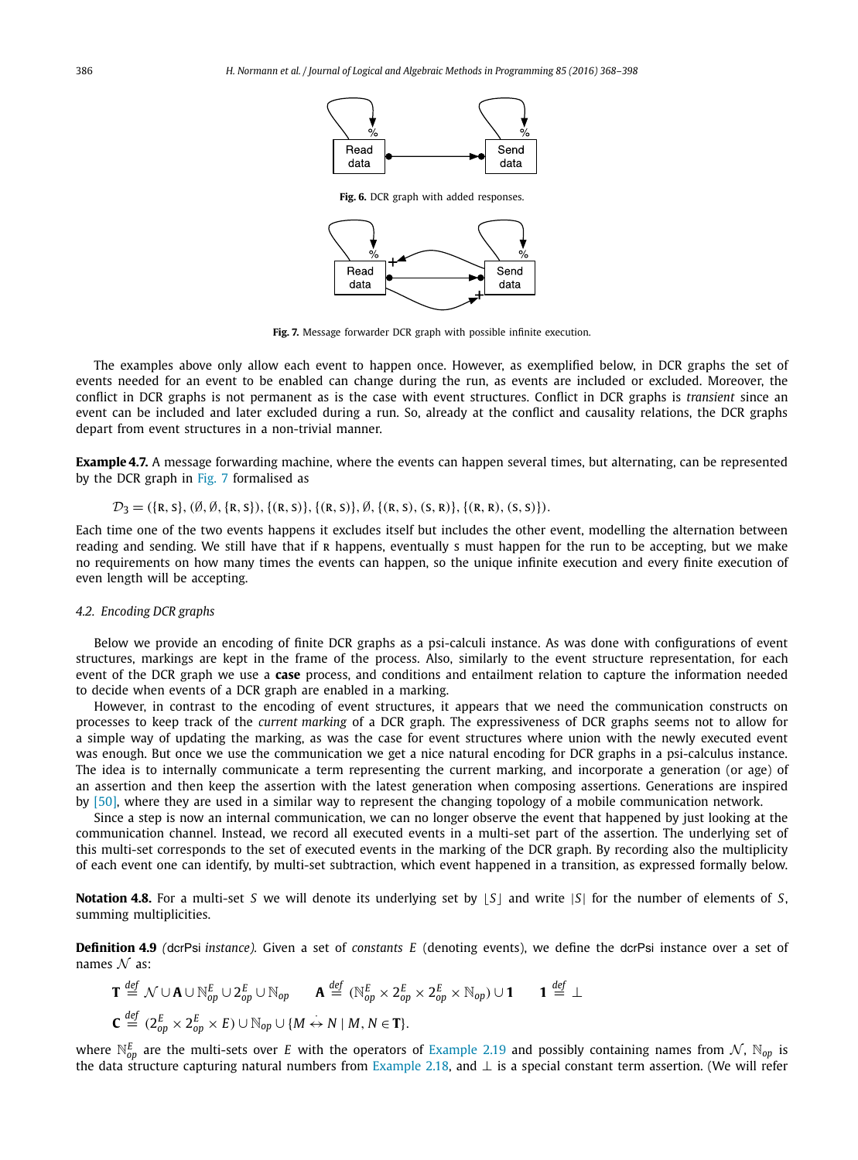<span id="page-18-0"></span>

**Fig. 7.** Message forwarder DCR graph with possible infinite execution.

The examples above only allow each event to happen once. However, as exemplified below, in DCR graphs the set of events needed for an event to be enabled can change during the run, as events are included or excluded. Moreover, the conflict in DCR graphs is not permanent as is the case with event structures. Conflict in DCR graphs is *transient* since an event can be included and later excluded during a run. So, already at the conflict and causality relations, the DCR graphs depart from event structures in a non-trivial manner.

**Example 4.7.** A message forwarding machine, where the events can happen several times, but alternating, can be represented by the DCR graph in Fig. 7 formalised as

## $\mathcal{D}_3 = (\{R, S\}, (\emptyset, \emptyset, \{R, S\}), \{(R, S)\}, \{(R, S)\}, \emptyset, \{(R, S), (S, R)\}, \{(R, R), (S, S)\}).$

Each time one of the two events happens it excludes itself but includes the other event, modelling the alternation between reading and sending. We still have that if r happens, eventually s must happen for the run to be accepting, but we make no requirements on how many times the events can happen, so the unique infinite execution and every finite execution of even length will be accepting.

#### *4.2. Encoding DCR graphs*

Below we provide an encoding of finite DCR graphs as a psi-calculi instance. As was done with configurations of event structures, markings are kept in the frame of the process. Also, similarly to the event structure representation, for each event of the DCR graph we use a **case** process, and conditions and entailment relation to capture the information needed to decide when events of a DCR graph are enabled in a marking.

However, in contrast to the encoding of event structures, it appears that we need the communication constructs on processes to keep track of the *current marking* of a DCR graph. The expressiveness of DCR graphs seems not to allow for a simple way of updating the marking, as was the case for event structures where union with the newly executed event was enough. But once we use the communication we get a nice natural encoding for DCR graphs in a psi-calculus instance. The idea is to internally communicate a term representing the current marking, and incorporate a generation (or age) of an assertion and then keep the assertion with the latest generation when composing assertions. Generations are inspired by [\[50\],](#page-30-0) where they are used in a similar way to represent the changing topology of a mobile communication network.

Since a step is now an internal communication, we can no longer observe the event that happened by just looking at the communication channel. Instead, we record all executed events in a multi-set part of the assertion. The underlying set of this multi-set corresponds to the set of executed events in the marking of the DCR graph. By recording also the multiplicity of each event one can identify, by multi-set subtraction, which event happened in a transition, as expressed formally below.

**Notation 4.8.** For a multi-set *S* we will denote its underlying set by  $|S|$  and write  $|S|$  for the number of elements of *S*, summing multiplicities.

**Definition 4.9** *(*dcrPsi *instance).* Given a set of *constants E* (denoting events), we define the dcrPsi instance over a set of names  $\mathcal N$  as:

$$
\mathbf{T} \stackrel{\text{def}}{=} \mathcal{N} \cup \mathbf{A} \cup \mathbb{N}_{op}^E \cup 2_{op}^E \cup \mathbb{N}_{op} \qquad \mathbf{A} \stackrel{\text{def}}{=} (\mathbb{N}_{op}^E \times 2_{op}^E \times 2_{op}^E \times \mathbb{N}_{op}) \cup \mathbf{1} \qquad \mathbf{1} \stackrel{\text{def}}{=} \perp
$$
  

$$
\mathbf{C} \stackrel{\text{def}}{=} (2_{op}^E \times 2_{op}^E \times E) \cup \mathbb{N}_{op} \cup \{M \leftrightarrow N \mid M, N \in \mathbf{T}\}.
$$

where  $\mathbb{N}_{op}^E$  are the multi-sets over *E* with the operators of [Example 2.19](#page-7-0) and possibly containing names from N,  $\mathbb{N}_{op}$  is the data structure capturing natural numbers from [Example 2.18,](#page-7-0) and ⊥ is a special constant term assertion. (We will refer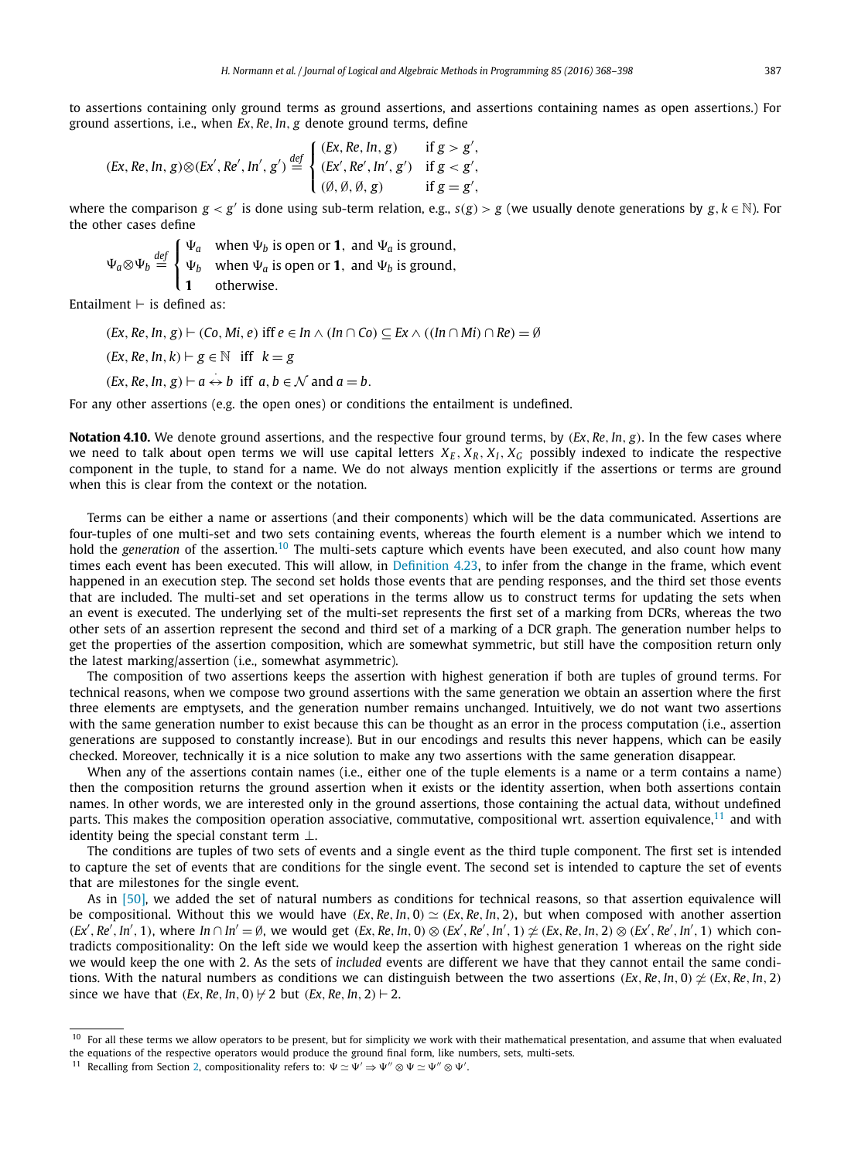to assertions containing only ground terms as ground assertions, and assertions containing names as open assertions.) For ground assertions, i.e., when *Ex, Re,In, g* denote ground terms, define

$$
(Ex, Re, In, g) \otimes (Ex', Re', In', g') \stackrel{\text{def}}{=} \begin{cases} (Ex, Re, In, g) & \text{if } g > g', \\ (Ex', Re', In', g') & \text{if } g < g', \\ (\emptyset, \emptyset, \emptyset, g) & \text{if } g = g', \end{cases}
$$

where the comparison  $g < g'$  is done using sub-term relation, e.g.,  $s(g) > g$  (we usually denote generations by  $g, k \in \mathbb{N}$ ). For the other cases define

$$
\Psi_a \otimes \Psi_b \stackrel{\text{def}}{=} \begin{cases} \Psi_a & \text{when } \Psi_b \text{ is open or 1, and } \Psi_a \text{ is ground,} \\ \Psi_b & \text{when } \Psi_a \text{ is open or 1, and } \Psi_b \text{ is ground,} \\ \mathbf{1} & \text{otherwise.} \end{cases}
$$

Entailment  $\vdash$  is defined as:

 $(EX, Re, In, g) \vdash (Co, Mi, e)$  iff  $e \in In \wedge (In \cap Co) \subseteq Ex \wedge ((In \cap Mi) \cap Re) = \emptyset$ 

 $(EX, Re, In, k)$   $\vdash$  *g* ∈ ℕ iff  $k = g$ 

 $(Ex, Re, Im, g) \vdash a \leftrightarrow b$  iff  $a, b \in \mathcal{N}$  and  $a = b$ .

For any other assertions (e.g. the open ones) or conditions the entailment is undefined.

**Notation 4.10.** We denote ground assertions, and the respective four ground terms, by *(Ex, Re,In, g)*. In the few cases where we need to talk about open terms we will use capital letters  $X_F$ ,  $X_R$ ,  $X_I$ ,  $X_G$  possibly indexed to indicate the respective component in the tuple, to stand for a name. We do not always mention explicitly if the assertions or terms are ground when this is clear from the context or the notation.

Terms can be either a name or assertions (and their components) which will be the data communicated. Assertions are four-tuples of one multi-set and two sets containing events, whereas the fourth element is a number which we intend to hold the *generation* of the assertion.<sup>10</sup> The multi-sets capture which events have been executed, and also count how many times each event has been executed. This will allow, in [Definition 4.23,](#page-23-0) to infer from the change in the frame, which event happened in an execution step. The second set holds those events that are pending responses, and the third set those events that are included. The multi-set and set operations in the terms allow us to construct terms for updating the sets when an event is executed. The underlying set of the multi-set represents the first set of a marking from DCRs, whereas the two other sets of an assertion represent the second and third set of a marking of a DCR graph. The generation number helps to get the properties of the assertion composition, which are somewhat symmetric, but still have the composition return only the latest marking/assertion (i.e., somewhat asymmetric).

The composition of two assertions keeps the assertion with highest generation if both are tuples of ground terms. For technical reasons, when we compose two ground assertions with the same generation we obtain an assertion where the first three elements are emptysets, and the generation number remains unchanged. Intuitively, we do not want two assertions with the same generation number to exist because this can be thought as an error in the process computation (i.e., assertion generations are supposed to constantly increase). But in our encodings and results this never happens, which can be easily checked. Moreover, technically it is a nice solution to make any two assertions with the same generation disappear.

When any of the assertions contain names (i.e., either one of the tuple elements is a name or a term contains a name) then the composition returns the ground assertion when it exists or the identity assertion, when both assertions contain names. In other words, we are interested only in the ground assertions, those containing the actual data, without undefined parts. This makes the composition operation associative, commutative, compositional wrt. assertion equivalence.<sup>11</sup> and with identity being the special constant term  $\perp$ .

The conditions are tuples of two sets of events and a single event as the third tuple component. The first set is intended to capture the set of events that are conditions for the single event. The second set is intended to capture the set of events that are milestones for the single event.

As in [\[50\],](#page-30-0) we added the set of natural numbers as conditions for technical reasons, so that assertion equivalence will be compositional. Without this we would have  $(EX, Re, In, 0) \simeq (Ex, Re, In, 2)$ , but when composed with another assertion  $(EX', Re', In', 1)$ , where  $In \cap In' = \emptyset$ , we would get  $(EX, Re, In, 0) \otimes (Ex', Re', In', 1) \not\simeq (Ex, Re, In, 2) \otimes (Ex', Re', In', 1)$  which contradicts compositionality: On the left side we would keep the assertion with highest generation 1 whereas on the right side we would keep the one with 2. As the sets of *included* events are different we have that they cannot entail the same conditions. With the natural numbers as conditions we can distinguish between the two assertions  $(Ex, Re, In, 0) \not\cong (Ex, Re, In, 2)$ since we have that  $(Ex, Re, In, 0) \neq 2$  but  $(Ex, Re, In, 2) \vdash 2$ .

<sup>&</sup>lt;sup>10</sup> For all these terms we allow operators to be present, but for simplicity we work with their mathematical presentation, and assume that when evaluated

the equations of the respective operators would produce the ground final form, like numbers, sets, multi-sets.

<sup>&</sup>lt;sup>11</sup> Recalling from Section [2,](#page-2-0) compositionality refers to:  $\Psi \simeq \Psi' \Rightarrow \Psi'' \otimes \Psi \simeq \Psi'' \otimes \Psi'$ .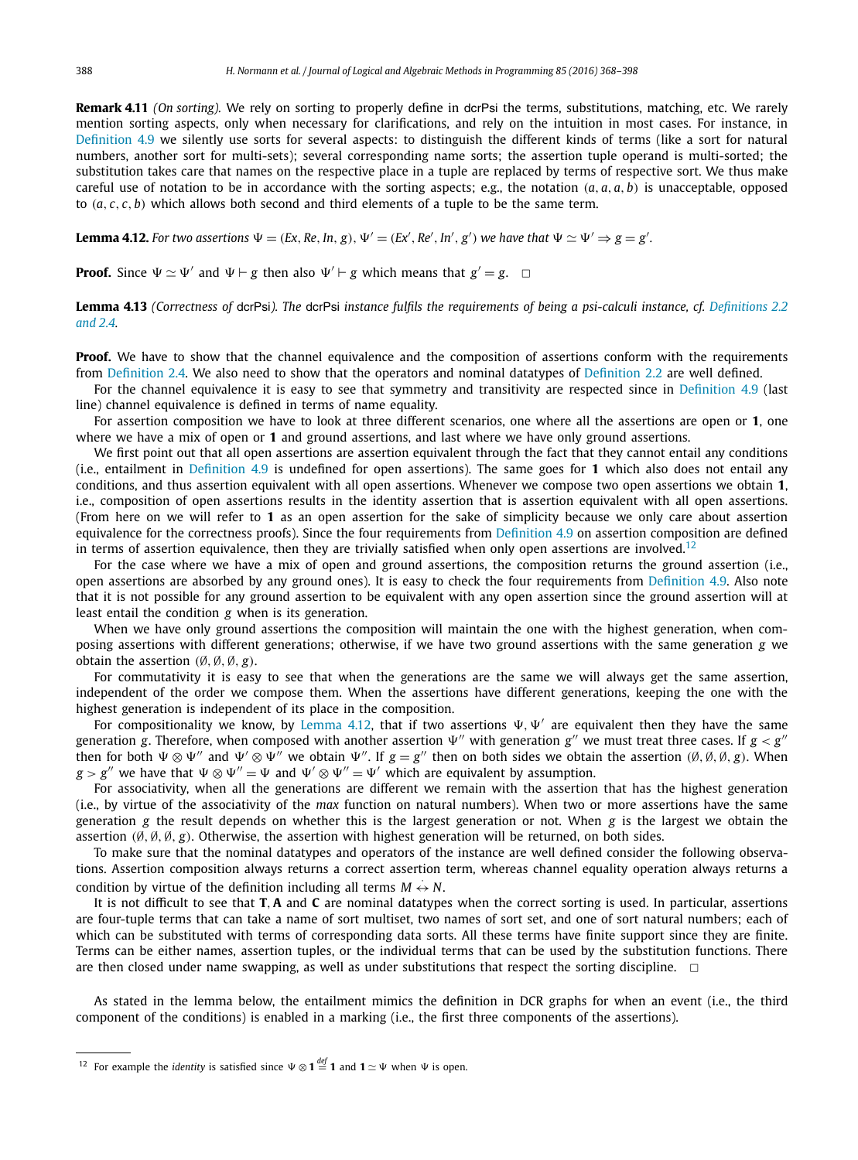**Remark 4.11** *(On sorting).* We rely on sorting to properly define in dcrPsi the terms, substitutions, matching, etc. We rarely mention sorting aspects, only when necessary for clarifications, and rely on the intuition in most cases. For instance, in [Definition 4.9](#page-18-0) we silently use sorts for several aspects: to distinguish the different kinds of terms (like a sort for natural numbers, another sort for multi-sets); several corresponding name sorts; the assertion tuple operand is multi-sorted; the substitution takes care that names on the respective place in a tuple are replaced by terms of respective sort. We thus make careful use of notation to be in accordance with the sorting aspects; e.g., the notation *(a,a,a, b)* is unacceptable, opposed to *(a, c, c, b)* which allows both second and third elements of a tuple to be the same term.

**Lemma 4.12.** For two assertions  $\Psi = (Ex, Re, In, g), \Psi' = (Ex', Re', In', g')$  we have that  $\Psi \simeq \Psi' \Rightarrow g = g'.$ 

**Proof.** Since  $\Psi \simeq \Psi'$  and  $\Psi \vdash g$  then also  $\Psi' \vdash g$  which means that  $g' = g$ .  $\Box$ 

**Lemma 4.13** (Correctness of dcrPsi). The dcrPsi instance fulfils the requirements of being a psi-calculi instance, cf. [Definitions 2.2](#page-2-0) *[and 2.4.](#page-2-0)*

**Proof.** We have to show that the channel equivalence and the composition of assertions conform with the requirements from [Definition 2.4.](#page-3-0) We also need to show that the operators and nominal datatypes of [Definition 2.2](#page-2-0) are well defined.

For the channel equivalence it is easy to see that symmetry and transitivity are respected since in [Definition 4.9](#page-18-0) (last line) channel equivalence is defined in terms of name equality.

For assertion composition we have to look at three different scenarios, one where all the assertions are open or **1**, one where we have a mix of open or **1** and ground assertions, and last where we have only ground assertions.

We first point out that all open assertions are assertion equivalent through the fact that they cannot entail any conditions (i.e., entailment in [Definition 4.9](#page-18-0) is undefined for open assertions). The same goes for **1** which also does not entail any conditions, and thus assertion equivalent with all open assertions. Whenever we compose two open assertions we obtain **1**, i.e., composition of open assertions results in the identity assertion that is assertion equivalent with all open assertions. (From here on we will refer to **1** as an open assertion for the sake of simplicity because we only care about assertion equivalence for the correctness proofs). Since the four requirements from [Definition 4.9](#page-18-0) on assertion composition are defined in terms of assertion equivalence, then they are trivially satisfied when only open assertions are involved.<sup>12</sup>

For the case where we have a mix of open and ground assertions, the composition returns the ground assertion (i.e., open assertions are absorbed by any ground ones). It is easy to check the four requirements from [Definition 4.9.](#page-18-0) Also note that it is not possible for any ground assertion to be equivalent with any open assertion since the ground assertion will at least entail the condition *g* when is its generation.

When we have only ground assertions the composition will maintain the one with the highest generation, when composing assertions with different generations; otherwise, if we have two ground assertions with the same generation *g* we obtain the assertion *(*∅*,* ∅*,* ∅*, g)*.

For commutativity it is easy to see that when the generations are the same we will always get the same assertion, independent of the order we compose them. When the assertions have different generations, keeping the one with the highest generation is independent of its place in the composition.

For compositionality we know, by Lemma 4.12, that if two assertions  $\Psi$ ,  $\Psi'$  are equivalent then they have the same generation g. Therefore, when composed with another assertion  $\Psi''$  with generation  $g''$  we must treat three cases. If  $g < g''$ then for both  $\Psi \otimes \Psi''$  and  $\Psi' \otimes \Psi''$  we obtain  $\Psi''$ . If  $g = g''$  then on both sides we obtain the assertion  $(\emptyset, \emptyset, \emptyset, g)$ . When  $g > g''$  we have that  $\Psi \otimes \Psi'' = \Psi$  and  $\Psi' \otimes \Psi'' = \Psi'$  which are equivalent by assumption.

For associativity, when all the generations are different we remain with the assertion that has the highest generation (i.e., by virtue of the associativity of the *max* function on natural numbers). When two or more assertions have the same generation *g* the result depends on whether this is the largest generation or not. When *g* is the largest we obtain the assertion  $(\emptyset, \emptyset, \emptyset, g)$ . Otherwise, the assertion with highest generation will be returned, on both sides.

To make sure that the nominal datatypes and operators of the instance are well defined consider the following observations. Assertion composition always returns a correct assertion term, whereas channel equality operation always returns a condition by virtue of the definition including all terms  $M \leftrightarrow N$ .

It is not difficult to see that **T***,***A** and **C** are nominal datatypes when the correct sorting is used. In particular, assertions are four-tuple terms that can take a name of sort multiset, two names of sort set, and one of sort natural numbers; each of which can be substituted with terms of corresponding data sorts. All these terms have finite support since they are finite. Terms can be either names, assertion tuples, or the individual terms that can be used by the substitution functions. There are then closed under name swapping, as well as under substitutions that respect the sorting discipline.  $\Box$ 

As stated in the lemma below, the entailment mimics the definition in DCR graphs for when an event (i.e., the third component of the conditions) is enabled in a marking (i.e., the first three components of the assertions).

<sup>&</sup>lt;sup>12</sup> For example the *identity* is satisfied since  $\Psi \otimes \mathbf{1} \stackrel{def}{=} \mathbf{1}$  and  $\mathbf{1} \simeq \Psi$  when  $\Psi$  is open.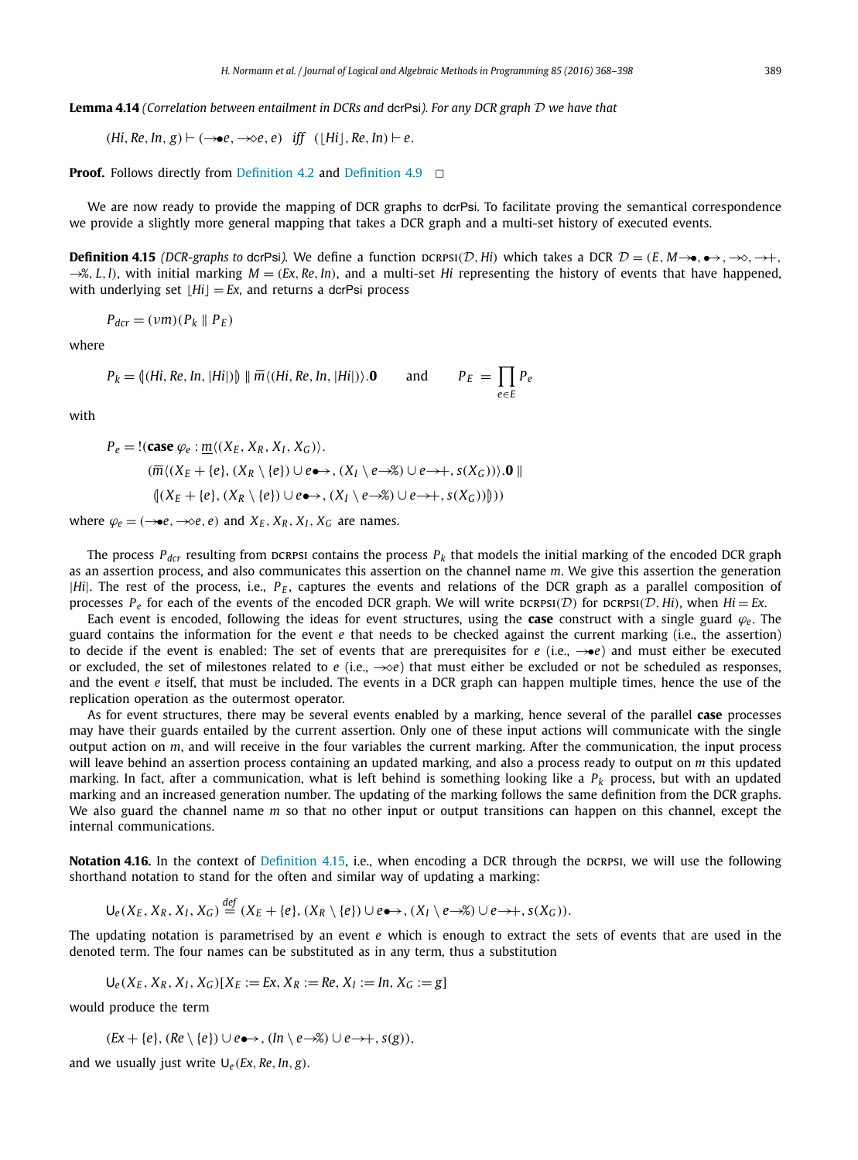<span id="page-21-0"></span>**Lemma 4.14** *(Correlation between entailment in DCRs and* dcrPsi*). For any DCR graph* D *we have that*

(*Hi*, *Re*, *In*, *g*) 
$$
\vdash (\rightarrow \bullet e, \rightarrow \!\!\infty e, e)
$$
 *iff* ( $\lfloor Hi \rfloor$ , *Re*, *In*)  $\vdash e$ .

**Proof.** Follows directly from [Definition 4.2](#page-16-0) and [Definition 4.9](#page-18-0)  $\Box$ 

We are now ready to provide the mapping of DCR graphs to dcrPsi. To facilitate proving the semantical correspondence we provide a slightly more general mapping that takes a DCR graph and a multi-set history of executed events.

**Definition 4.15** (DCR-graphs to derPsi). We define a function  $DCRPSI(D, Hi)$  which takes a DCR  $D = (E, M \rightarrow \bullet, \bullet \rightarrow, \rightarrow \bullet, \rightarrow \bullet, \bullet)$  $\rightarrow$ %, *L*, *l*), with initial marking  $M = (Ex, Re, In)$ , and a multi-set *Hi* representing the history of events that have happened, with underlying set  $|Hi| = Ex$ , and returns a dcrPsi process

$$
P_{dcr} = (\nu m)(P_k \parallel P_E)
$$

where

$$
P_k = \langle (Hi, Re, In, |Hi |) \rangle \parallel \overline{m} \langle (Hi, Re, In, |Hi |) \rangle . \mathbf{0} \quad \text{and} \quad P_E = \prod_{e \in E} P_e
$$

with

$$
P_e = !(\text{case } \varphi_e : \underline{m} \langle (X_E, X_R, X_I, X_G) \rangle.
$$
  
\n
$$
(\overline{m} \langle (X_E + \{e\}, (X_R \setminus \{e\}) \cup e \rightarrowtail , (X_I \setminus e \rightarrow \mathscr{C}) \cup e \rightarrowtail , s(X_G)) \rangle. \mathbf{0} \parallel
$$
  
\n
$$
\langle (X_E + \{e\}, (X_R \setminus \{e\}) \cup e \rightarrowtail , (X_I \setminus e \rightarrow \mathscr{C}) \cup e \rightarrowtail , s(X_G)) \rangle))
$$

where  $\varphi_e = (\rightarrow \bullet e, \rightarrow \infty e, e)$  and  $X_E, X_R, X_I, X_G$  are names.

The process  $P_{dcr}$  resulting from DCRPSI contains the process  $P_k$  that models the initial marking of the encoded DCR graph as an assertion process, and also communicates this assertion on the channel name *m*. We give this assertion the generation |*Hi*|. The rest of the process, i.e., *P <sup>E</sup>* , captures the events and relations of the DCR graph as a parallel composition of processes  $P_e$  for each of the events of the encoded DCR graph. We will write  $D_c$   $D_c$  for  $D_c$  $D_c$  $H$ *i*), when  $H$ *i* = *Ex*.

Each event is encoded, following the ideas for event structures, using the **case** construct with a single guard  $\varphi$ <sub>*e*</sub>. The guard contains the information for the event *e* that needs to be checked against the current marking (i.e., the assertion) to decide if the event is enabled: The set of events that are prerequisites for  $e$  (i.e.,  $\rightarrow e$ ) and must either be executed or excluded, the set of milestones related to  $e$  (i.e.,  $\rightarrow ee$ ) that must either be excluded or not be scheduled as responses, and the event *e* itself, that must be included. The events in a DCR graph can happen multiple times, hence the use of the replication operation as the outermost operator.

As for event structures, there may be several events enabled by a marking, hence several of the parallel **case** processes may have their guards entailed by the current assertion. Only one of these input actions will communicate with the single output action on *m*, and will receive in the four variables the current marking. After the communication, the input process will leave behind an assertion process containing an updated marking, and also a process ready to output on *m* this updated marking. In fact, after a communication, what is left behind is something looking like a *Pk* process, but with an updated marking and an increased generation number. The updating of the marking follows the same definition from the DCR graphs. We also guard the channel name *m* so that no other input or output transitions can happen on this channel, except the internal communications.

**Notation 4.16.** In the context of Definition 4.15, i.e., when encoding a DCR through the DCRPSI, we will use the following shorthand notation to stand for the often and similar way of updating a marking:

$$
\mathsf{U}_{e}(X_{E}, X_{R}, X_{I}, X_{G}) \stackrel{\text{def}}{=} (X_{E} + \{e\}, (X_{R} \setminus \{e\}) \cup e \rightarrowtail (X_{I} \setminus e \rightarrow X) \cup e \rightarrowtail (X_{G})).
$$

The updating notation is parametrised by an event *e* which is enough to extract the sets of events that are used in the denoted term. The four names can be substituted as in any term, thus a substitution

$$
\bigcup_{e} (X_E, X_R, X_I, X_G)[X_E := Ex, X_R := Re, X_I := In, X_G := g]
$$

would produce the term

$$
(Ex + \{e\}, (Re \setminus \{e\}) \cup e \rightarrowtail , (In \setminus e \rightarrow \%) \cup e \rightarrowtail , s(g)),
$$

*def*

and we usually just write  $U_e$  (*Ex, Re, In, g*).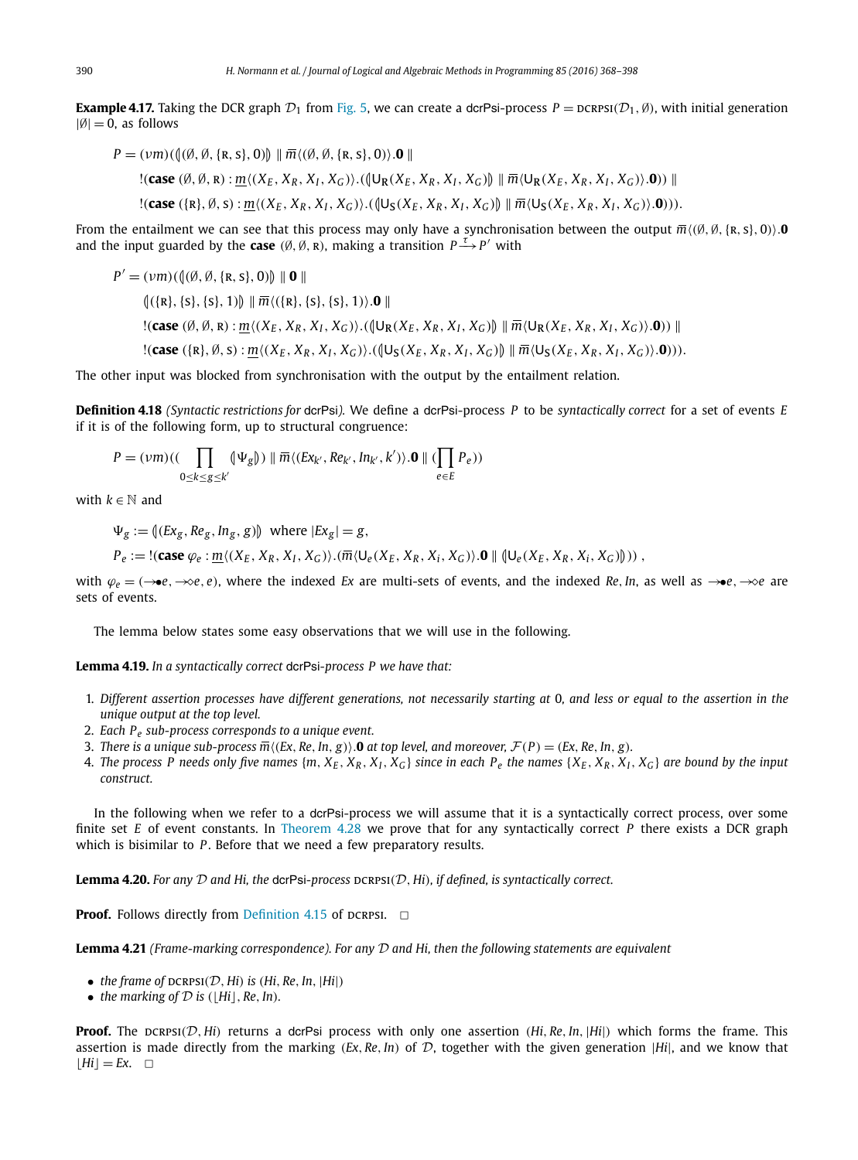<span id="page-22-0"></span>**Example 4.17.** Taking the DCR graph  $\mathcal{D}_1$  from [Fig. 5,](#page-17-0) we can create a dcrPsi-process  $P = DCRPSI(\mathcal{D}_1, \emptyset)$ , with initial generation  $|\emptyset| = 0$ , as follows

$$
P = (\nu m)((\emptyset, \emptyset, \{R, s\}, 0)) \parallel \overline{m}\langle (\emptyset, \emptyset, \{R, s\}, 0) \rangle \cdot \mathbf{0} \parallel
$$
  
!(case ( $\emptyset, \emptyset, R) : \underline{m}\langle (X_E, X_R, X_I, X_G) \rangle \cdot (\langle \bigcup_R (X_E, X_R, X_I, X_G) \rangle \parallel \overline{m}\langle \bigcup_R (X_E, X_R, X_I, X_G) \rangle \cdot \mathbf{0}) \rangle \parallel$   
!(case ( $\{R\}, \emptyset, s) : \underline{m}\langle (X_E, X_R, X_I, X_G) \rangle \cdot (\langle \bigcup_S (X_E, X_R, X_I, X_G) \rangle \parallel \overline{m}\langle \bigcup_S (X_E, X_R, X_I, X_G) \rangle \cdot \mathbf{0}) \rangle).$ 

From the entailment we can see that this process may only have a synchronisation between the output  $\overline{m}(\emptyset, \emptyset, \{R, S\}, 0)$ . and the input guarded by the **case**  $(\emptyset, \emptyset, \mathbb{R})$ , making a transition  $P \xrightarrow{\tau} P'$  with

 $P' = (\nu m)(\langle (\emptyset, \emptyset, \{R, s\}, 0) \rangle \parallel \mathbf{0} \parallel$  $((\{\mathbb{R}\}, \{\mathbb{S}\}, \{\mathbb{S}\}, \{1\}) \parallel \overline{m} \langle (\{\mathbb{R}\}, \{\mathbb{S}\}, \{\mathbb{S}\}, \{1\}) \rangle. \mathbf{0}$  $\exists$ (case  $(\emptyset, \emptyset, R)$ :  $m\langle (X_E, X_R, X_I, X_G) \rangle$ .  $(\Vert U_R(X_E, X_R, X_I, X_G) \Vert \Vert \overline{m} \langle U_R(X_E, X_R, X_I, X_G) \rangle$ .0)  $\Vert$  $!(\mathbf{case}(\{R\}, \emptyset, S) : \underline{m}\langle (X_E, X_R, X_I, X_G) \rangle \cdot ((\bigcup_S (X_E, X_R, X_I, X_G)) \parallel \overline{m} \langle U_S(X_E, X_R, X_I, X_G) \rangle \cdot \mathbf{0})))$ .

The other input was blocked from synchronisation with the output by the entailment relation.

**Definition 4.18** *(Syntactic restrictions for* dcrPsi*).* We define a dcrPsi-process *P* to be *syntactically correct* for a set of events *E* if it is of the following form, up to structural congruence:

$$
P = (\nu m)((\prod_{0 \le k \le g \le k'} (\Psi_g)) \parallel \overline{m} \langle (Ex_{k'}, Re_{k'}, In_{k'}, k') \rangle . \mathbf{0} \parallel (\prod_{e \in E} P_e))
$$

with  $k \in \mathbb{N}$  and

$$
\Psi_g := \langle (Ex_g, Re_g, In_g, g) \rangle \text{ where } |Ex_g| = g,
$$

$$
P_e := \text{!(case } \varphi_e : \underline{m} \langle (X_E, X_R, X_I, X_G) \rangle . (\overline{m} \langle U_e(X_E, X_R, X_i, X_G) \rangle . \mathbf{0} \parallel (\mathsf{U}_e(X_E, X_R, X_i, X_G) \parallel)) \;,
$$

with  $\varphi_e = (\rightarrow \bullet e, \rightarrow \infty e, e)$ , where the indexed Ex are multi-sets of events, and the indexed Re, In, as well as  $\rightarrow \bullet e, \rightarrow \infty e$  are sets of events.

The lemma below states some easy observations that we will use in the following.

**Lemma 4.19.** *In a syntactically correct* dcrPsi*-process P we have that:*

- 1. Different assertion processes have different generations, not necessarily starting at 0, and less or equal to the assertion in the *unique output at the top level.*
- 2. *Each Pe sub-process corresponds to a unique event.*
- 3. There is a unique sub-process  $\overline{m}(\langle Ex, Re, In, g \rangle)$ . **O** at top level, and moreover,  $\mathcal{F}(P) = (Ex, Re, In, g)$ .
- 4. The process P needs only five names  $\{m, X_E, X_R, X_I, X_G\}$  since in each  $P_e$  the names  $\{X_E, X_R, X_I, X_G\}$  are bound by the input *construct.*

In the following when we refer to a dcrPsi-process we will assume that it is a syntactically correct process, over some finite set *E* of event constants. In [Theorem 4.28](#page-24-0) we prove that for any syntactically correct *P* there exists a DCR graph which is bisimilar to *P*. Before that we need a few preparatory results.

**Lemma 4.20.** For any  $D$  and Hi, the dcrPsi-process  $DCRPSI(D, Hi)$ , if defined, is syntactically correct.

**Proof.** Follows directly from [Definition 4.15](#page-21-0) of DCRPSI.  $\Box$ 

**Lemma 4.21** *(Frame-marking correspondence). For any* D *and Hi, then the following statements are equivalent*

- *the frame of DCRPSI* $(D, Hi)$  *is*  $(Hi, Re, In, |Hi|)$
- *the marking of*  $D$  *is* ( $[Hi]$ *, Re, In).*

**Proof.** The DCRPSI $(D, Hi)$  returns a dcrPsi process with only one assertion  $(Hi, Re, In, |Hi|)$  which forms the frame. This assertion is made directly from the marking  $(Ex, Re, In)$  of  $D$ , together with the given generation  $|Hi|$ , and we know that  $|Hi| = Ex. \square$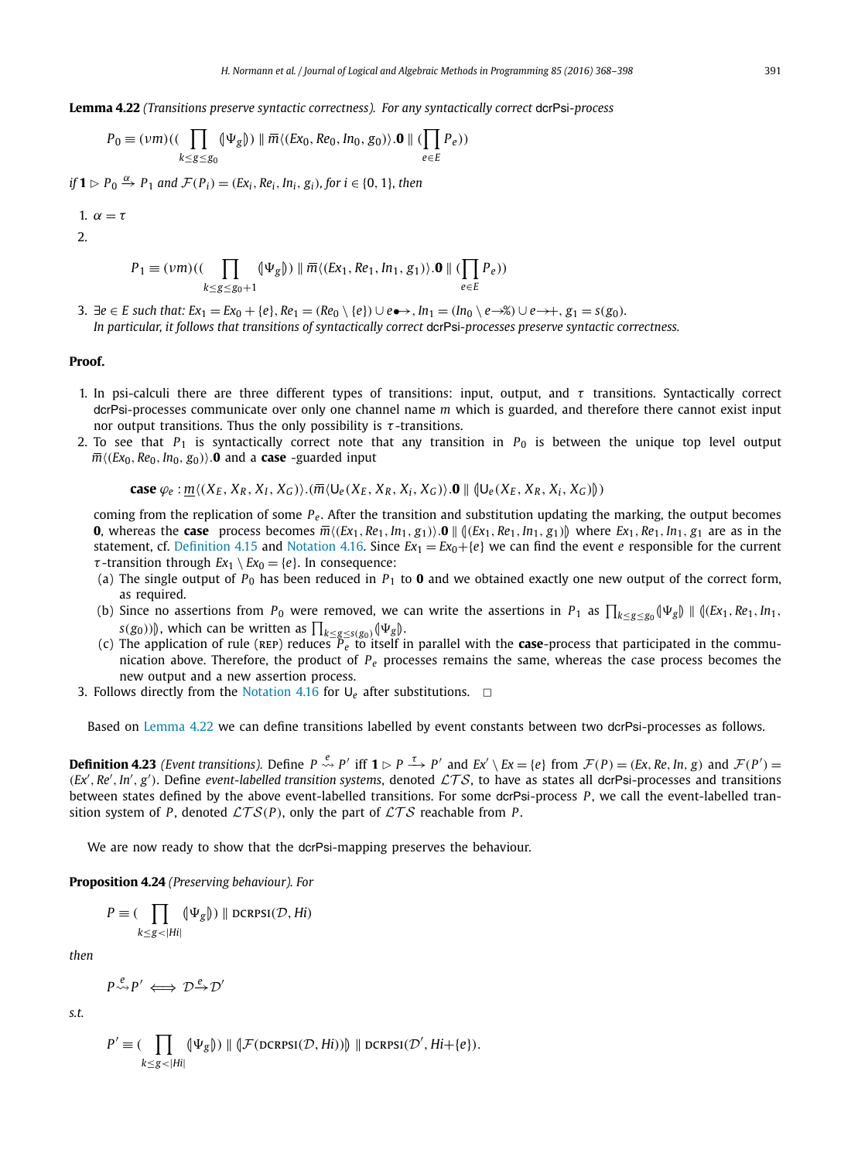<span id="page-23-0"></span>**Lemma 4.22** *(Transitions preserve syntactic correctness). For any syntactically correct* dcrPsi*-process*

$$
P_0 \equiv (\nu m)((\prod_{k \le g \le g_0} (\Psi_g)) \parallel \overline{m} \langle (Ex_0, Re_0, In_0, g_0) \rangle \cdot \mathbf{0} \parallel (\prod_{e \in E} P_e))
$$

if  $1 \triangleright P_0 \xrightarrow{\alpha} P_1$  and  $\mathcal{F}(P_i) = (Ex_i, Re_i, In_i, g_i)$ , for  $i \in \{0, 1\}$ , then

$$
1.~\alpha=\tau
$$

2.

$$
P_1 \equiv (\nu m)((\prod_{k \le g \le g_0+1} (\Psi_g)) \parallel \overline{m} \langle (Ex_1, Re_1, In_1, g_1) \rangle \cdot \mathbf{0} \parallel (\prod_{e \in E} P_e))
$$

3.  $\exists e \in E$  such that:  $Ex_1 = Ex_0 + \{e\}$ ,  $Re_1 = (Re_0 \setminus \{e\}) \cup e \rightarrow \emptyset$ ,  $In_1 = (In_0 \setminus e \rightarrow \emptyset) \cup e \rightarrow + \emptyset$ ,  $g_1 = s(g_0)$ . *In particular, it follows that transitions of syntactically correct* dcrPsi*-processes preserve syntactic correctness.*

#### **Proof.**

- 1. In psi-calculi there are three different types of transitions: input, output, and *τ* transitions. Syntactically correct dcrPsi-processes communicate over only one channel name *m* which is guarded, and therefore there cannot exist input nor output transitions. Thus the only possibility is  $\tau$ -transitions.
- 2. To see that  $P_1$  is syntactically correct note that any transition in  $P_0$  is between the unique top level output  $\overline{m}$  $\langle$ (*Ex*<sub>0</sub>*, Re*<sub>0</sub>*, In*<sub>0</sub>*, g*<sub>0</sub> $)$ *).***0** and a **case** -guarded input

case  $\varphi_e : m\langle (X_E, X_R, X_I, X_G) \rangle .(\overline{m} \langle U_e(X_E, X_R, X_i, X_G) \rangle . \mathbf{0} \parallel (\mathsf{U}_e(X_E, X_R, X_i, X_G)))$ 

coming from the replication of some *Pe* . After the transition and substitution updating the marking, the output becomes **0**, whereas the **case** process becomes  $\overline{m}(\{Ex_1, Re_1, In_1, g_1)\}$ . **0**  $\|(\{Ex_1, Re_1, In_1, g_1)\}$  where  $Ex_1, Re_1, In_1, g_1$  are as in the statement, cf. [Definition 4.15](#page-21-0) and [Notation 4.16.](#page-21-0) Since  $Ex_1 = Ex_0 + \{e\}$  we can find the event *e* responsible for the current *τ* -transition through  $Ex_1 \setminus Ex_0 = \{e\}$ . In consequence:

- (a) The single output of  $P_0$  has been reduced in  $P_1$  to **0** and we obtained exactly one new output of the correct form, as required.
- (b) Since no assertions from  $P_0$  were removed, we can write the assertions in  $P_1$  as  $\prod_{k\leq g\leq g_0}(\Psi_g)\parallel (Ex_1,Re_1,In_1,Im_2)$  $s(g_0))$ ), which can be written as  $\prod_{k \le g \le s(g_0)} (\Psi_g)$ .
- (c) The application of rule (rep) reduces *Pe* to itself in parallel with the **case**-process that participated in the communication above. Therefore, the product of *Pe* processes remains the same, whereas the case process becomes the new output and a new assertion process.
- 3. Follows directly from the [Notation 4.16](#page-21-0) for  $U_e$  after substitutions.  $\Box$

Based on Lemma 4.22 we can define transitions labelled by event constants between two dcrPsi-processes as follows.

**Definition 4.23** (Event transitions). Define  $P \stackrel{e}{\leadsto} P'$  iff  $1 \triangleright P \stackrel{\tau}{\longrightarrow} P'$  and  $Ex' \setminus Ex = \{e\}$  from  $\mathcal{F}(P) = (Ex, Re, In, g)$  and  $\mathcal{F}(P') =$  $(Ex', Re', In', g')$ . Define *event-labelled transition systems*, denoted  $LTS$ , to have as states all dcrPsi-processes and transitions between states defined by the above event-labelled transitions. For some dcrPsi-process *P* , we call the event-labelled transition system of *P*, denoted  $\mathcal{L} \mathcal{T} \mathcal{S}(P)$ , only the part of  $\mathcal{L} \mathcal{T} \mathcal{S}$  reachable from *P*.

We are now ready to show that the dcrPsi-mapping preserves the behaviour.

**Proposition 4.24** *(Preserving behaviour). For*

$$
P \equiv (\prod_{k \le g < |Hi|} (\Psi_g)) \parallel \text{DCRPSI}(\mathcal{D}, Hi)
$$

*then*

 $P \stackrel{e}{\leadsto} P' \iff \mathcal{D} \stackrel{e}{\to} \mathcal{D}'$ 

*s.t.*

 $P' \equiv (\prod_{\alpha} |\Psi_{g}|) \parallel (\mathcal{F}(\text{DCRPSI}(\mathcal{D}, Hi))) \parallel \text{DCRPSI}(\mathcal{D}', Hi + \{e\}).$ *k*≤*g<*|*Hi*|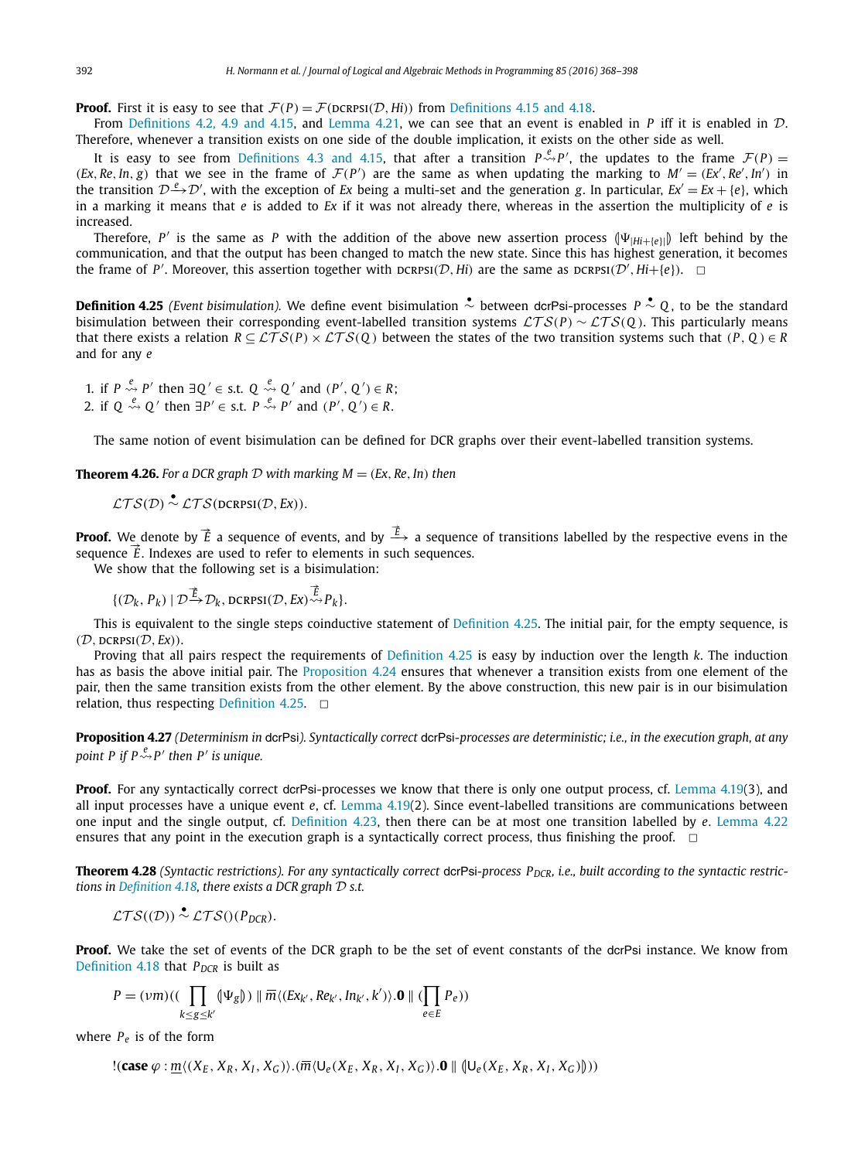<span id="page-24-0"></span>**Proof.** First it is easy to see that  $\mathcal{F}(P) = \mathcal{F}(DCRPSI(\mathcal{D}, Hi))$  from [Definitions 4.15 and 4.18.](#page-21-0)

From [Definitions 4.2, 4.9 and 4.15,](#page-16-0) and [Lemma 4.21,](#page-22-0) we can see that an event is enabled in *P* iff it is enabled in D. Therefore, whenever a transition exists on one side of the double implication, it exists on the other side as well.

It is easy to see from [Definitions 4.3 and 4.15,](#page-17-0) that after a transition  $P \stackrel{e}{\leadsto} P'$ , the updates to the frame  $\mathcal{F}(P) =$  $(EX, Re, In, g)$  that we see in the frame of  $\mathcal{F}(P')$  are the same as when updating the marking to  $M' = (Ex', Re', In')$  in the transition  $D \xrightarrow{e} D'$ , with the exception of *Ex* being a multi-set and the generation *g*. In particular,  $Ex' = Ex + \{e\}$ , which in a marking it means that *e* is added to *Ex* if it was not already there, whereas in the assertion the multiplicity of *e* is increased

Therefore,  $P'$  is the same as  $P$  with the addition of the above new assertion process  $(\Psi_{|Hi+{e}|})$  left behind by the communication, and that the output has been changed to match the new state. Since this has highest generation, it becomes the frame of *P'*. Moreover, this assertion together with  $DCRPSI(D, Hi)$  are the same as  $DCRPSI(D', Hi + \{e\})$ .

**Definition 4.25** *(Event bisimulation)*. We define event bisimulation ∼ between dcrPsi-processes *P* ∼ *Q*, to be the standard bisimulation between their corresponding event-labelled transition systems  $\mathcal{L}TS(P) \sim \mathcal{L}TS(Q)$ . This particularly means that there exists a relation  $R \subseteq \mathcal{LTS}(P) \times \mathcal{LTS}(Q)$  between the states of the two transition systems such that  $(P, Q) \in R$ and for any *e*

1. if  $P \stackrel{e}{\leadsto} P'$  then  $\exists Q' \in$  s.t.  $Q \stackrel{e}{\leadsto} Q'$  and  $(P', Q') \in R$ ; 2. if  $Q \stackrel{e}{\leadsto} Q'$  then  $\exists P' \in$  s.t.  $P \stackrel{e}{\leadsto} P'$  and  $(P', Q') \in R$ .

The same notion of event bisimulation can be defined for DCR graphs over their event-labelled transition systems.

**Theorem 4.26.** For a DCR graph  $D$  with marking  $M = (Ex, Re, In)$  then

 $\mathcal{L} \mathcal{TS}(\mathcal{D}) \stackrel{\bullet}{\sim} \mathcal{L} \mathcal{TS}(\text{DCRPSI}(\mathcal{D}, Ex)).$ 

**Proof.** We denote by  $\vec{\hat{E}}$  a sequence of events, and by  $\frac{\vec{\hat{E}}}{2}$  a sequence of transitions labelled by the respective evens in the sequence  $\vec{E}$ . Indexes are used to refer to elements in such sequences.

We show that the following set is a bisimulation:

$$
\{(\mathcal{D}_k, P_k) \mid \mathcal{D} \xrightarrow{\vec{\underline{E}}} \mathcal{D}_k, \text{DCRPSI}(\mathcal{D}, Ex) \xrightarrow{\vec{\underline{E}}} P_k \}.
$$

This is equivalent to the single steps coinductive statement of Definition 4.25. The initial pair, for the empty sequence, is *(*D*,*dcrpsi*(*D*, Ex))*.

Proving that all pairs respect the requirements of Definition 4.25 is easy by induction over the length *k*. The induction has as basis the above initial pair. The [Proposition 4.24](#page-23-0) ensures that whenever a transition exists from one element of the pair, then the same transition exists from the other element. By the above construction, this new pair is in our bisimulation relation, thus respecting Definition 4.25.  $\Box$ 

Proposition 4.27 (Determinism in dcrPsi). Syntactically correct dcrPsi-processes are deterministic; i.e., in the execution graph, at any *point* P if  $P \stackrel{e}{\leadsto} P'$  then  $P'$  is unique.

**Proof.** For any syntactically correct dcrPsi-processes we know that there is only one output process, cf. [Lemma 4.19\(](#page-22-0)3), and all input processes have a unique event *e*, cf. [Lemma 4.19\(](#page-22-0)2). Since event-labelled transitions are communications between one input and the single output, cf. [Definition 4.23,](#page-23-0) then there can be at most one transition labelled by *e*. [Lemma 4.22](#page-23-0) ensures that any point in the execution graph is a syntactically correct process, thus finishing the proof.  $\Box$ 

Theorem 4.28 (Syntactic restrictions). For any syntactically correct derPsi-process P<sub>DCR</sub>, i.e., built according to the syntactic restric*tions in [Definition 4.18,](#page-22-0) there exists a DCR graph* D *s.t.*

$$
\mathcal{LTS}((\mathcal{D})) \stackrel{\bullet}{\sim} \mathcal{LTS}() (P_{DCR}).
$$

**Proof.** We take the set of events of the DCR graph to be the set of event constants of the dcrPsi instance. We know from [Definition 4.18](#page-22-0) that *P<sub>DCR</sub>* is built as

$$
P = (\nu m)((\prod_{k \le g \le k'} (\Psi_g)) \parallel \overline{m} \langle (Ex_{k'}, Re_{k'}, In_{k'}, k') \rangle . \mathbf{0} \parallel (\prod_{e \in E} P_e))
$$

where  $P_e$  is of the form

 $!(\text{case }\varphi:\underline{m}\langle (X_E,X_R,X_I,X_G)\rangle.(\overline{m}\langle U_e(X_E,X_R,X_I,X_G)\rangle.\mathbf{0} \parallel (\vert U_e(X_E,X_R,X_I,X_G)\vert))$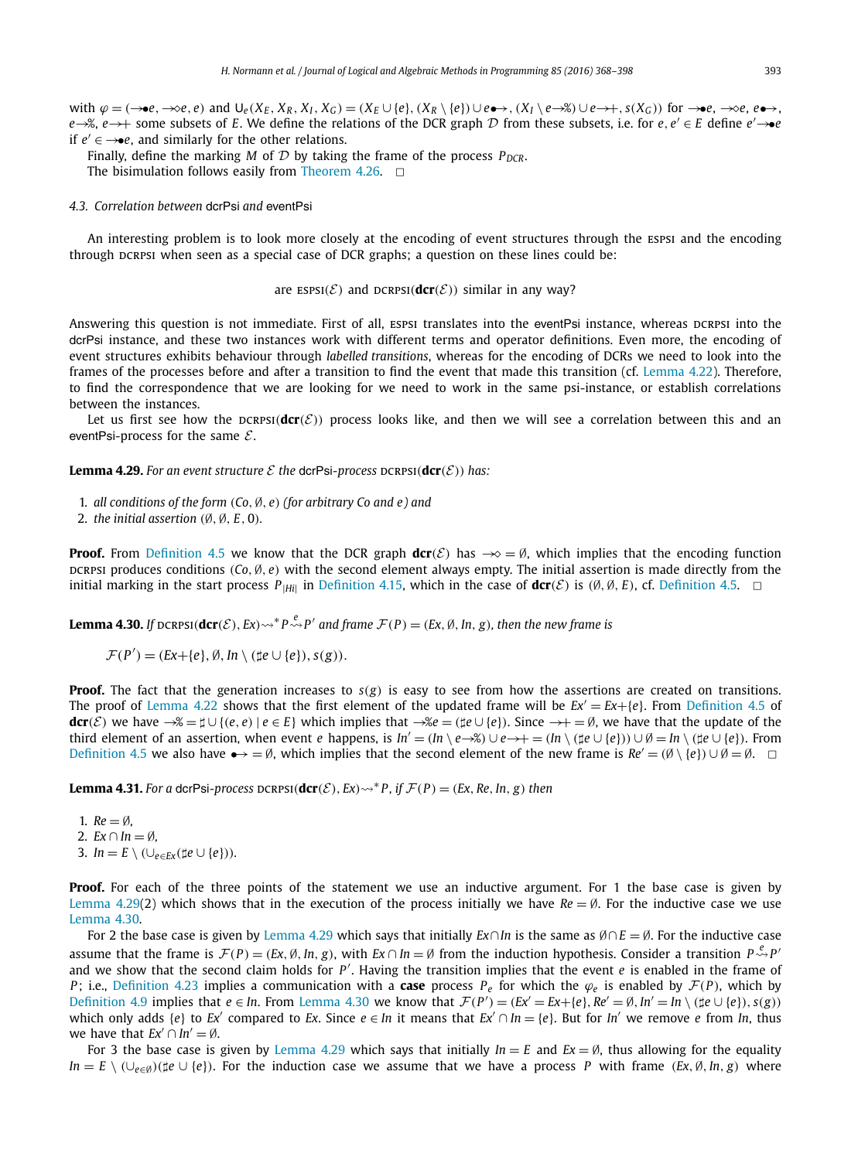<span id="page-25-0"></span>with  $\varphi = (\rightarrow e, \rightarrow e, \rightarrow e, e)$  and  $U_e(X_E, X_R, X_I, X_G) = (X_E \cup \{e\}, (X_R \setminus \{e\}) \cup e \rightarrow (X_I \setminus e \rightarrow X \setminus e \rightarrow (X_G))$  for  $\rightarrow e, \rightarrow e, \rightarrow e, e \rightarrow (X_G \setminus e \rightarrow Y \setminus e \rightarrow (X_G \setminus e \rightarrow Y \setminus e \rightarrow (X_G \setminus e \rightarrow (X_G \setminus e \rightarrow (X_G \setminus e \rightarrow (X_G \setminus e \rightarrow (X_G \setminus e \rightarrow (X_G \setminus e \rightarrow (X_G \setminus e \rightarrow (X_G \setminus e \rightarrow (X_G$  $e \rightarrow 0$ ,  $e \rightarrow +$  some subsets of *E*. We define the relations of the DCR graph  $D$  from these subsets, i.e. for  $e, e' \in E$  define  $e' \rightarrow e$ if  $e' \in \rightarrow e$ , and similarly for the other relations.

Finally, define the marking *M* of *D* by taking the frame of the process  $P_{DCR}$ . The bisimulation follows easily from [Theorem 4.26.](#page-24-0)  $\Box$ 

#### *4.3. Correlation between* dcrPsi *and* eventPsi

An interesting problem is to look more closely at the encoding of event structures through the espsi and the encoding through dcrpsi when seen as a special case of DCR graphs; a question on these lines could be:

#### are  $ESPSI(E)$  and  $DCRPSI(\textbf{dcr}(E))$  similar in any way?

Answering this question is not immediate. First of all, ESPSI translates into the eventPsi instance, whereas DCRPSI into the dcrPsi instance, and these two instances work with different terms and operator definitions. Even more, the encoding of event structures exhibits behaviour through *labelled transitions*, whereas for the encoding of DCRs we need to look into the frames of the processes before and after a transition to find the event that made this transition (cf. [Lemma 4.22\)](#page-23-0). Therefore, to find the correspondence that we are looking for we need to work in the same psi-instance, or establish correlations between the instances.

Let us first see how the  $\text{DCR}(\mathcal{E})$  process looks like, and then we will see a correlation between this and an eventPsi-process for the same  $\mathcal{E}$ .

**Lemma 4.29.** For an event structure  $E$  the dcrPsi-process DCRPSI( $\textbf{dcr}(\mathcal{E})$ ) has:

- 1. *all conditions of the form (Co,* ∅*, e) (for arbitrary Co and e) and*
- 2. *the initial assertion (*∅*,* ∅*, E,* 0*).*

**Proof.** From [Definition 4.5](#page-17-0) we know that the DCR graph  $\textbf{dcr}(\mathcal{E})$  has  $\rightarrow \infty = \emptyset$ , which implies that the encoding function DCRPSI produces conditions  $(Co, \emptyset, e)$  with the second element always empty. The initial assertion is made directly from the initial marking in the start process  $P_{|H_i|}$  in [Definition 4.15,](#page-21-0) which in the case of **dcr**( $\mathcal{E}$ ) is  $(\emptyset, \emptyset, E)$ , cf. [Definition 4.5.](#page-17-0)  $\Box$ 

**Lemma 4.30.** If  $\text{DCRPSI}(\text{dcr}(\mathcal{E}), Ex) \leadsto^* P \stackrel{e}{\leadsto} P'$  and frame  $\mathcal{F}(P) = (Ex, \emptyset, In, g)$ , then the new frame is

$$
\mathcal{F}(P') = (Ex + \{e\}, \emptyset, \ln \setminus (\sharp e \cup \{e\}), s(g)).
$$

**Proof.** The fact that the generation increases to *s(g)* is easy to see from how the assertions are created on transitions. The proof of [Lemma 4.22](#page-23-0) shows that the first element of the updated frame will be  $Ex' = Ex + \{e\}$ . From [Definition 4.5](#page-17-0) of  $\mathbf{dcr}(\mathcal{E})$  we have  $-\mathcal{X} = \mathbf{\sharp} \cup \{ (e, e) \mid e \in E \}$  which implies that  $-\mathcal{X}e = (\mathbf{\sharp}e \cup \{e\})$ . Since  $-\mathbf{\sharp} = \emptyset$ , we have that the update of the third element of an assertion, when event e happens, is  $In' = (In \setminus e \rightarrow\%) \cup e \rightarrow\ += (In \setminus (te \cup \{e\})) \cup \emptyset = In \setminus (te \cup \{e\})$ . From [Definition 4.5](#page-17-0) we also have  $\rightarrow$  = Ø, which implies that the second element of the new frame is  $Re' = (\emptyset \setminus \{e\}) \cup \emptyset = \emptyset$ .  $\Box$ 

**Lemma 4.31.** For a dcrPsi-process DCRPSI( $der(\mathcal{E}), Ex \rightarrow^* P$ , if  $\mathcal{F}(P) = (Ex, Re, In, g)$  then

1.  $Re = \emptyset$ , 2.  $Ex \cap In = \emptyset$ , 3. *In* = *E*  $\setminus$  (∪*e*∈*Ex*( $\sharp$ *e* ∪ {*e*}))*.* 

Proof. For each of the three points of the statement we use an inductive argument. For 1 the base case is given by Lemma 4.29(2) which shows that in the execution of the process initially we have  $Re = \emptyset$ . For the inductive case we use Lemma 4.30.

For 2 the base case is given by Lemma 4.29 which says that initially *Ex*∩*In* is the same as ∅∩*E* = ∅. For the inductive case assume that the frame is  $\mathcal{F}(P) = (Ex, \emptyset, In, g)$ , with  $Ex \cap In = \emptyset$  from the induction hypothesis. Consider a transition  $P \stackrel{e}{\leadsto} P'$ and we show that the second claim holds for  $P'$ . Having the transition implies that the event  $e$  is enabled in the frame of *P*; i.e., [Definition 4.23](#page-23-0) implies a communication with a **case** process  $P_e$  for which the  $\varphi_e$  is enabled by  $\mathcal{F}(P)$ , which by [Definition 4.9](#page-18-0) implies that  $e \in In$ . From Lemma 4.30 we know that  $\mathcal{F}(P') = (Ex' = Ex + \{e\}, Re' = \emptyset, In' = In \setminus (\sharp e \cup \{e\}), s(g))$ which only adds {*e*} to *Ex*<sup>'</sup> compared to *Ex*. Since  $e \in In$  it means that  $Ex' \cap In = \{e\}$ . But for *In'* we remove *e* from *In*, thus we have that  $Ex' \cap In' = \emptyset$ .

For 3 the base case is given by Lemma 4.29 which says that initially  $In = E$  and  $Ex = \emptyset$ , thus allowing for the equality  $In = E \setminus (\bigcup_{e \in \emptyset} (\sharp e \cup \{e\}).$  For the induction case we assume that we have a process P with frame  $(EX, \emptyset, In, g)$  where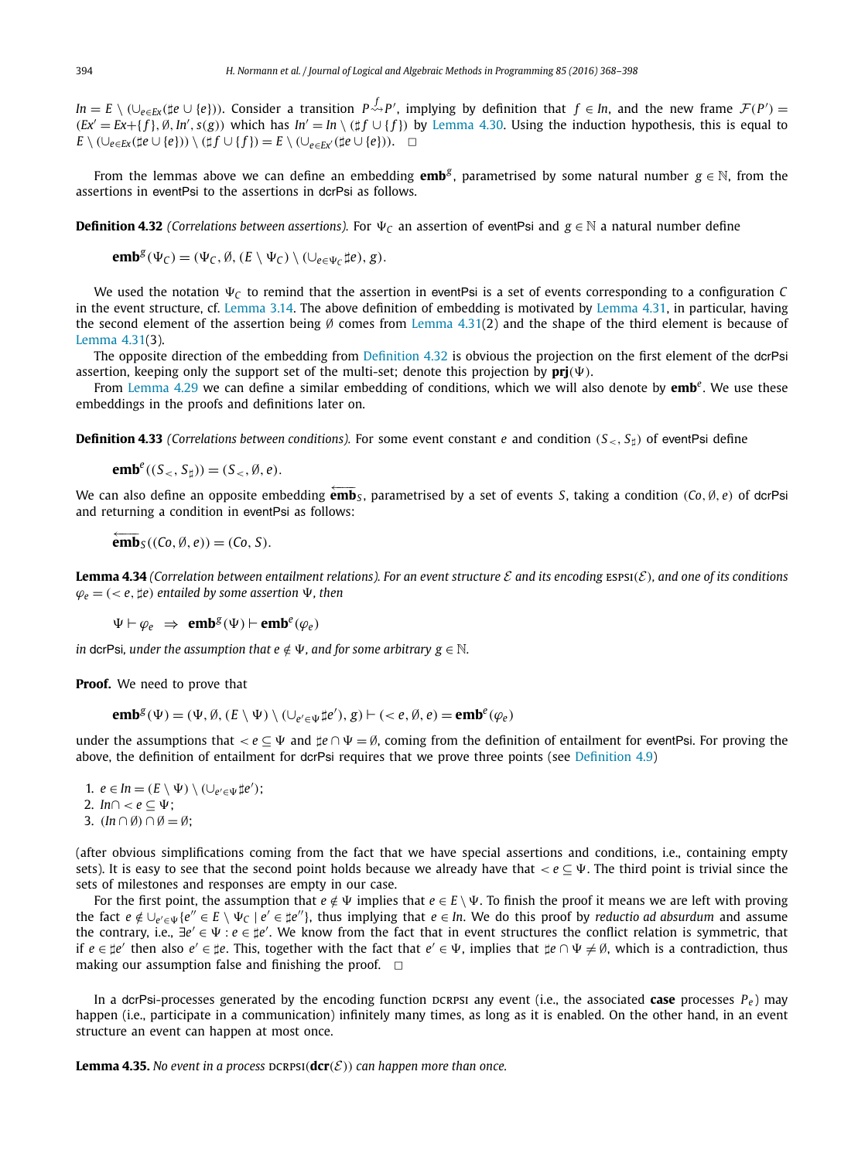<span id="page-26-0"></span> $In = E \setminus (\bigcup_{e \in Ex} (\sharp e \cup \{e\})).$  Consider a transition  $P \stackrel{f}{\leadsto} P'$ , implying by definition that  $f \in In$ , and the new frame  $\mathcal{F}(P') =$  $(EX' = EX + \{f\}, \emptyset, In', s(g))$  which has  $In' = In \setminus (\#f \cup \{f\})$  by [Lemma 4.30.](#page-25-0) Using the induction hypothesis, this is equal to *E*  $\setminus$  (∪*e*∈*Ex*( $\sharp$ *e* ∪ {*e*}))  $\setminus$  ( $\sharp$ *f* ∪ {*f*}) = *E*  $\setminus$  (∪*e∈Ex'*( $\sharp$ *e* ∪ {*e*})). ◯

From the lemmas above we can define an embedding  $emb^g$ , parametrised by some natural number  $g \in \mathbb{N}$ , from the assertions in eventPsi to the assertions in dcrPsi as follows.

**Definition 4.32** *(Correlations between assertions).* For  $\Psi_C$  an assertion of eventPsi and  $g \in \mathbb{N}$  a natural number define

$$
\text{emb}^g(\Psi_C)=(\Psi_C,\emptyset,(E\setminus \Psi_C)\setminus (\cup_{e\in \Psi_C}\sharp e),g).
$$

We used the notation  $\Psi_C$  to remind that the assertion in eventPsi is a set of events corresponding to a configuration *C* in the event structure, cf. [Lemma 3.14.](#page-12-0) The above definition of embedding is motivated by [Lemma 4.31,](#page-25-0) in particular, having the second element of the assertion being  $\emptyset$  comes from [Lemma 4.31\(](#page-25-0)2) and the shape of the third element is because of [Lemma 4.31\(](#page-25-0)3).

The opposite direction of the embedding from Definition 4.32 is obvious the projection on the first element of the dcrPsi assertion, keeping only the support set of the multi-set; denote this projection by **prj***(-)*.

From [Lemma 4.29](#page-25-0) we can define a similar embedding of conditions, which we will also denote by **emb***<sup>e</sup>* . We use these embeddings in the proofs and definitions later on.

**Definition 4.33** *(Correlations between conditions).* For some event constant *e* and condition  $(S_{\leq}, S_{\sharp})$  of eventPsi define

**emb**<sup>*e*</sup></sup>  $((S_{\lt}, S_{\sharp})) = (S_{\lt}, \emptyset, e).$ 

We can also define an opposite embedding ←−−−− **emb***<sup>S</sup>* , parametrised by <sup>a</sup> set of events *<sup>S</sup>*, taking <sup>a</sup> condition *(Co,* <sup>∅</sup>*, <sup>e</sup>)* of dcrPsi and returning a condition in eventPsi as follows:

 $\text{emb}_{S}((C_{0}, \emptyset, e)) = (C_{0}, S).$ 

**Lemma 4.34** (Correlation between entailment relations). For an event structure  $E$  and its encoding  $ESPSI(E)$ , and one of its conditions  $\varphi_e = (*e*, \sharp *e*)$  *entailed by some assertion*  $\Psi$ *, then* 

 $\Psi \vdash \varphi_e \Rightarrow \textbf{emb}^g(\Psi) \vdash \textbf{emb}^e(\varphi_e)$ 

*in* dcrPsi, *under the assumption that*  $e \notin \Psi$ *, and for some arbitrary*  $g \in \mathbb{N}$ *.* 

**Proof.** We need to prove that

 $emb^g(\Psi) = (\Psi, \emptyset, (E \setminus \Psi) \setminus (\cup_{e' \in \Psi} \sharp e'), g) \vdash (*e, \emptyset, e*) = emb^e(\varphi_e)$ 

under the assumptions that  $\lt e \subseteq \Psi$  and  $\sharp e \cap \Psi = \emptyset$ , coming from the definition of entailment for eventPsi. For proving the above, the definition of entailment for dcrPsi requires that we prove three points (see [Definition 4.9\)](#page-18-0)

1.  $e \in In = (E \setminus \Psi) \setminus (\cup_{e' \in \Psi} \sharp e')$ ; 2.  $In \cap \langle e \subseteq \Psi;$ 3.  $(ln \cap \emptyset) \cap \emptyset = \emptyset$ ;

(after obvious simplifications coming from the fact that we have special assertions and conditions, i.e., containing empty sets). It is easy to see that the second point holds because we already have that  $\lt e \subseteq \Psi$ . The third point is trivial since the sets of milestones and responses are empty in our case.

For the first point, the assumption that  $e \notin \Psi$  implies that  $e \in E \setminus \Psi$ . To finish the proof it means we are left with proving the fact  $e \notin \bigcup_{e' \in \Psi} \{e'' \in E \setminus \Psi_C \mid e' \in \sharp e''\}$ , thus implying that  $e \in In$ . We do this proof by reductio ad absurdum and assume the contrary, i.e., ∃e' ∈  $\Psi$  : e ∈ ‡e'. We know from the fact that in event structures the conflict relation is symmetric, that if  $e \in \sharp e'$  then also  $e' \in \sharp e$ . This, together with the fact that  $e' \in \Psi$ , implies that  $\sharp e \cap \Psi \neq \emptyset$ , which is a contradiction, thus making our assumption false and finishing the proof.  $\Box$ 

In a dcrPsi-processes generated by the encoding function  $DCRPSI$  any event (i.e., the associated **case** processes  $P_e$ ) may happen (i.e., participate in a communication) infinitely many times, as long as it is enabled. On the other hand, in an event structure an event can happen at most once.

**Lemma 4.35.** No event in a process  $DCRPSI(\textbf{dcr}(\mathcal{E}))$  can happen more than once.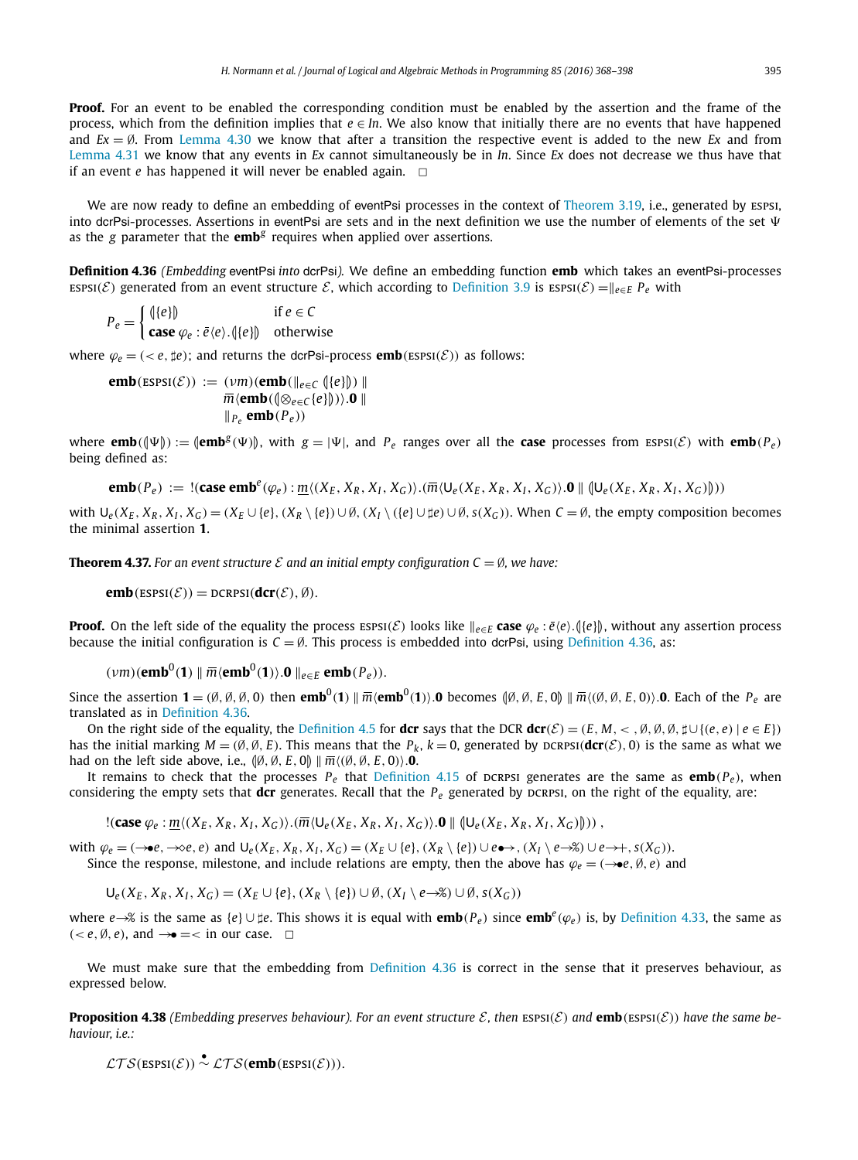**Proof.** For an event to be enabled the corresponding condition must be enabled by the assertion and the frame of the process, which from the definition implies that *e* ∈ *In*. We also know that initially there are no events that have happened and  $Ex = \emptyset$ . From [Lemma 4.30](#page-25-0) we know that after a transition the respective event is added to the new Ex and from [Lemma 4.31](#page-25-0) we know that any events in *Ex* cannot simultaneously be in *In*. Since *Ex* does not decrease we thus have that if an event  $e$  has happened it will never be enabled again.  $\Box$ 

We are now ready to define an embedding of eventPsi processes in the context of [Theorem 3.19,](#page-13-0) i.e., generated by ESPSI, into dcrPsi-processes. Assertions in eventPsi are sets and in the next definition we use the number of elements of the set  as the *g* parameter that the **emb***<sup>g</sup>* requires when applied over assertions.

**Definition 4.36** *(Embedding* eventPsi *into* dcrPsi*).* We define an embedding function **emb** which takes an eventPsi-processes espsi*(*E*)* generated from an event structure <sup>E</sup>, which according to [Definition 3.9](#page-11-0) is espsi*(*E*)* =*e*∈*<sup>E</sup> Pe* with

 $P_e = \begin{cases} {\langle e \rangle} & \text{if } e \in C \\ \cos \theta & \text{if } e \in C \end{cases}$ **case**  $\varphi_e : \overline{e} \langle e \rangle$ .  $(\{e\})$  otherwise

where  $\varphi$ <sub>*e*</sub> = (< *e*, *te*); and returns the dcrPsi-process **emb**( $ESPSI(E)$ ) as follows:

$$
emb(\text{ESPSI}(\mathcal{E})) := (vm)(emb(\|_{e \in C} (\{e\})) \| \overline{m} \langle emb(\{\otimes_{e \in C} \{e\}\}) \rangle.0 \| \|_{P_e} emb(P_e))
$$

where **emb**( $(\Psi)$ ) :=  $(\mathbf{emb}^g(\Psi))$ , with  $g = |\Psi|$ , and  $P_e$  ranges over all the **case** processes from  $ESPSI(\mathcal{E})$  with **emb**( $P_e$ ) being defined as:

$$
emb(P_e) := \{ (case~emb^e(\varphi_e) : \underline{m} \langle (X_E, X_R, X_I, X_G) \rangle . (\overline{m} \langle U_e(X_E, X_R, X_I, X_G) \rangle . 0 \parallel (\underline{U}_e(X_E, X_R, X_I, X_G)) ) )
$$

with  $\bigcup_{e}(X_E, X_R, X_I, X_G) = (X_E \cup \{e\}, (X_R \setminus \{e\}) \cup \emptyset, (X_I \setminus (\{e\} \cup \{e\}) \cup \emptyset, s(X_G))$ . When  $C = \emptyset$ , the empty composition becomes the minimal assertion **1**.

**Theorem 4.37.** For an event structure  $\mathcal E$  and an initial empty configuration  $C = \emptyset$ , we have:

 $emb$ *(***ESPSI***(***E**)) = DCRPSI(**dcr**(**E**), Ø).

**Proof.** On the left side of the equality the process  $ESPSI(\mathcal{E})$  looks like  $\|e \in E$  case  $\varphi_e : \overline{e}(e) \cdot (\{e\})$ , without any assertion process because the initial configuration is  $C = \emptyset$ . This process is embedded into dcrPsi, using Definition 4.36, as:

 $(vm)(emb^0(1) \parallel \overline{m}$  $\langle \mathbf{emb}^0(1) \rangle$ .0  $\parallel_{e \in \mathbb{F}} \mathbf{emb}(P_e)$ ).

Since the assertion  $\mathbf{1} = (\emptyset, \emptyset, \emptyset, 0)$  then **emb**<sup>0</sup>(1) ||  $\overline{m}$  (**emb**<sup>0</sup>(1)). 0 becomes  $(\emptyset, \emptyset, E, 0)$ ||  $\overline{m}$  (( $\emptyset, \emptyset, E, 0$ )). 0. Each of the  $P_e$  are translated as in Definition 4.36.

On the right side of the equality, the [Definition 4.5](#page-17-0) for **dcr** says that the DCR  $\mathbf{dcr}(\mathcal{E}) = (E, M, \langle \theta, \emptyset, \emptyset, \emptyset, \emptyset, \emptyset | e \in E)$ has the initial marking  $M = (\emptyset, \emptyset, E)$ . This means that the  $P_k$ ,  $k = 0$ , generated by DCRPSI( $\text{der}(\mathcal{E})$ , 0) is the same as what we had on the left side above, i.e.,  $(\emptyset, \emptyset, E, 0) \parallel \overline{m} \langle (\emptyset, \emptyset, E, 0) \rangle$ .0.

It remains to check that the processes  $P_e$  that [Definition 4.15](#page-21-0) of DCRPSI generates are the same as  $emb(P_e)$ , when considering the empty sets that **dcr** generates. Recall that the *Pe* generated by dcrpsi, on the right of the equality, are:

 $!(\mathsf{case}\ \varphi_e:m\langle (X_F, X_R, X_I, X_G)\rangle \cdot (\overline{m}\langle \mathsf{U}_e(X_F, X_R, X_I, X_G)\rangle \cdot \mathbf{0} \parallel (\mathsf{U}_e(X_F, X_R, X_I, X_G))) )$ 

with  $\varphi_e = (\rightarrow e, \rightarrow \infty e, e)$  and  $U_e(X_E, X_R, X_I, X_G) = (X_E \cup \{e\}, (X_R \setminus \{e\}) \cup e \rightarrow (X_I \setminus e \rightarrow X) \cup e \rightarrow (X_G)).$ Since the response, milestone, and include relations are empty, then the above has  $\varphi_e = (\rightarrow \bullet e, \emptyset, e)$  and

 $\bigcup_{e}(X_{F}, X_{R}, X_{I}, X_{G}) = (X_{F} \cup \{e\}, (X_{R} \setminus \{e\}) \cup \emptyset, (X_{I} \setminus e \rightarrow X) \cup \emptyset, s(X_{G}))$ 

where *e*→% is the same as {*e*} ∪ *e*. This shows it is equal with **emb***(Pe)* since **emb***<sup>e</sup> (ϕe)* is, by [Definition 4.33,](#page-26-0) the same as  $(*e*, ∅, *e*)$ , and  $→ \bullet = *i*n our case. □$ 

We must make sure that the embedding from Definition 4.36 is correct in the sense that it preserves behaviour, as expressed below.

**Proposition 4.38** (Embedding preserves behaviour). For an event structure  $\mathcal{E}$ , then  $ESPSI(\mathcal{E})$  and  $emb(ESPSI(\mathcal{E}))$  have the same be*haviour, i.e.:*

 $\mathcal{LTS}(\text{ESPSI}(\mathcal{E}))$   $\stackrel{\bullet}{\sim}$   $\mathcal{LTS}(\textbf{emb}(\text{ESPSI}(\mathcal{E}))).$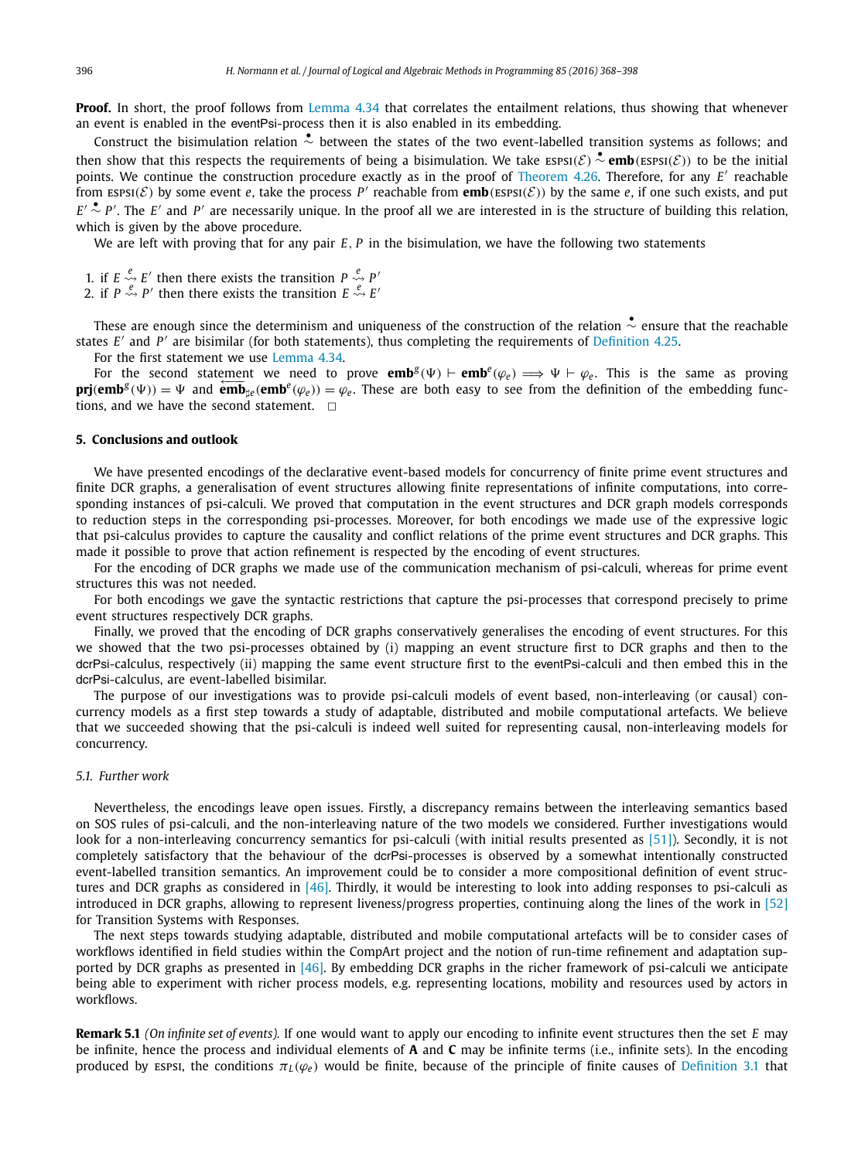<span id="page-28-0"></span>**Proof.** In short, the proof follows from [Lemma 4.34](#page-26-0) that correlates the entailment relations, thus showing that whenever an event is enabled in the eventPsi-process then it is also enabled in its embedding.

Construct the bisimulation relation  $\stackrel{\bullet}{\sim}$  between the states of the two event-labelled transition systems as follows; and then show that this respects the requirements of being a bisimulation. We take  $\text{ESPSI}(\mathcal{E}) \sim \text{emb}(\text{ESPSI}(\mathcal{E}))$  to be the initial points. We continue the construction procedure exactly as in the proof of [Theorem 4.26.](#page-24-0) Therefore, for any *E*' reachable from  $ESISI(\mathcal{E})$  by some event *e*, take the process *P'* reachable from **emb**( $ESPSI(\mathcal{E})$ ) by the same *e*, if one such exists, and put *E*<sup> $'$ </sup>  $\sim$  *P*<sup> $\prime$ </sup>. The *E*<sup> $\prime$ </sup> and *P*<sup> $\prime$ </sup> are necessarily unique. In the proof all we are interested in is the structure of building this relation, which is given by the above procedure.

We are left with proving that for any pair *E, P* in the bisimulation, we have the following two statements

- 1. if  $E \stackrel{e}{\leadsto} E'$  then there exists the transition  $P \stackrel{e}{\leadsto} P'$
- 2. if  $P \stackrel{e}{\leadsto} P'$  then there exists the transition  $E \stackrel{e}{\leadsto} E'$

These are enough since the determinism and uniqueness of the construction of the relation  $\stackrel{\bullet}{\sim}$  ensure that the reachable states *E'* and *P'* are bisimilar (for both statements), thus completing the requirements of [Definition 4.25.](#page-24-0)

For the first statement we use [Lemma 4.34.](#page-26-0)

For the second statement we need to prove  $emb^g(\Psi) \vdash emb^e(\varphi_e) \Longrightarrow \Psi \vdash \varphi_e$ . This is the same as proving **prij** $(\text{emb}^{g}(\Psi)) = \Psi$  and  $\overline{\text{emb}}_{g}(\text{emb}^{g}(\varphi_{e})) = \varphi_{e}$ . These are both easy to see from the definition of the embedding functions, and we have the second statement.  $\Box$ 

#### **5. Conclusions and outlook**

We have presented encodings of the declarative event-based models for concurrency of finite prime event structures and finite DCR graphs, a generalisation of event structures allowing finite representations of infinite computations, into corresponding instances of psi-calculi. We proved that computation in the event structures and DCR graph models corresponds to reduction steps in the corresponding psi-processes. Moreover, for both encodings we made use of the expressive logic that psi-calculus provides to capture the causality and conflict relations of the prime event structures and DCR graphs. This made it possible to prove that action refinement is respected by the encoding of event structures.

For the encoding of DCR graphs we made use of the communication mechanism of psi-calculi, whereas for prime event structures this was not needed.

For both encodings we gave the syntactic restrictions that capture the psi-processes that correspond precisely to prime event structures respectively DCR graphs.

Finally, we proved that the encoding of DCR graphs conservatively generalises the encoding of event structures. For this we showed that the two psi-processes obtained by (i) mapping an event structure first to DCR graphs and then to the dcrPsi-calculus, respectively (ii) mapping the same event structure first to the eventPsi-calculi and then embed this in the dcrPsi-calculus, are event-labelled bisimilar.

The purpose of our investigations was to provide psi-calculi models of event based, non-interleaving (or causal) concurrency models as a first step towards a study of adaptable, distributed and mobile computational artefacts. We believe that we succeeded showing that the psi-calculi is indeed well suited for representing causal, non-interleaving models for concurrency.

#### *5.1. Further work*

Nevertheless, the encodings leave open issues. Firstly, a discrepancy remains between the interleaving semantics based on SOS rules of psi-calculi, and the non-interleaving nature of the two models we considered. Further investigations would look for a non-interleaving concurrency semantics for psi-calculi (with initial results presented as [\[51\]\)](#page-30-0). Secondly, it is not completely satisfactory that the behaviour of the dcrPsi-processes is observed by a somewhat intentionally constructed event-labelled transition semantics. An improvement could be to consider a more compositional definition of event structures and DCR graphs as considered in [\[46\].](#page-30-0) Thirdly, it would be interesting to look into adding responses to psi-calculi as introduced in DCR graphs, allowing to represent liveness/progress properties, continuing along the lines of the work in [\[52\]](#page-30-0) for Transition Systems with Responses.

The next steps towards studying adaptable, distributed and mobile computational artefacts will be to consider cases of workflows identified in field studies within the CompArt project and the notion of run-time refinement and adaptation supported by DCR graphs as presented in [\[46\].](#page-30-0) By embedding DCR graphs in the richer framework of psi-calculi we anticipate being able to experiment with richer process models, e.g. representing locations, mobility and resources used by actors in workflows.

**Remark 5.1** *(On infinite set of events).* If one would want to apply our encoding to infinite event structures then the set *E* may be infinite, hence the process and individual elements of **A** and **C** may be infinite terms (i.e., infinite sets). In the encoding produced by espsi, the conditions  $\pi_l(\varphi_e)$  would be finite, because of the principle of finite causes of [Definition 3.1](#page-8-0) that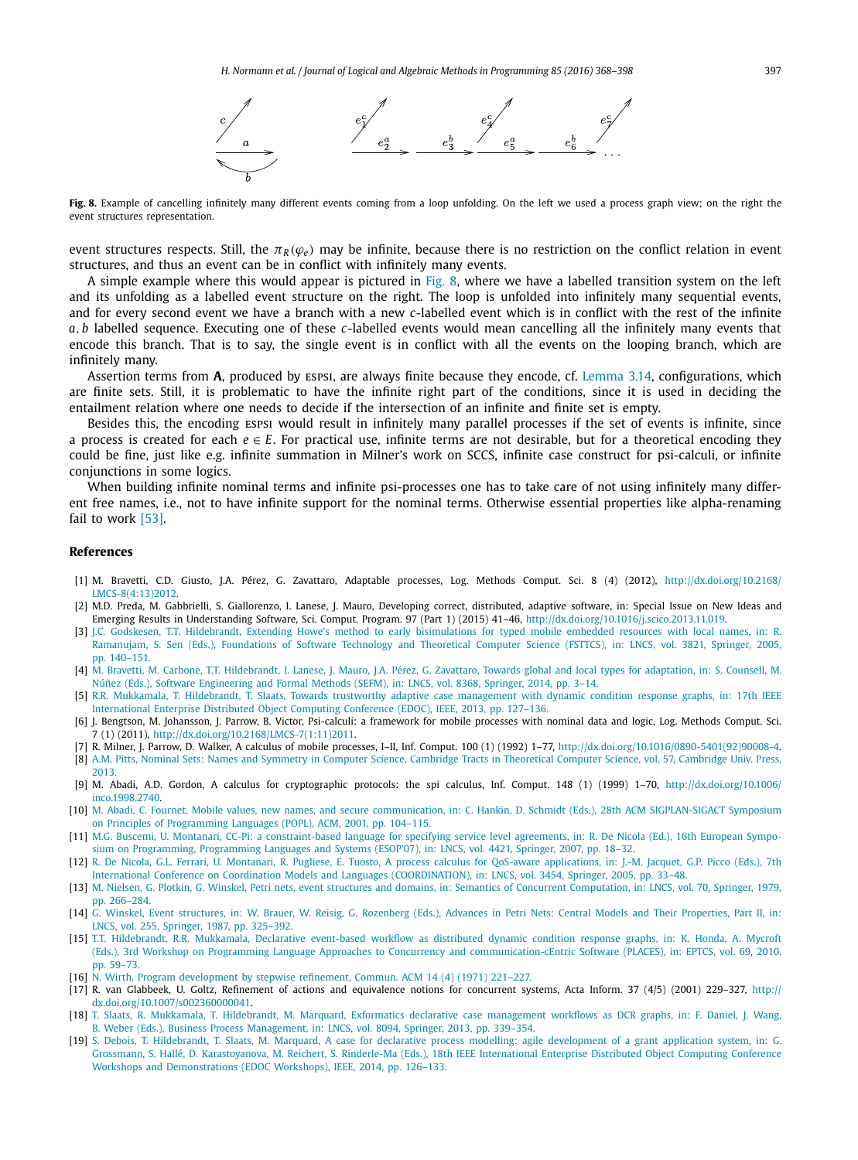

<span id="page-29-0"></span>**Fig. 8.** Example of cancelling infinitely many different events coming from a loop unfolding. On the left we used a process graph view; on the right the event structures representation.

event structures respects. Still, the  $\pi_R(\varphi_e)$  may be infinite, because there is no restriction on the conflict relation in event structures, and thus an event can be in conflict with infinitely many events.

A simple example where this would appear is pictured in Fig. 8, where we have a labelled transition system on the left and its unfolding as a labelled event structure on the right. The loop is unfolded into infinitely many sequential events, and for every second event we have a branch with a new *c*-labelled event which is in conflict with the rest of the infinite *a, b* labelled sequence. Executing one of these *c*-labelled events would mean cancelling all the infinitely many events that encode this branch. That is to say, the single event is in conflict with all the events on the looping branch, which are infinitely many.

Assertion terms from **A**, produced by espsi, are always finite because they encode, cf. [Lemma 3.14,](#page-12-0) configurations, which are finite sets. Still, it is problematic to have the infinite right part of the conditions, since it is used in deciding the entailment relation where one needs to decide if the intersection of an infinite and finite set is empty.

Besides this, the encoding espsi would result in infinitely many parallel processes if the set of events is infinite, since a process is created for each *e* ∈ *E*. For practical use, infinite terms are not desirable, but for a theoretical encoding they could be fine, just like e.g. infinite summation in Milner's work on SCCS, infinite case construct for psi-calculi, or infinite conjunctions in some logics.

When building infinite nominal terms and infinite psi-processes one has to take care of not using infinitely many different free names, i.e., not to have infinite support for the nominal terms. Otherwise essential properties like alpha-renaming fail to work [\[53\].](#page-30-0)

#### **References**

- [1] M. Bravetti, C.D. Giusto, J.A. Pérez, G. Zavattaro, Adaptable processes, Log. Methods Comput. Sci. 8 (4) (2012), [http://dx.doi.org/10.2168/](http://dx.doi.org/10.2168/LMCS-8(4:13)2012) [LMCS-8\(4:13\)2012.](http://dx.doi.org/10.2168/LMCS-8(4:13)2012)
- [2] M.D. Preda, M. Gabbrielli, S. Giallorenzo, I. Lanese, J. Mauro, Developing correct, distributed, adaptive software, in: Special Issue on New Ideas and Emerging Results in Understanding Software, Sci. Comput. Program. 97 (Part 1) (2015) 41–46, [http://dx.doi.org/10.1016/j.scico.2013.11.019.](http://dx.doi.org/10.1016/j.scico.2013.11.019)
- [3] J.C. Godskesen, T.T. Hildebrandt, Extending Howe's method to early [bisimulations](http://refhub.elsevier.com/S2352-2208(15)00153-4/bib476F64736B6573656E483035s1) for typed mobile embedded resources with local names, in: R. [Ramanujam,](http://refhub.elsevier.com/S2352-2208(15)00153-4/bib476F64736B6573656E483035s1) S. Sen (Eds.), Foundations of Software Technology and Theoretical Computer Science (FSTTCS), in: LNCS, vol. 3821, Springer, 2005, [pp. 140–151.](http://refhub.elsevier.com/S2352-2208(15)00153-4/bib476F64736B6573656E483035s1)
- [4] M. Bravetti, M. Carbone, T.T. [Hildebrandt,](http://refhub.elsevier.com/S2352-2208(15)00153-4/bib427261766574746943484C4D505A3133s1) I. Lanese, J. Mauro, J.A. Pérez, G. Zavattaro, Towards global and local types for adaptation, in: S. Counsell, M. Núñez (Eds.), Software [Engineering](http://refhub.elsevier.com/S2352-2208(15)00153-4/bib427261766574746943484C4D505A3133s1) and Formal Methods (SEFM), in: LNCS, vol. 8368, Springer, 2014, pp. 3–14.
- [5] R.R. Mukkamala, T. Hildebrandt, T. Slaats, Towards trustworthy adaptive case [management](http://refhub.elsevier.com/S2352-2208(15)00153-4/bib65646F6332303133s1) with dynamic condition response graphs, in: 17th IEEE International Enterprise Distributed Object Computing Conference (EDOC), IEEE, 2013, [pp. 127–136.](http://refhub.elsevier.com/S2352-2208(15)00153-4/bib65646F6332303133s1)
- [6] J. Bengtson, M. Johansson, J. Parrow, B. Victor, Psi-calculi: a framework for mobile processes with nominal data and logic, Log. Methods Comput. Sci. 7 (1) (2011), [http://dx.doi.org/10.2168/LMCS-7\(1:11\)2011](http://dx.doi.org/10.2168/LMCS-7(1:11)2011).
- [7] R. Milner, J. Parrow, D. Walker, A calculus of mobile processes, I–II, Inf. Comput. 100 (1) (1992) 1–77, [http://dx.doi.org/10.1016/0890-5401\(92\)90008-4](http://dx.doi.org/10.1016/0890-5401(92)90008-4).
- [8] A.M. Pitts, Nominal Sets: Names and Symmetry in Computer Science, Cambridge Tracts in [Theoretical](http://refhub.elsevier.com/S2352-2208(15)00153-4/bib70697474735F626F6F6B5F6E6F6D696E616Cs1) Computer Science, vol. 57, Cambridge Univ. Press, [2013.](http://refhub.elsevier.com/S2352-2208(15)00153-4/bib70697474735F626F6F6B5F6E6F6D696E616Cs1)
- [9] M. Abadi, A.D. Gordon, A calculus for cryptographic protocols: the spi calculus, Inf. Comput. 148 (1) (1999) 1–70, [http://dx.doi.org/10.1006/](http://dx.doi.org/10.1006/inco.1998.2740) [inco.1998.2740](http://dx.doi.org/10.1006/inco.1998.2740).
- [10] M. Abadi, C. Fournet, Mobile values, new names, and secure communication, in: C. Hankin, D. Schmidt (Eds.), 28th ACM [SIGPLAN-SIGACT](http://refhub.elsevier.com/S2352-2208(15)00153-4/bib41626164694630316170706C6965645F7069s1) Symposium on Principles of [Programming](http://refhub.elsevier.com/S2352-2208(15)00153-4/bib41626164694630316170706C6965645F7069s1) Languages (POPL), ACM, 2001, pp. 104–115.
- [11] M.G. Buscemi, U. Montanari, CC-Pi: a [constraint-based](http://refhub.elsevier.com/S2352-2208(15)00153-4/bib42757363656D694D303763637069s1) language for specifying service level agreements, in: R. De Nicola (Ed.), 16th European Symposium on [Programming,](http://refhub.elsevier.com/S2352-2208(15)00153-4/bib42757363656D694D303763637069s1) Programming Languages and Systems (ESOP'07), in: LNCS, vol. 4421, Springer, 2007, pp. 18–32.
- [12] R. De Nicola, G.L. Ferrari, U. Montanari, R. Pugliese, E. Tuosto, A process calculus for QoS-aware [applications,](http://refhub.elsevier.com/S2352-2208(15)00153-4/bib4E69636F6C61464D50543035716F7343437069s1) in: J.-M. Jacquet, G.P. Picco (Eds.), 7th International Conference on Coordination Models and Languages [\(COORDINATION\),](http://refhub.elsevier.com/S2352-2208(15)00153-4/bib4E69636F6C61464D50543035716F7343437069s1) in: LNCS, vol. 3454, Springer, 2005, pp. 33–48.
- [13] M. Nielsen, G. Plotkin, G. Winskel, Petri nets, event structures and domains, in: Semantics of Concurrent [Computation,](http://refhub.elsevier.com/S2352-2208(15)00153-4/bib4E69656C73656E505737396576656E7473747275637475726573s1) in: LNCS, vol. 70, Springer, 1979, [pp. 266–284.](http://refhub.elsevier.com/S2352-2208(15)00153-4/bib4E69656C73656E505737396576656E7473747275637475726573s1)
- [14] G. Winskel, Event structures, in: W. Brauer, W. Reisig, G. Rozenberg (Eds.), Advances in Petri Nets: Central Models and Their [Properties,](http://refhub.elsevier.com/S2352-2208(15)00153-4/bib57696E736B656C3836657874656E6465644553s1) Part II, in: LNCS, vol. 255, Springer, 1987, [pp. 325–392.](http://refhub.elsevier.com/S2352-2208(15)00153-4/bib57696E736B656C3836657874656E6465644553s1)
- [15] T.T. [Hildebrandt,](http://refhub.elsevier.com/S2352-2208(15)00153-4/bib48696C64656272616E6474313044435273s1) R.R. Mukkamala, Declarative event-based workflow as distributed dynamic condition response graphs, in: K. Honda, A. Mycroft (Eds.), 3rd Workshop on Programming Language Approaches to Concurrency and [communication-cEntric](http://refhub.elsevier.com/S2352-2208(15)00153-4/bib48696C64656272616E6474313044435273s1) Software (PLACES), in: EPTCS, vol. 69, 2010, [pp. 59–73.](http://refhub.elsevier.com/S2352-2208(15)00153-4/bib48696C64656272616E6474313044435273s1)
- [16] N. Wirth, Program [development](http://refhub.elsevier.com/S2352-2208(15)00153-4/bib776972746837317374657077697A655F726566696E656D656E74s1) by stepwise refinement, Commun. ACM 14 (4) (1971) 221–227.
- [17] R. van Glabbeek, U. Goltz, Refinement of actions and equivalence notions for concurrent systems, Acta Inform. 37 (4/5) (2001) 229–327, [http://](http://dx.doi.org/10.1007/s002360000041) [dx.doi.org/10.1007/s002360000041](http://dx.doi.org/10.1007/s002360000041).
- [18] T. Slaats, R. Mukkamala, T. Hildebrandt, M. Marquard, Exformatics declarative case [management](http://refhub.elsevier.com/S2352-2208(15)00153-4/bib536C616174734D484D313344435273427573696E6573s1) workflows as DCR graphs, in: F. Daniel, J. Wang, B. Weber (Eds.), Business Process [Management,](http://refhub.elsevier.com/S2352-2208(15)00153-4/bib536C616174734D484D313344435273427573696E6573s1) in: LNCS, vol. 8094, Springer, 2013, pp. 339–354.
- [19] S. Debois, T. Hildebrandt, T. Slaats, M. Marquard, A case for declarative process modelling: agile [development](http://refhub.elsevier.com/S2352-2208(15)00153-4/bib4465626F697332303134s1) of a grant application system, in: G. Grossmann, S. Hallé, D. [Karastoyanova,](http://refhub.elsevier.com/S2352-2208(15)00153-4/bib4465626F697332303134s1) M. Reichert, S. Rinderle-Ma (Eds.), 18th IEEE International Enterprise Distributed Object Computing Conference Workshops and [Demonstrations](http://refhub.elsevier.com/S2352-2208(15)00153-4/bib4465626F697332303134s1) (EDOC Workshops), IEEE, 2014, pp. 126–133.